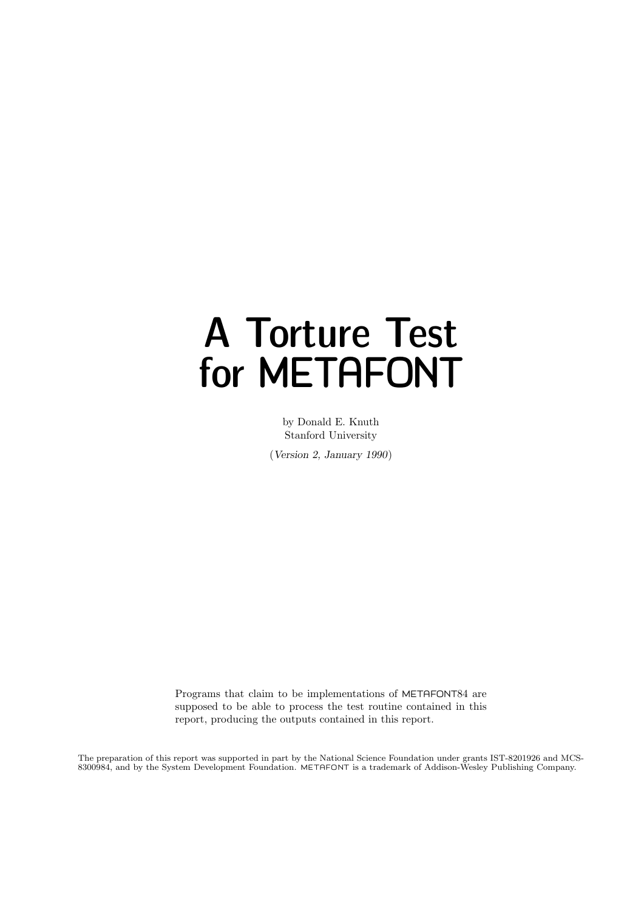# A Torture Test for METAFONT

by Donald E. Knuth Stanford University

(Version 2, January 1990)

Programs that claim to be implementations of METAFONT84 are supposed to be able to process the test routine contained in this report, producing the outputs contained in this report.

The preparation of this report was supported in part by the National Science Foundation under grants IST-8201926 and MCS-8300984, and by the System Development Foundation. METAFONT is a trademark of Addison-Wesley Publishing Company.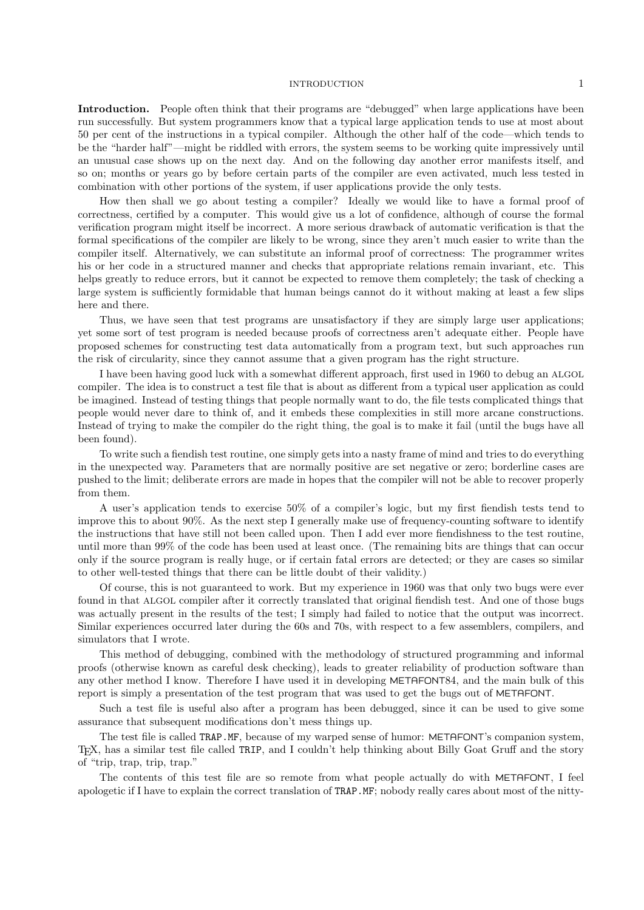### INTRODUCTION 1

Introduction. People often think that their programs are "debugged" when large applications have been run successfully. But system programmers know that a typical large application tends to use at most about 50 per cent of the instructions in a typical compiler. Although the other half of the code—which tends to be the "harder half"—might be riddled with errors, the system seems to be working quite impressively until an unusual case shows up on the next day. And on the following day another error manifests itself, and so on; months or years go by before certain parts of the compiler are even activated, much less tested in combination with other portions of the system, if user applications provide the only tests.

How then shall we go about testing a compiler? Ideally we would like to have a formal proof of correctness, certified by a computer. This would give us a lot of confidence, although of course the formal verification program might itself be incorrect. A more serious drawback of automatic verification is that the formal specifications of the compiler are likely to be wrong, since they aren't much easier to write than the compiler itself. Alternatively, we can substitute an informal proof of correctness: The programmer writes his or her code in a structured manner and checks that appropriate relations remain invariant, etc. This helps greatly to reduce errors, but it cannot be expected to remove them completely; the task of checking a large system is sufficiently formidable that human beings cannot do it without making at least a few slips here and there.

Thus, we have seen that test programs are unsatisfactory if they are simply large user applications; yet some sort of test program is needed because proofs of correctness aren't adequate either. People have proposed schemes for constructing test data automatically from a program text, but such approaches run the risk of circularity, since they cannot assume that a given program has the right structure.

I have been having good luck with a somewhat different approach, first used in 1960 to debug an ALGOL compiler. The idea is to construct a test file that is about as different from a typical user application as could be imagined. Instead of testing things that people normally want to do, the file tests complicated things that people would never dare to think of, and it embeds these complexities in still more arcane constructions. Instead of trying to make the compiler do the right thing, the goal is to make it fail (until the bugs have all been found).

To write such a fiendish test routine, one simply gets into a nasty frame of mind and tries to do everything in the unexpected way. Parameters that are normally positive are set negative or zero; borderline cases are pushed to the limit; deliberate errors are made in hopes that the compiler will not be able to recover properly from them.

A user's application tends to exercise 50% of a compiler's logic, but my first fiendish tests tend to improve this to about 90%. As the next step I generally make use of frequency-counting software to identify the instructions that have still not been called upon. Then I add ever more fiendishness to the test routine, until more than 99% of the code has been used at least once. (The remaining bits are things that can occur only if the source program is really huge, or if certain fatal errors are detected; or they are cases so similar to other well-tested things that there can be little doubt of their validity.)

Of course, this is not guaranteed to work. But my experience in 1960 was that only two bugs were ever found in that ALGOL compiler after it correctly translated that original fiendish test. And one of those bugs was actually present in the results of the test; I simply had failed to notice that the output was incorrect. Similar experiences occurred later during the 60s and 70s, with respect to a few assemblers, compilers, and simulators that I wrote.

This method of debugging, combined with the methodology of structured programming and informal proofs (otherwise known as careful desk checking), leads to greater reliability of production software than any other method I know. Therefore I have used it in developing METAFONT84, and the main bulk of this report is simply a presentation of the test program that was used to get the bugs out of METAFONT.

Such a test file is useful also after a program has been debugged, since it can be used to give some assurance that subsequent modifications don't mess things up.

The test file is called TRAP.MF, because of my warped sense of humor: METAFONT's companion system, TEX, has a similar test file called TRIP, and I couldn't help thinking about Billy Goat Gruff and the story of "trip, trap, trip, trap."

The contents of this test file are so remote from what people actually do with METAFONT, I feel apologetic if I have to explain the correct translation of TRAP.MF; nobody really cares about most of the nitty-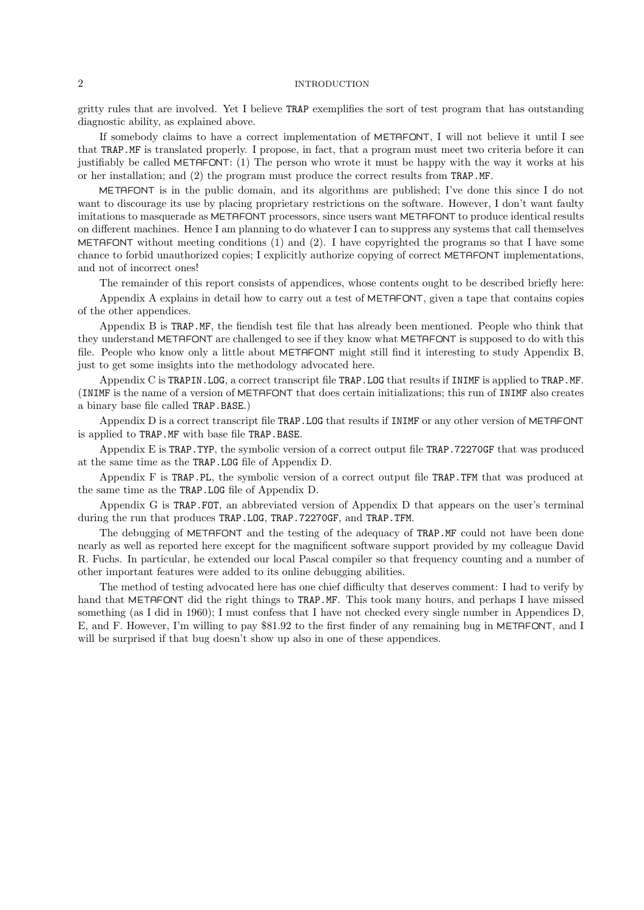## 2 INTRODUCTION

gritty rules that are involved. Yet I believe TRAP exemplifies the sort of test program that has outstanding diagnostic ability, as explained above.

If somebody claims to have a correct implementation of METAFONT, I will not believe it until I see that TRAP.MF is translated properly. I propose, in fact, that a program must meet two criteria before it can justifiably be called METAFONT: (1) The person who wrote it must be happy with the way it works at his or her installation; and (2) the program must produce the correct results from TRAP.MF.

METAFONT is in the public domain, and its algorithms are published; I've done this since I do not want to discourage its use by placing proprietary restrictions on the software. However, I don't want faulty imitations to masquerade as METAFONT processors, since users want METAFONT to produce identical results on different machines. Hence I am planning to do whatever I can to suppress any systems that call themselves METAFONT without meeting conditions (1) and (2). I have copyrighted the programs so that I have some chance to forbid unauthorized copies; I explicitly authorize copying of correct METAFONT implementations, and not of incorrect ones!

The remainder of this report consists of appendices, whose contents ought to be described briefly here:

Appendix A explains in detail how to carry out a test of METAFONT, given a tape that contains copies of the other appendices.

Appendix B is TRAP.MF, the fiendish test file that has already been mentioned. People who think that they understand METAFONT are challenged to see if they know what METAFONT is supposed to do with this file. People who know only a little about METAFONT might still find it interesting to study Appendix B, just to get some insights into the methodology advocated here.

Appendix C is TRAPIN.LOG, a correct transcript file TRAP.LOG that results if INIMF is applied to TRAP.MF. (INIMF is the name of a version of METAFONT that does certain initializations; this run of INIMF also creates a binary base file called TRAP.BASE.)

Appendix D is a correct transcript file TRAP.LOG that results if INIMF or any other version of METAFONT is applied to TRAP.MF with base file TRAP.BASE.

Appendix E is TRAP.TYP, the symbolic version of a correct output file TRAP.72270GF that was produced at the same time as the TRAP.LOG file of Appendix D.

Appendix F is TRAP.PL, the symbolic version of a correct output file TRAP.TFM that was produced at the same time as the TRAP.LOG file of Appendix D.

Appendix G is TRAP.FOT, an abbreviated version of Appendix D that appears on the user's terminal during the run that produces TRAP.LOG, TRAP.72270GF, and TRAP.TFM.

The debugging of METAFONT and the testing of the adequacy of TRAP.MF could not have been done nearly as well as reported here except for the magnificent software support provided by my colleague David R. Fuchs. In particular, he extended our local Pascal compiler so that frequency counting and a number of other important features were added to its online debugging abilities.

The method of testing advocated here has one chief difficulty that deserves comment: I had to verify by hand that METAFONT did the right things to TRAP.MF. This took many hours, and perhaps I have missed something (as I did in 1960); I must confess that I have not checked every single number in Appendices D, E, and F. However, I'm willing to pay \$81.92 to the first finder of any remaining bug in METAFONT, and I will be surprised if that bug doesn't show up also in one of these appendices.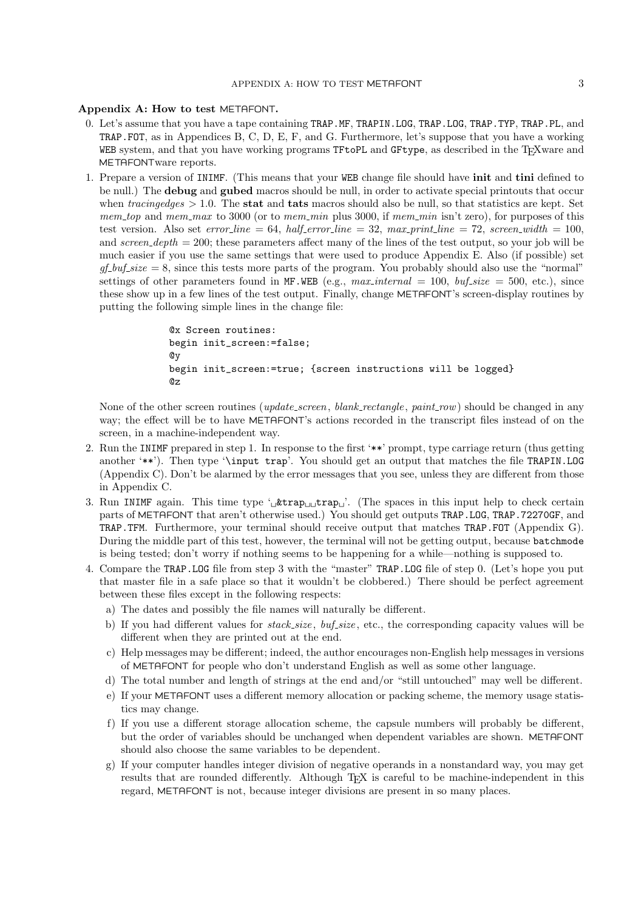### Appendix A: How to test METAFONT.

- 0. Let's assume that you have a tape containing TRAP.MF, TRAPIN.LOG, TRAP.LOG, TRAP.TYP, TRAP.PL, and TRAP.FOT, as in Appendices B, C, D, E, F, and G. Furthermore, let's suppose that you have a working WEB system, and that you have working programs TFtoPL and GFtype, as described in the T<sub>E</sub>Xware and METAFONTware reports.
- 1. Prepare a version of INIMF. (This means that your WEB change file should have init and tini defined to be null.) The debug and gubed macros should be null, in order to activate special printouts that occur when  $tracingedges > 1.0$ . The stat and tats macros should also be null, so that statistics are kept. Set mem top and mem max to 3000 (or to mem min plus 3000, if mem min isn't zero), for purposes of this test version. Also set error\_line = 64, half\_error\_line = 32, max\_print\_line = 72, screen\_width = 100, and screen\_depth  $= 200$ ; these parameters affect many of the lines of the test output, so your job will be much easier if you use the same settings that were used to produce Appendix E. Also (if possible) set  $gf_buf_size = 8$ , since this tests more parts of the program. You probably should also use the "normal" settings of other parameters found in MF.WEB (e.g.,  $max\_internal = 100$ ,  $buf\_size = 500$ , etc.), since these show up in a few lines of the test output. Finally, change METAFONT's screen-display routines by putting the following simple lines in the change file:

```
@x Screen routines:
begin init_screen:=false;
@y
begin init_screen:=true; {screen instructions will be logged}
@z
```
None of the other screen routines (*update\_screen*, *blank\_rectangle*, *paint\_row*) should be changed in any way; the effect will be to have METAFONT's actions recorded in the transcript files instead of on the screen, in a machine-independent way.

- 2. Run the INIMF prepared in step 1. In response to the first '\*\*' prompt, type carriage return (thus getting another '\*\*'). Then type '\input trap'. You should get an output that matches the file TRAPIN.LOG (Appendix C). Don't be alarmed by the error messages that you see, unless they are different from those in Appendix C.
- 3. Run INIMF again. This time type ' $\mu$ trap $\mu$ ' are  $\mu$ '. (The spaces in this input help to check certain parts of METAFONT that aren't otherwise used.) You should get outputs TRAP.LOG, TRAP.72270GF, and TRAP.TFM. Furthermore, your terminal should receive output that matches TRAP.FOT (Appendix G). During the middle part of this test, however, the terminal will not be getting output, because batchmode is being tested; don't worry if nothing seems to be happening for a while—nothing is supposed to.
- 4. Compare the TRAP.LOG file from step 3 with the "master" TRAP.LOG file of step 0. (Let's hope you put that master file in a safe place so that it wouldn't be clobbered.) There should be perfect agreement between these files except in the following respects:
	- a) The dates and possibly the file names will naturally be different.
	- b) If you had different values for  $stack.size$ ,  $buf.size$ , etc., the corresponding capacity values will be different when they are printed out at the end.
	- c) Help messages may be different; indeed, the author encourages non-English help messages in versions of METAFONT for people who don't understand English as well as some other language.
	- d) The total number and length of strings at the end and/or "still untouched" may well be different.
	- e) If your METAFONT uses a different memory allocation or packing scheme, the memory usage statistics may change.
	- f) If you use a different storage allocation scheme, the capsule numbers will probably be different, but the order of variables should be unchanged when dependent variables are shown. METAFONT should also choose the same variables to be dependent.
	- g) If your computer handles integer division of negative operands in a nonstandard way, you may get results that are rounded differently. Although T<sub>EX</sub> is careful to be machine-independent in this regard, METAFONT is not, because integer divisions are present in so many places.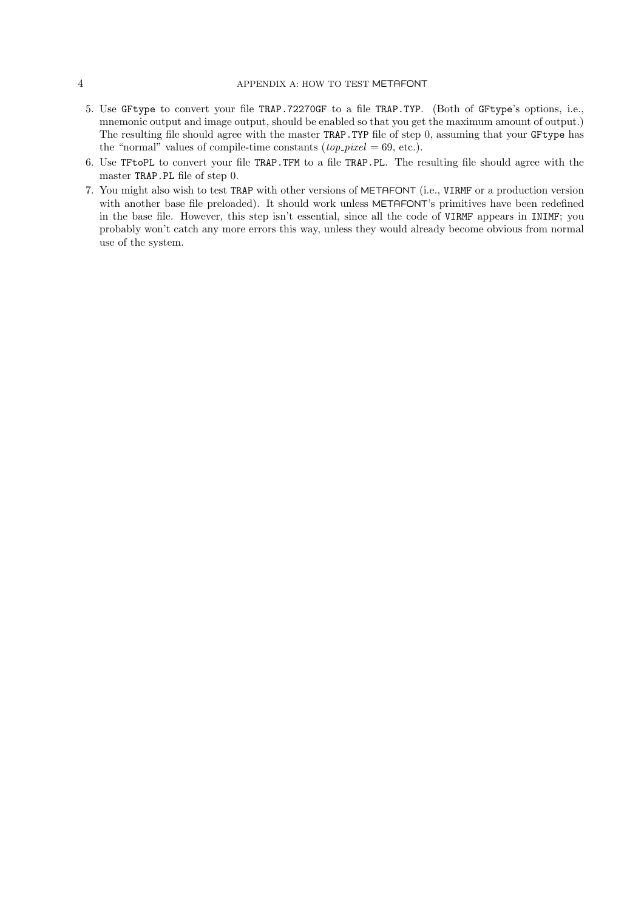- 5. Use GFtype to convert your file TRAP.72270GF to a file TRAP.TYP. (Both of GFtype's options, i.e., mnemonic output and image output, should be enabled so that you get the maximum amount of output.) The resulting file should agree with the master TRAP.TYP file of step 0, assuming that your GFtype has the "normal" values of compile-time constants  $(top\_pixel = 69, etc.).$
- 6. Use TFtoPL to convert your file TRAP.TFM to a file TRAP.PL. The resulting file should agree with the master TRAP.PL file of step 0.
- 7. You might also wish to test TRAP with other versions of METAFONT (i.e., VIRMF or a production version with another base file preloaded). It should work unless METAFONT's primitives have been redefined in the base file. However, this step isn't essential, since all the code of VIRMF appears in INIMF; you probably won't catch any more errors this way, unless they would already become obvious from normal use of the system.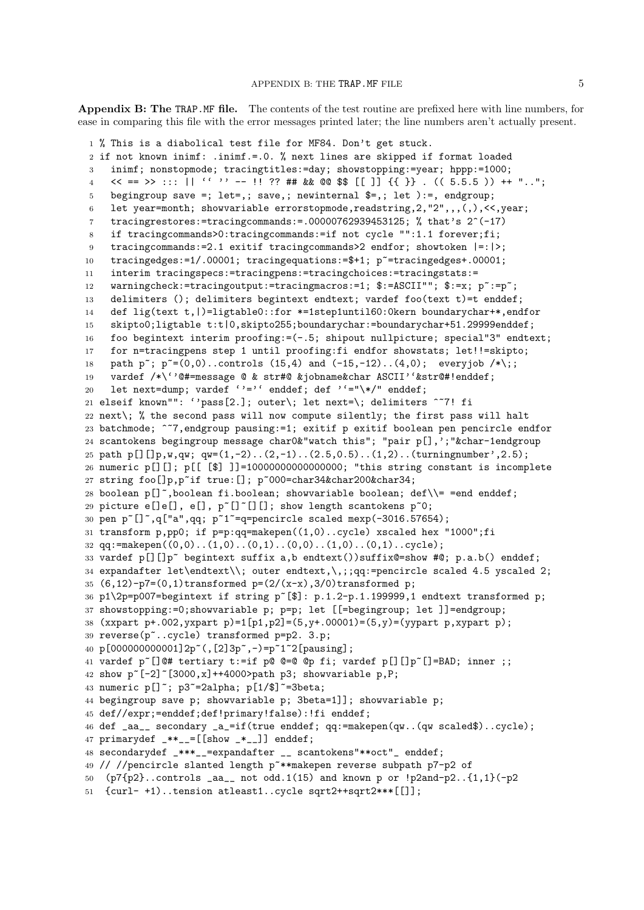Appendix B: The TRAP.MF file. The contents of the test routine are prefixed here with line numbers, for ease in comparing this file with the error messages printed later; the line numbers aren't actually present.

```
1 % This is a diabolical test file for MF84. Don't get stuck.
2 if not known inimf: .inimf.=.0. % next lines are skipped if format loaded
3 inimf; nonstopmode; tracingtitles:=day; showstopping:=year; hppp:=1000;
4 \langle \langle 5.5.5 \rangle ++ "..";
5 begingroup save =; let=,; save,; newinternal \hat{\xi}=,; let ):=, endgroup;
6 let year=month; showvariable errorstopmode, readstring, 2, "2", , , ( , ), \leq, year;
7 tracingrestores:=tracingcommands:=.00000762939453125; % that's 2^{\degree}(-17)
8 if tracingcommands>0:tracingcommands:=if not cycle "":1.1 forever;fi;
9 tracingcommands:=2.1 exitif tracingcommands>2 endfor; showtoken |=:|>;
10 tracingedges:=1/.00001; tracingequations:=$+1; p~=tracingedges+.00001;
11 interim tracingspecs:=tracingpens:=tracingchoices:=tracingstats:=
12 warningcheck:=tracingoutput:=tracingmacros:=1; $:=ASCII""; $:=x; p ~:=p ~;
13 delimiters (); delimiters begintext endtext; vardef foo(text t)=t enddef;
14 def lig(text t, | )=ligtable0::for *=1step1until60:0kern boundarychar+*, endfor
15 skipto0;ligtable t:t|0,skipto255;boundarychar:=boundarychar+51.29999enddef;
16 foo begintext interim proofing:=(-.5; shipout nullpicture; special"3" endtext;
17 for n=tracingpens step 1 until proofing:fi endfor showstats; let!!=skipto;
18 path p<sup>\sim</sup>; p<sup>\sim</sup>=(0,0)..controls (15,4) and (-15,-12)..(4,0); everyjob /*\;;
19 vardef /*\''@#=message @ & str#@ &jobname&char ASCII''&str@#!enddef;
20 let next=dump; vardef ''='' enddef; def ''="\*/" enddef;
21 elseif known"": ''pass[2.]; outer\; let next=\; delimiters ^~7! fi
22 next\; % the second pass will now compute silently; the first pass will halt
23 batchmode; ^~7,endgroup pausing:=1; exitif p exitif boolean pen pencircle endfor
24 scantokens begingroup message char0&"watch this"; "pair p[],';"&char-1endgroup
25 path p[][]p,w,qw; qw=(1,-2)..(2,-1)..(2.5,0.5)..(1,2)..(turningnumber',2.5);
26 numeric p[][]; p[[ [$] ]]=10000000000000000; "this string constant is incomplete
27 string foo[]p,p~if true:[]; p~000=char34&char200&char34;
28 boolean p[]", boolean fi.boolean; showvariable boolean; def\iota = =end enddef;
29 picture e[]e[], e[], p^*[]<sup>\lceil</sup>[][]; show length scantokens p<sup>\lceil</sup>0;
30 pen p^{\sim}[]\sim,q["a",qq; p^{\sim}1^{\sim}=q=pencircle scaled mexp(-3016.57654);
31 transform p,pp0; if p=p:qq=makepen((1,0)...cycle) xscaled hex "1000";fi
32 qq:=makepen((0,0)..(1,0)..(0,1)..(0,0)..(1,0)..(0,1)..cycle);
33 vardef p[][]p~ begintext suffix a,b endtext())suffix@=show #@; p.a.b() enddef;
34 expandafter let\endtext\\; outer endtext,\,;;qq:=pencircle scaled 4.5 yscaled 2;
35 (6,12)-p7=(0,1)transformed p=(2/(x-x),3/0)transformed p;
36 p1\2p=p007=begintext if string p~[$]: p.1.2-p.1.199999,1 endtext transformed p;
37 showstopping:=0;showvariable p; p=p; let [[=begingroup; let ]]=endgroup;
38 (xxpart p+.002, yxpart p)=1[p1,p2] = (5,y+0.0001) = (5,y) = (yypart p,xypart p);
39 reverse(p~..cycle) transformed p=p2. 3.p;
40 p[000000000001]2p~(,[2]3p~,-)=p~1~2[pausing];
41 vardef p<sup>\sim</sup>[]@# tertiary t:=if p@ @=@ @p fi; vardef p[][]p\sim[]=BAD; inner ;;
42 show p^{-}[-2] [3000, x] ++4000>path p3; showvariable p, P;
43 numeric p[]"; p3"=2alpha; p[1/$]"=3beta;
44 begingroup save p; showvariable p; 3beta=1]]; showvariable p;
45 def//expr;=enddef;def!primary!false):!fi enddef;
46 def _aa__ secondary _a_=if(true enddef; qq:=makepen(qw..(qw scaled$)..cycle);
47 primarydef -* = [[show -* ]] enddef;
48 secondarydef _***__=expandafter __ scantokens"**oct"_ enddef;
49 // //pencircle slanted length p<sup>~**makepen</sup> reverse subpath p7-p2 of
50 (p7{p2}..controls \text{aa}_{-} not odd.1(15) and known p or !p2and-p2..{1,1}(-p2
51 {curl- +1)..tension atleast1..cycle sqrt2++sqrt2***[[]];
```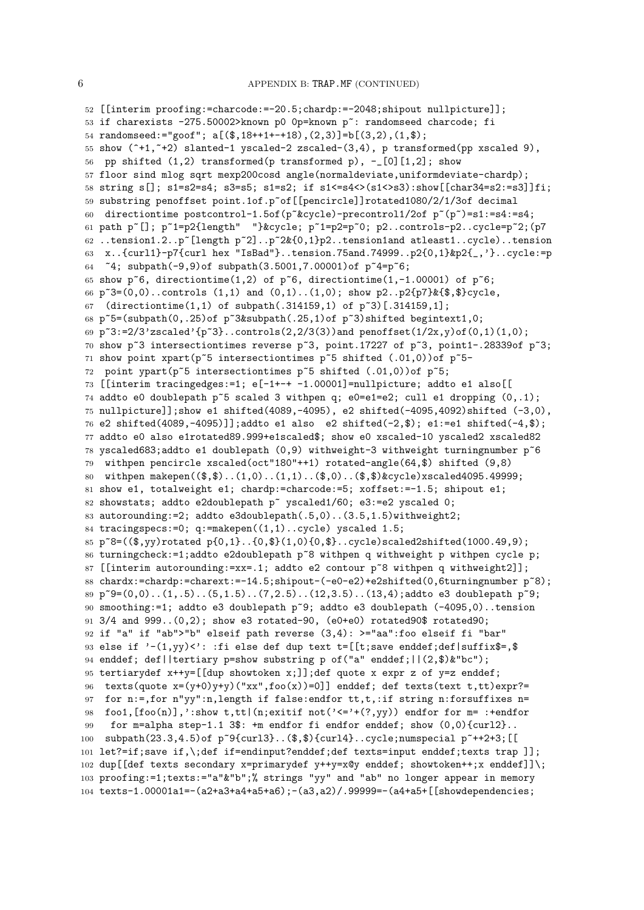```
52 [[interim proofing:=charcode:=-20.5;chardp:=-2048;shipout nullpicture]];
53 if charexists -275.50002>known p0 Op=known p<sup>o</sup>: randomseed charcode; fi
54 randomseed:="goof"; a[($,18++1+-+18),(2,3)]=b[(3,2),(1,$);
55 show (*1, *2) slanted-1 yscaled-2 zscaled-(3,4), p transformed(pp xscaled 9),
56 pp shifted (1,2) transformed(p transformed p), -[0][1,2]; show
57 floor sind mlog sqrt mexp200cosd angle(normaldeviate,uniformdeviate-chardp);
58 string s[]; s1=s2=s4; s3=s5; s1=s2; if s1<=s4<>(s1<>s3):show[[char34=s2:=s3]]fi;
59 substring penoffset point.1of.p~of[[pencircle]]rotated1080/2/1/3of decimal
60 directiontime postcontrol-1.5of(p~&cycle)-precontrol1/2of p~(p~)=s1:=s4:=s4;
61 path p~[]; p~1=p2{length" "}&cycle; p~1=p2=p~0; p2..controls-p2..cycle=p~2;(p7
62 ..tension1.2..p~[length p~2]..p~2&{0,1}p2..tension1and atleast1..cycle)..tension
63 x..{curl1}-p7{curl hex "IsBad"}..tension.75and.74999..p2{0,1}&p2{_,'}..cycle:=p
64 ~4; subpath(-9,9)of subpath(3.5001,7.00001)of p~4=p~6;
65 show p~6, directiontime(1,2) of p~6, directiontime(1,-1.00001) of p~6;
66 p^3=(0,0)..controls (1,1) and (0,1)..(1,0); show p^2..p2{p7}&{$,$}cycle,
67 (directiontime(1,1) of subpath(.314159,1) of p~3)[.314159,1];
68 p<sup>s</sup>=(subpath(0,.25)of p<sup>s</sup>&subpath(.25,1)of p<sup>s</sup>3)shifted begintext1,0;
69 p<sup>3:=2/3'</sup>zscaled'{p<sup>3</sup>}..controls(2,2/3(3))and penoffset(1/2x,y)of(0,1)(1,0);
70 show p~3 intersectiontimes reverse p~3, point.17227 of p~3, point1-.28339of p~3;
71 show point xpart(p~5 intersectiontimes p~5 shifted (.01,0))of p~5-
72 point ypart(p~5 intersectiontimes p~5 shifted (.01,0))of p~5;
73 [[interim tracingedges:=1; e[-1+-+ -1.00001]=nullpicture; addto e1 also[[
74 addto e0 doublepath p~5 scaled 3 withpen q; e0=e1=e2; cull e1 dropping (0,.1);
75 nullpicture]];show e1 shifted(4089,-4095), e2 shifted(-4095,4092)shifted (-3,0),
76 e2 shifted(4089,-4095)]];addto e1 also e2 shifted(-2,$); e1:=e1 shifted(-4,$);
77 addto e0 also e1rotated89.999+e1scaled$; show e0 xscaled-10 yscaled2 xscaled82
78 yscaled683;addto e1 doublepath (0,9) withweight-3 withweight turningnumber p~6
79 withpen pencircle xscaled(oct"180"++1) rotated-angle(64,$) shifted (9,8)
80 withpen makepen(($,$)..(1,0)..(1,1)..($,0)..($,$)&cycle)xscaled4095.49999;
81 show e1, totalweight e1; chardp:=charcode:=5; xoffset:=-1.5; shipout e1;
82 showstats; addto e2doublepath p<sup>~</sup> yscaled1/60; e3:=e2 yscaled 0;
83 autorounding:=2; addto e3doublepath(.5,0)..(3.5,1.5)withweight2;
84 tracingspecs:=0; q:=makepen((1,1)...c<sub>y</sub>cle) yscaled 1.5;
85 p~8=(($,yy)rotated p{0,1}..{0,$}(1,0){0,$}..cycle)scaled2shifted(1000.49,9);
86 turningcheck:=1;addto e2doublepath p<sup>~8</sup> withpen q withweight p withpen cycle p;
87 [[interim autorounding:=xx=.1; addto e2 contour p~8 withpen q withweight2]];
88 chardx:=chardp:=charext:=-14.5;shipout-(-e0-e2)+e2shifted(0,6turningnumber p~8);
89 p<sup>s</sup>9=(0,0)..(1, .5)..(5,1.5)..(7,2.5)..(12,3.5)..(13,4);addto e3 doublepath p<sup>s</sup>9;
90 smoothing:=1; addto e3 doublepath p~9; addto e3 doublepath (-4095,0)..tension
91 3/4 and 999..(0,2); show e3 rotated-90, (e0+e0) rotated90$ rotated90;
92 if "a" if "ab">"b" elseif path reverse (3,4): >="aa":foo elseif fi "bar"
93 else if '-(1,yy) :: fi else def dup text t=[[t;save enddef;def|suffix$=,$
94 enddef; def||tertiary p=show substring p of("a" enddef;||(2,$)&"bc");
95 tertiarydef x++y=[[dup showtoken x;]];def quote x expr z of y=z enddef;
96 texts(quote x=(y+0)y+y)("xx",foo(x))=0]] enddef; def texts(text t,tt)expr?=
97 for n:=,for n"yy":n,length if false:endfor tt,t,:if string n:forsuffixes n=
98 foo1, [foo(n)], ':show t,tt(n; exit if not ('<= '+(?,yy)) endfor for m= :+endfor
99 for m=alpha step-1.1 3$: +m endfor fi endfor enddef; show (0,0){curl2}..
100 subpath(23.3,4.5)of p~9{curl3}..($,$){curl4}..cycle;numspecial p~++2+3;[[
101 let?=if;save if,\;def if=endinput?enddef;def texts=input enddef;texts trap ]];
102 dup[[def texts secondary x=primarydef y++y=x@y enddef; showtoken++;x enddef]]\;
103 proofing:=1;texts:="a"&"b";% strings "yy" and "ab" no longer appear in memory
104 texts-1.00001a1=-(a2+a3+a4+a5+a6);-(a3,a2)/.99999=-(a4+a5+[[showdependencies;
```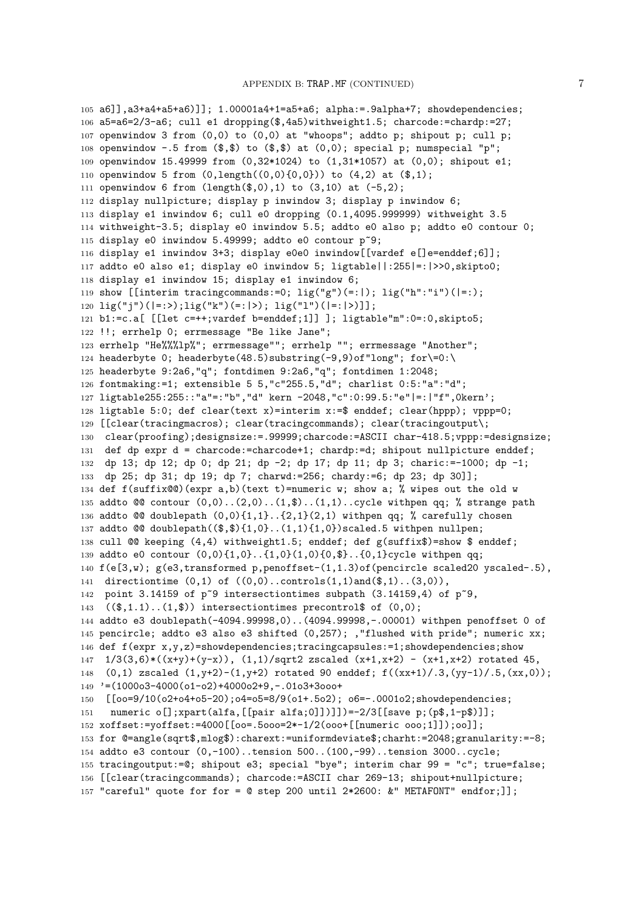```
105 a6]],a3+a4+a5+a6)]]; 1.00001a4+1=a5+a6; alpha:=.9alpha+7; showdependencies;
106 a5=a6=2/3-a6; cull e1 dropping($,4a5)withweight1.5; charcode:=chardp:=27;
107 openwindow 3 from (0,0) to (0,0) at "whoops"; addto p; shipout p; cull p;
108 openwindow -.5 from (\text{$\frac{1}{5}$}, \text{$\frac{1}{5}$}) to (\text{$\frac{1}{5}$}, \text{$\frac{1}{5}$}) at (0,0); special p; numspecial "p";
109 openwindow 15.49999 from (0,32*1024) to (1,31*1057) at (0,0); shipout e1;
110 openwindow 5 from (0, length((0,0)\{0,0\})) to (4,2) at (\text{$\ast$},1);
111 openwindow 6 from (length(\text{$\frac{6}{9}$},0),1) to (3,10) at (-5,2);
112 display nullpicture; display p inwindow 3; display p inwindow 6;
113 display e1 inwindow 6; cull e0 dropping (0.1,4095.999999) withweight 3.5
114 withweight-3.5; display e0 inwindow 5.5; addto e0 also p; addto e0 contour 0;
115 display e0 inwindow 5.49999; addto e0 contour p<sup>~9</sup>;
116 display e1 inwindow 3+3; display e0e0 inwindow[[vardef e[]e=enddef;6]];
117 addto e0 also e1; display e0 inwindow 5; ligtable||:255|=:|>>0,skipto0;
118 display e1 inwindow 15; display e1 inwindow 6;
119 show [[interim tracingcommands:=0; lig("g")(=:|); lig("h":"i")(|=:);
120 \text{lig}("i")(|=:>); \text{lig}("k") (=:|>); \text{lig}("l")(|=:|>)];
121 b1:=c.a[ [[let c=++;vardef b=enddef;1]] ]; ligtable"m":0=:0,skipto5;
122 !!; errhelp 0; errmessage "Be like Jane";
123 errhelp "He%%%lp%"; errmessage""; errhelp ""; errmessage "Another";
124 headerbyte 0; headerbyte(48.5)substring(-9,9)of"long"; for\geq 0:\125 headerbyte 9:2a6,"q"; fontdimen 9:2a6,"q"; fontdimen 1:2048;
126 fontmaking:=1; extensible 5 5,"c"255.5,"d"; charlist 0:5:"a":"d";
127 ligtable255:255::"a"=:"b","d" kern -2048,"c":0:99.5:"e"|=:|"f",0kern';
128 ligtable 5:0; def clear(text x)=interim x:=$ enddef; clear(hppp); vppp=0;
129 [[clear(tracingmacros); clear(tracingcommands); clear(tracingoutput\;
130 clear(proofing);designsize:=.99999;charcode:=ASCII char-418.5;vppp:=designsize;
131 def dp expr d = charcode:=charcode+1; chardp:=d; shipout nullpicture enddef;
132 dp 13; dp 12; dp 0; dp 21; dp -2; dp 17; dp 11; dp 3; charic:=-1000; dp -1;
133 dp 25; dp 31; dp 19; dp 7; charwd:=256; chardy:=6; dp 23; dp 30]];
134 def f(suffix@@)(expr a,b)(text t)=numeric w; show a; % wipes out the old w
135 addto @@ contour (0,0)..(2,0)..(1,$)..(1,1)..cycle withpen qq; % strange path
136 addto @@ doublepath (0,0)\{1,1\}..\{2,1\}(2,1) withpen qq; % carefully chosen
137 addto @Q doublepath((\text{\$},\text{\$}){1,0}...(1,1){1,0})scaled.5 withpen nullpen;
138 cull @@ keeping (4,4) withweight1.5; enddef; def g(suffix$)=show $ enddef;
139 addto e0 contour (0,0){1,0}..{1,0}(1,0){0,$}..{0,1}cycle withpen qq;
140 f(e[3,w); g(e3,transformed p,penoffset-(1,1.3)of(pencircle scaled20 yscaled-.5),
141 directiontime (0,1) of ((0,0)..controls(1,1) and(\$,1)..(3,0)),
142 point 3.14159 of p~9 intersectiontimes subpath (3.14159, 4) of p~9,
143 ((*,1.1)...(1,*)) intersectiontimes precontrol$ of (0,0);
144 addto e3 doublepath(-4094.99998,0)..(4094.99998,-.00001) withpen penoffset 0 of
145 pencircle; addto e3 also e3 shifted (0,257); ,"flushed with pride"; numeric xx;
146 def f(expr x,y,z)=showdependencies;tracingcapsules:=1;showdependencies;show
147 \quad 1/3(3,6)*(x+y)+(y-x)), \quad (1,1)/sqrtz zscaled (x+1,x+2) - (x+1,x+2) rotated 45,
148 (0,1) zscaled (1,y+2)-(1,y+2) rotated 90 enddef; f((xx+1)/.3,(yy-1)/.5,(xx,0));
149 '=(1000o3-4000(o1-o2)+4000o2+9,-.01o3+3ooo+
150 [[oo=9/10(o2+o4+o5-20);o4=o5=8/9(o1+.5o2); o6=-.0001o2;showdependencies;
151 numeric o[];xpart(alfa,[[pair alfa;0]])]])=-2/3[[save p;(p$,1-p$)]];
152 xoffset:=yoffset:=4000[[oo=.5ooo=2*-1/2(ooo+[[numeric ooo;1]]);oo]];
153 for @=angle(sqrt$,mlog$):charext:=uniformdeviate$;charht:=2048;granularity:=-8;
154 addto e3 contour (0,-100)..tension 500..(100,-99)..tension 3000..cycle;
155 tracingoutput:=@; shipout e3; special "bye"; interim char 99 = "c"; true=false;
156 [[clear(tracingcommands); charcode:=ASCII char 269-13; shipout+nullpicture;
157 "careful" quote for for = @ step 200 until 2*2600: &" METAFONT" endfor;]];
```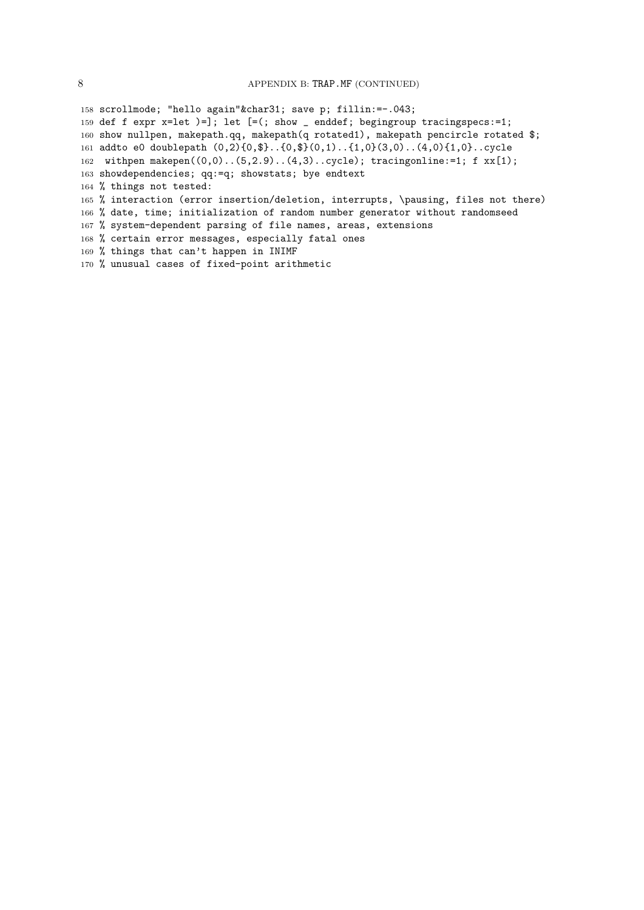scrollmode; "hello again"&char31; save p; fillin:=-.043; def f expr x=let )=]; let [=(; show \_ enddef; begingroup tracingspecs:=1; show nullpen, makepath.qq, makepath(q rotated1), makepath pencircle rotated \$; addto e0 doublepath (0,2){0,\$}..{0,\$}(0,1)..{1,0}(3,0)..(4,0){1,0}..cycle withpen makepen((0,0)..(5,2.9)..(4,3)..cycle); tracingonline:=1; f xx[1); showdependencies; qq:=q; showstats; bye endtext % things not tested: % interaction (error insertion/deletion, interrupts, \pausing, files not there) % date, time; initialization of random number generator without randomseed % system-dependent parsing of file names, areas, extensions % certain error messages, especially fatal ones % things that can't happen in INIMF % unusual cases of fixed-point arithmetic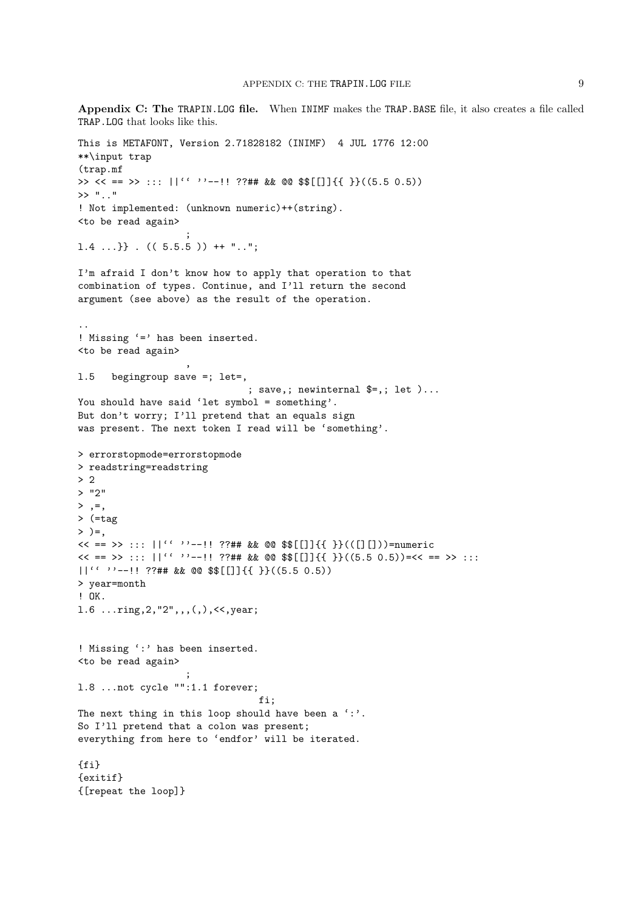Appendix C: The TRAPIN.LOG file. When INIMF makes the TRAP.BASE file, it also creates a file called TRAP.LOG that looks like this.

```
This is METAFONT, Version 2.71828182 (INIMF) 4 JUL 1776 12:00
**\input trap
(trap.mf
>> << == >> ::: ||{'}`' -- || ?? # # \&& @ \$$[[]]{ {\ }& {\ }}. (5.5 0.5))
>> ".."
! Not implemented: (unknown numeric)++(string).
<to be read again>
                    ;
1.4 ...} } . ((5.5.5)) ++ "..";
I'm afraid I don't know how to apply that operation to that
combination of types. Continue, and I'll return the second
argument (see above) as the result of the operation.
..
! Missing ' =' has been inserted.
<to be read again>
                    ,
l.5 begingroup save =; let=,
                               ; save,; newinternal $=,; let )...
You should have said 'let symbol = something'.
But don't worry; I'll pretend that an equals sign
was present. The next token I read will be 'something'.
> errorstopmode=errorstopmode
> readstring=readstring
> 2
> "2"
>, =,
> (=tag
> )=,
\langle \langle == \rangle ::: ||''''--!! ??## && @@ $$[[]]{{ }}(([][]))=numeric
<< == >> :: :: ||' ' ' -- :: ?## && @@ $$[[]]{{ }}((5.5 0.5))=<< == >> ::||'' ''--!! ??## && @@ $$[[]]{{ }}((5.5 0.5))
> year=month
! OK.
l.6 ...ring,2,"2",,,(,),<<,year;
! Missing ':' has been inserted.
<to be read again>
                    ;
l.8 ...not cycle "":1.1 forever;
                                 fi;
The next thing in this loop should have been a ' :'.
So I'll pretend that a colon was present;
everything from here to 'endfor' will be iterated.
{fi}
{exitif}
{[repeat the loop]}
```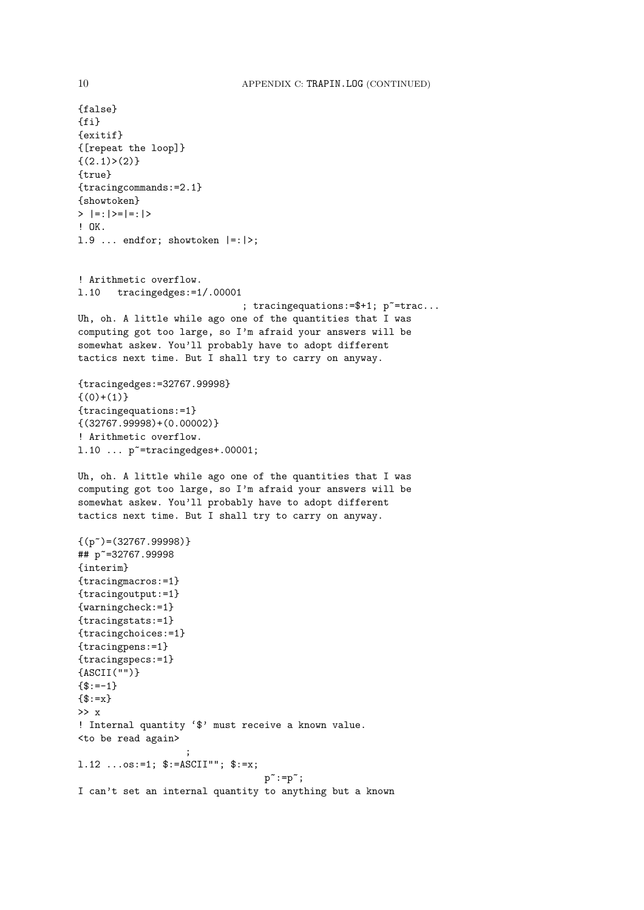{false} {fi} {exitif} {[repeat the loop]}  $\{(2,1)>(2)\}$ {true} {tracingcommands:=2.1} {showtoken}  $>$  |=:|>=|=:|> ! OK. 1.9 ... endfor; showtoken  $|=:|>;$ ! Arithmetic overflow. l.10 tracingedges:=1/.00001 ; tracing equations:  $=\$  +1;  $p$ <sup> $=$ </sup> +  $1$ ;  $q$ <sup> $=$ </sup> +  $1$ ;  $q$ Uh, oh. A little while ago one of the quantities that I was computing got too large, so I'm afraid your answers will be somewhat askew. You'll probably have to adopt different tactics next time. But I shall try to carry on anyway. {tracingedges:=32767.99998}  $\{(0)+(1)\}$ {tracingequations:=1} {(32767.99998)+(0.00002)} ! Arithmetic overflow.  $1.10$  ...  $p^{\sim}$ =tracingedges+.00001; Uh, oh. A little while ago one of the quantities that I was computing got too large, so I'm afraid your answers will be somewhat askew. You'll probably have to adopt different tactics next time. But I shall try to carry on anyway.  ${(p<sup>\sim</sup>)=(32767.99998)}$ ## p~=32767.99998 {interim} {tracingmacros:=1} {tracingoutput:=1} {warningcheck:=1} {tracingstats:=1} {tracingchoices:=1} {tracingpens:=1} {tracingspecs:=1} {ASCII("")}  ${f:=-1}$  $\{\$:=x\}$ >> x ! Internal quantity '\$' must receive a known value. <to be read again> ; 1.12 ... $\circ$ s:=1;  $\frac{\text{S}}{\text{S}}$ :=ASCII"";  $\frac{\text{S}}{\text{S}}$ :=x;  $p$ ":= $p$ "; I can't set an internal quantity to anything but a known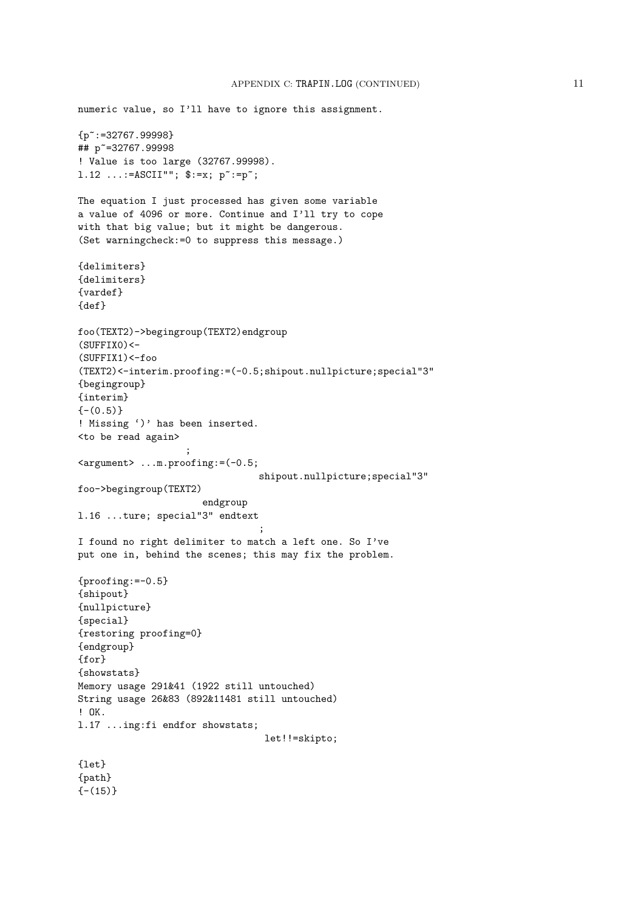```
numeric value, so I'll have to ignore this assignment.
{p~:=32767.99998}
## p~=32767.99998
! Value is too large (32767.99998).
1.12 ...:=\text{ASCII}""; \hat{\$}: = x; \ \text{p}^* := p^*;The equation I just processed has given some variable
a value of 4096 or more. Continue and I'll try to cope
with that big value; but it might be dangerous.
(Set warningcheck:=0 to suppress this message.)
{delimiters}
{delimiters}
{vardef}
{def}
foo(TEXT2)->begingroup(TEXT2)endgroup
(SUFFIX0) <-
(SUFFIX1)<-foo(TEXT2)<-interim.proofing:=(-0.5;shipout.nullpicture;special"3"
{begingroup}
{interim}
{-0.5}! Missing ')' has been inserted.
<to be read again>
                    ;
<argument> ...m.proofing:=(-0.5;
                                 shipout.nullpicture;special"3"
foo->begingroup(TEXT2)
                       endgroup
l.16 ...ture; special"3" endtext
                                 ;
I found no right delimiter to match a left one. So I've
put one in, behind the scenes; this may fix the problem.
{prooting:=-0.5}{shipout}
{nullpicture}
{special}
{restoring proofing=0}
{endgroup}
{for}
{showstats}
Memory usage 291&41 (1922 still untouched)
String usage 26&83 (892&11481 still untouched)
! OK.
l.17 ...ing:fi endfor showstats;
                                  let!!=skipto;
{let}
{path}
{- (15)}
```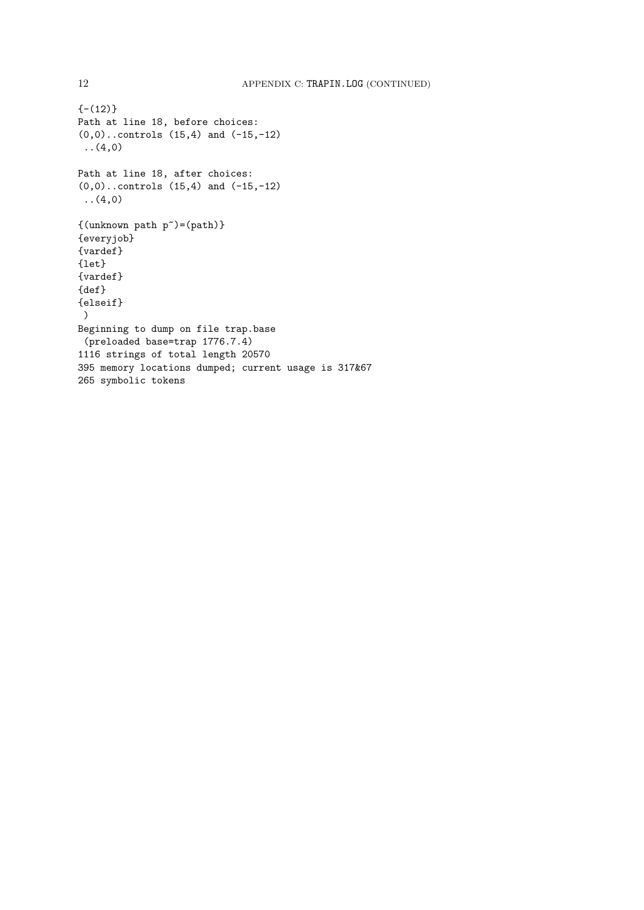```
{-12}Path at line 18, before choices:
(0,0)..controls (15,4) and (-15,-12)
(4,0)Path at line 18, after choices:
(0,0)..controls (15,4) and (-15,-12)
 (4,0)\{(\text{unknown path } p^*)=(\text{path})\}{everyjob}
{vardef}
{let}
{vardef}
{def}
{elseif}
 )
Beginning to dump on file trap.base
(preloaded base=trap 1776.7.4)
1116 strings of total length 20570
395 memory locations dumped; current usage is 317&67
265 symbolic tokens
```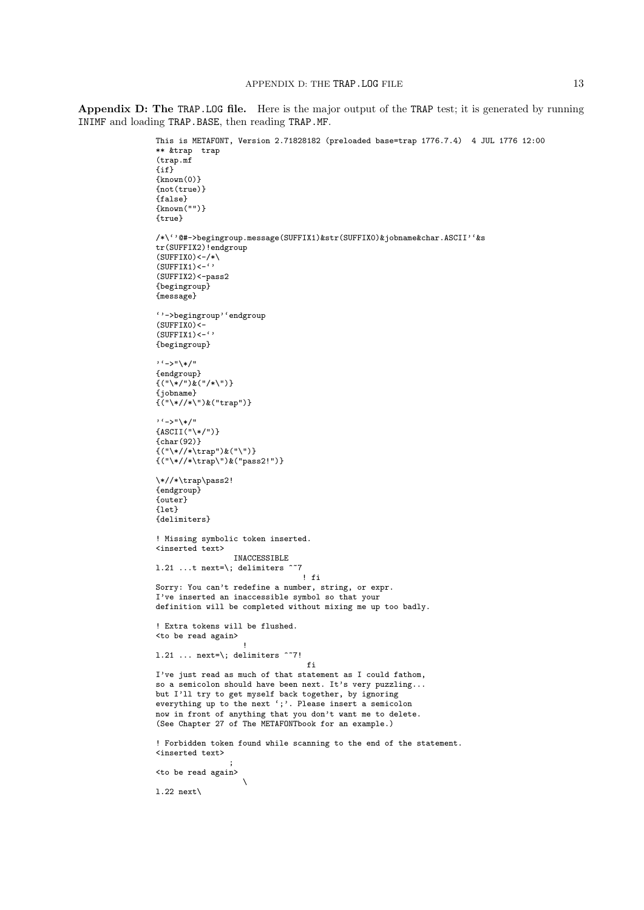Appendix D: The TRAP.LOG file. Here is the major output of the TRAP test; it is generated by running INIMF and loading TRAP.BASE, then reading TRAP.MF.

```
This is METAFONT, Version 2.71828182 (preloaded base=trap 1776.7.4) 4 JUL 1776 12:00
** &trap trap
(trap.mf
\{if\}\{known(0)\}{not(true)}
{false}
{known("")}
{true}
\mathbin{/}\ast\backslash\lq\lq\ast\mathtt{-}\mathtt{b} begingroup.message(SUFFIX1)&str(SUFFIX0)&jobname&char.ASCII''&s
tr(SUFFIX2)!endgroup
(SUFFIX0)<-/*\(SUFFIX1) <-\cdot''
(SUFFIX2)<-pass2{begingroup}
{message}
''->begingroup''endgroup
(SUFFIX0)<-
(SUFFIX1) <- ''
{begingroup}
''->"\*/"
{endgroup}
\{("\\*/")\&("/*\\")\}{jobname}
{("\*//*\")&("trap")}
''->"\*/"
{ASCII("\*/")}
{char(92)}
{("\*//*\trap")&("\")}
{("\*//*\trap\")&("pass2!")}
\*//*\trap\pass2!
{endgroup}
{outer}
{let}
{delimiters}
! Missing symbolic token inserted.
<inserted text>
                  INACCESSIBLE
1.21 ...t next=\; delimiters \tilde{ } 7
                                 \mathbf{f} fi
Sorry: You can't redefine a number, string, or expr.
I've inserted an inaccessible symbol so that your
definition will be completed without mixing me up too badly.
! Extra tokens will be flushed.
<to be read again>
                    !
l.21 ... next=\; delimiters ^~7!
                                  fi
I've just read as much of that statement as I could fathom,
so a semicolon should have been next. It's very puzzling...
but I'll try to get myself back together, by ignoring
everything up to the next ';'. Please insert a semicolon
now in front of anything that you don't want me to delete.
(See Chapter 27 of The METAFONTbook for an example.)
! Forbidden token found while scanning to the end of the statement.
<inserted text>
                 ;
<to be read again>
                    \
l.22 next\
```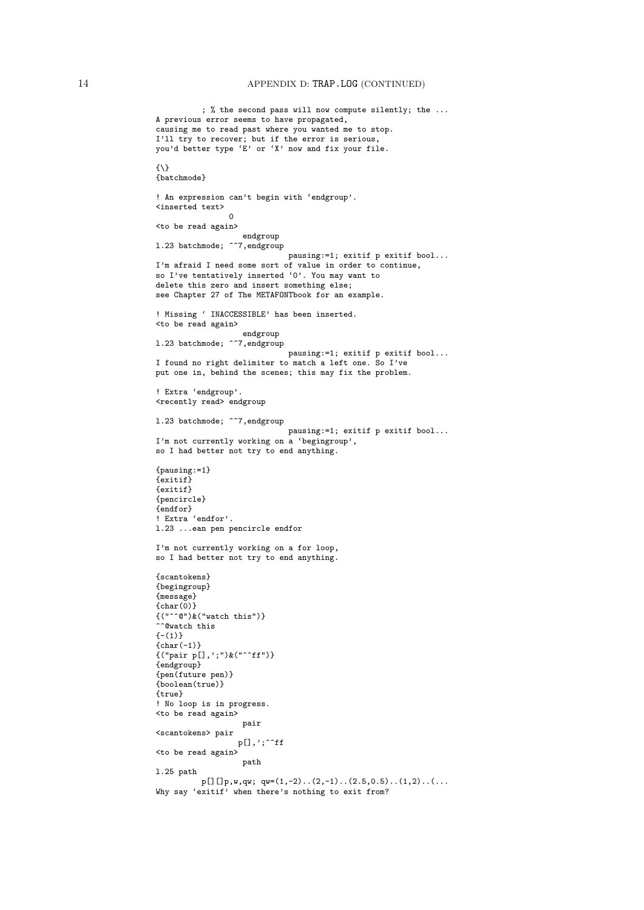## 14 APPENDIX D: TRAP.LOG (CONTINUED)

```
; % the second pass will now compute silently; the ...
A previous error seems to have propagated,
causing me to read past where you wanted me to stop.
I'll try to recover; but if the error is serious,
you'd better type 'E' or 'X' now and fix your file.
{\{\setminus\}}{batchmode}
! An expression can't begin with 'endgroup'.
<inserted text>
                 0
<to be read again>
                    endgroup
1.23 batchmode; ^~7,endgroup
                               pausing:=1; exitif p exitif bool...
I'm afraid I need some sort of value in order to continue,
so I've tentatively inserted '0'. You may want to
delete this zero and insert something else;
see Chapter 27 of The METAFONTbook for an example.
! Missing ' INACCESSIBLE' has been inserted.
<to be read again>
                    endgroup
1.23 batchmode; \sim7, endgroup
                              pausing:=1; exitif p exitif bool...
I found no right delimiter to match a left one. So I've
put one in, behind the scenes; this may fix the problem.
! Extra 'endgroup'.
<recently read> endgroup
1.23 batchmode; ^~7,endgroup
                              pausing:=1; exitif p exitif bool...
I'm not currently working on a 'begingroup',
so I had better not try to end anything.
{pausing:=1}
{exitif}
{exitif}
{pencircle}
{endfor}
! Extra 'endfor'.
l.23 ...ean pen pencircle endfor
I'm not currently working on a for loop,
so I had better not try to end anything.
{scantokens}
{begingroup}
{message}
{char(0)}
\{(\n\begin{smallmatrix} 0 & \hat{c} & \hat{c} \\ \hat{c} & \hat{c} & \hat{c} \end{smallmatrix})\}\n\}..<br>^^@watch this
{-(1)}{char(-1)}{("pair p[],';")&("^^ff")}
{endgroup}
{pen(future pen)}
{boolean(true)}
{true}
! No loop is in progress.
<to be read again>
                    pair
<scantokens> pair
                  p[],';^^ff
<to be read again>
                    path
l.25 path
          p[][]p,w,qw; qw=(1,-2)..(2,-1)..(2.5,0.5)..(1,2)......
Why say 'exitif' when there's nothing to exit from?
```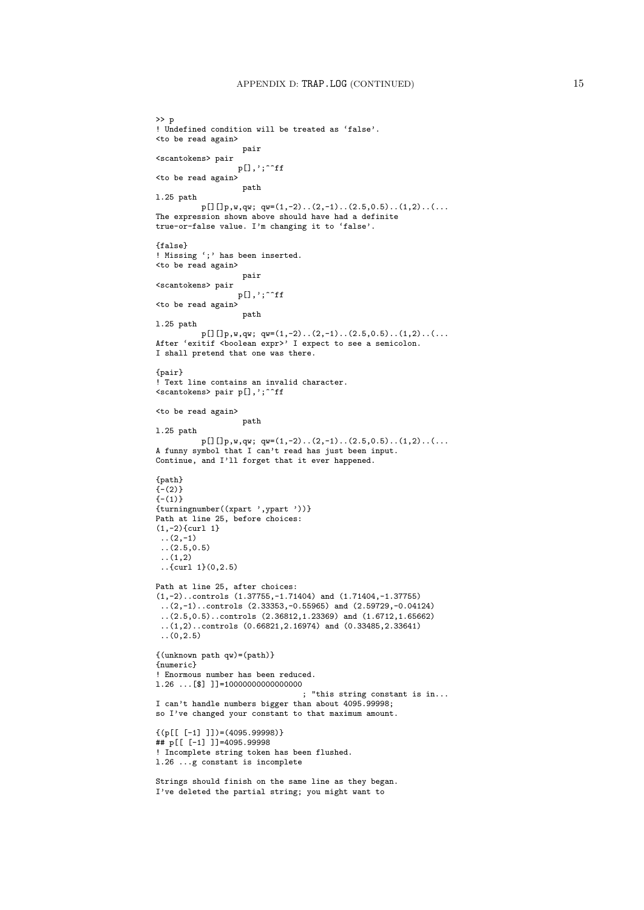```
>> p
! Undefined condition will be treated as 'false'.
<to be read again>
                   pair
<scantokens> pair
                  p[],';^^ff
<to be read again>
                   path
l.25 path
         p[][]p,w,qw; qw=(1,-2) \ldots (2,-1) \ldots (2.5,0.5) \ldots (1,2) \ldots (...The expression shown above should have had a definite
true-or-false value. I'm changing it to 'false'.
{false}
! Missing ';' has been inserted.
<to be read again>
                   pair
<scantokens> pair
                  p[],';^^ff
<to be read again>
                   path
l.25 path
          p[][]p,w,qw; qw=(1,-2)..(2,-1)..(2.5,0.5)..(1,2)..(...
After 'exitif <boolean expr>' I expect to see a semicolon.
I shall pretend that one was there.
{pair}
! Text line contains an invalid character.
<scantokens> pair p[],';^^ff
<to be read again>
                   path
l.25 path
          p[][]p,w,qw; qw=(1,-2)..(2,-1)..(2.5,0.5)..(1,2)......
A funny symbol that I can't read has just been input.
Continue, and I'll forget that it ever happened.
{path}
(-2)(-1){turningnumber((xpart ',ypart '))}
Path at line 25, before choices:
(1,-2){curl 1}
 (2,-1)(2.5, 0.5)\ldots(1,2)..{curl 1}(0,2.5)
Path at line 25, after choices:
(1,-2)..controls (1.37755,-1.71404) and (1.71404,-1.37755)
 ..(2,-1)..controls (2.33353,-0.55965) and (2.59729,-0.04124)
 ..(2.5,0.5)..controls (2.36812,1.23369) and (1.6712,1.65662)
 ..(1,2)..controls (0.66821,2.16974) and (0.33485,2.33641)
 ..(0,2.5)
{(unknown path qw)=(path)}
{numeric}
! Enormous number has been reduced.
l.26 ...[$] ]]=10000000000000000
                                 ; "this string constant is in...
I can't handle numbers bigger than about 4095.99998;
so I've changed your constant to that maximum amount.
\{(p[[ [-1] ]) = (4095.99998)\})## p[[ [-1] ]]=4095.99998
! Incomplete string token has been flushed.
l.26 ...g constant is incomplete
Strings should finish on the same line as they began.
I've deleted the partial string; you might want to
```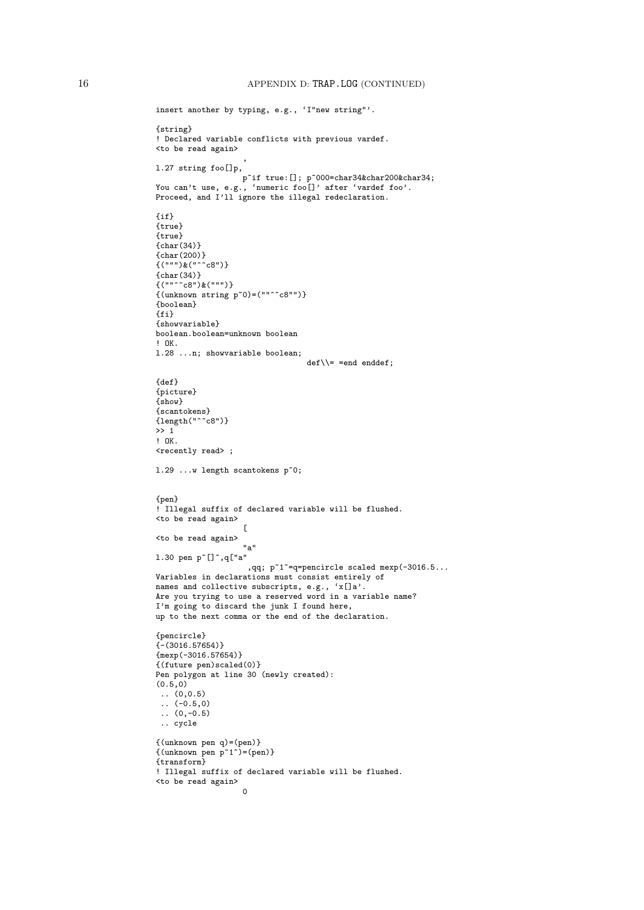```
insert another by typing, e.g., 'I"new string"'.
{string}
! Declared variable conflicts with previous vardef.
<to be read again>
                    ,
l.27 string foo[]p,
                   p~if true:[]; p~000=char34&char200&char34;
You can't use, e.g., 'numeric foo[]' after 'vardef foo'.
Proceed, and I'll ignore the illegal redeclaration.
{if}
{true}
{true}
{char}(34){char}(200)\{(""")\&(""""c8")\}{char}(34){(""^^c8")&(""")}
\{(unknown string p^0)=(""^c8"")\}{boolean}
{fi}
{showvariable}
boolean.boolean=unknown boolean
! OK.
l.28 ...n; showvariable boolean;
                                  def\=\n= end end\end{cases}{def}
{picture}
{show}
{scantokens}
\{length("^c68")\}\gg 1! OK.
<recently read> ;
l.29 ...w length scantokens p~0;
{pen}
! Illegal suffix of declared variable will be flushed.
<to be read again>
                    \lceil<to be read again>
                    "a"
1.30 pen p<sup>~</sup>[]<sup>~</sup>,q["a"
                     ,qq; p~1~=q=pencircle scaled mexp(-3016.5...
Variables in declarations must consist entirely of
names and collective subscripts, e.g., 'x[]a'.
Are you trying to use a reserved word in a variable name?
I'm going to discard the junk I found here,
up to the next comma or the end of the declaration.
{pencircle}
{-}(3016.57654)}
{mexp(-3016.57654)}
{(future pen)scaled(0)}
Pen polygon at line 30 (newly created):
(0.5,0)
\ldots (0,0.5)
 \ldots (-0.5,0)
 (0,-0.5).. cycle
{(unknown pen q)=(pen)}
{(unknown pen p^1^")=(pen)}{transform}
! Illegal suffix of declared variable will be flushed.
<to be read again>
                    \sim
```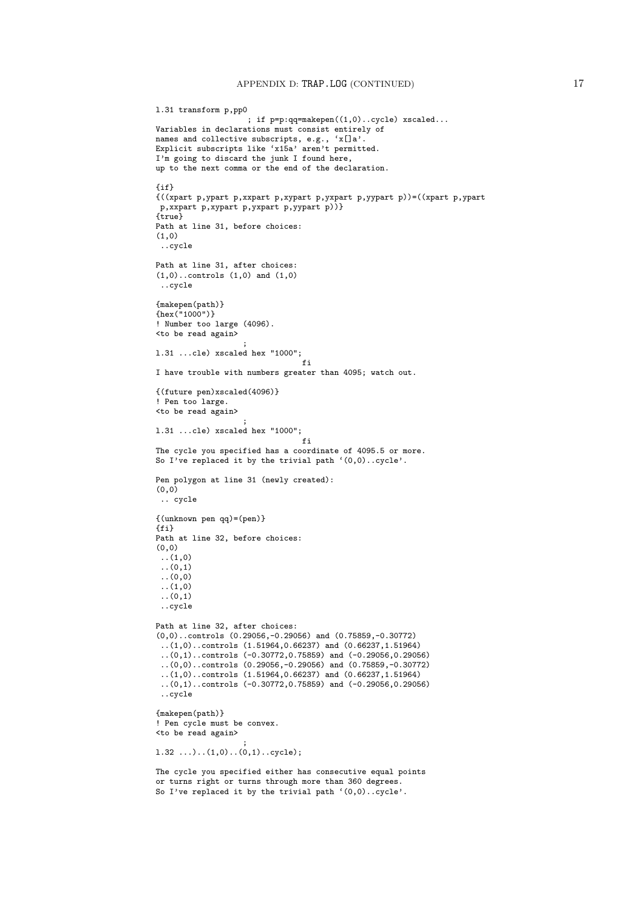```
l.31 transform p,pp0
                    ; if p=p:qq=makepen((1,0)..cycle) xscaled...
Variables in declarations must consist entirely of
names and collective subscripts, e.g., 'x[]a'.
Explicit subscripts like 'x15a' aren't permitted.
I'm going to discard the junk I found here,
up to the next comma or the end of the declaration.
{if}
{((xpart p,ypart p,xxpart p,xypart p,yxpart p,yypart p))=((xpart p,ypart
p,xxpart p,xypart p,yxpart p,yypart p))}
{true}
Path at line 31, before choices:
(1,0)
 ..cycle
Path at line 31, after choices:
(1,0)..controls (1,0) and (1,0)
 ..cycle
{makepen(path)}
{\rm (hex(^{n}1000")}}
! Number too large (4096).
<to be read again>
                    ;
l.31 ...cle) xscaled hex "1000";
                                fi
I have trouble with numbers greater than 4095; watch out.
{(future pen)xscaled(4096)}
! Pen too large.
<to be read again>
                    ;
l.31 ...cle) xscaled hex "1000";
                                fi
The cycle you specified has a coordinate of 4095.5 or more.
So I've replaced it by the trivial path '(0,0)..cycle'.
Pen polygon at line 31 (newly created):
(0, 0).. cycle
{(unknown pen qq)=(pen)}
{fi}
Path at line 32, before choices:
(0,0)
..(1,0)
 \ldots(0,1)..(0,0)
 ..(1,0)
..(0,1)
 ..cycle
Path at line 32, after choices:
(0,0)..controls (0.29056,-0.29056) and (0.75859,-0.30772)
..(1,0)..controls (1.51964,0.66237) and (0.66237,1.51964)
 ..(0,1)..controls (-0.30772,0.75859) and (-0.29056,0.29056)
 ..(0,0)..controls (0.29056,-0.29056) and (0.75859,-0.30772)
 \ldots(1,0) \ldots controls (1.51964,0.66237) and (0.66237,1.51964)..(0,1)..controls (-0.30772,0.75859) and (-0.29056,0.29056)
 ..cycle
{makepen(path)}
! Pen cycle must be convex.
<to be read again>
                    ;
l.32 ...)..(1,0)..(0,1)..cycle);
The cycle you specified either has consecutive equal points
or turns right or turns through more than 360 degrees.
So I've replaced it by the trivial path '(0,0)..cycle'.
```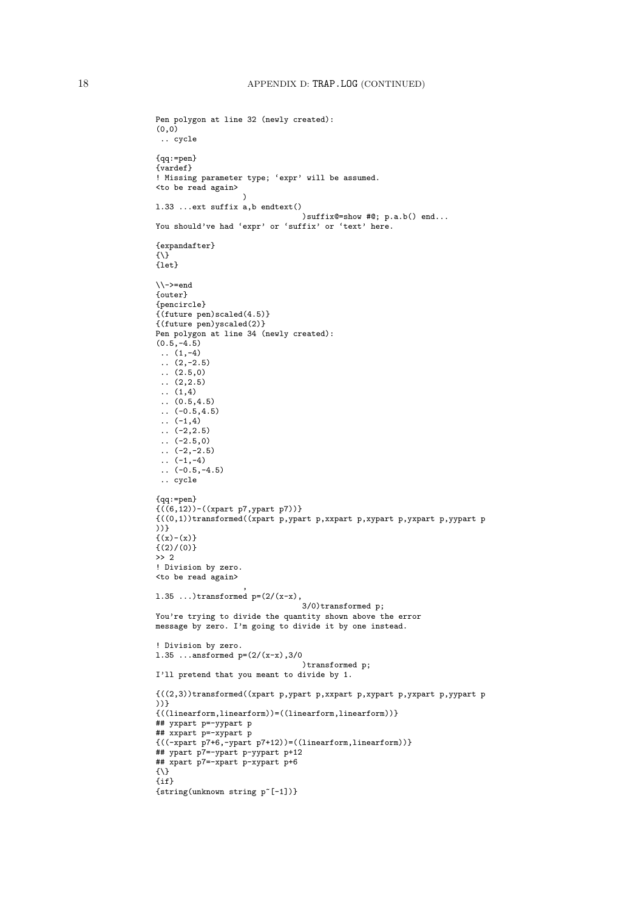```
Pen polygon at line 32 (newly created):
(0,0)
.. cycle
{qq:=pen}
{vardef}
! Missing parameter type; 'expr' will be assumed.
<to be read again>
                        \lambdal.33 ...ext suffix a,b endtext()
                                         )suffix@=show #@; p.a.b() end...
You should've had 'expr' or 'suffix' or 'text' here.
{expandafter}
{\{\setminus\}}{let}
\\->=end
{outer}
{pencircle}
{(future pen)scaled(4.5)}
{(future pen)yscaled(2)}
Pen polygon at line 34 (newly created):
(0.5,-4.5)\ldots (1,-4)
 \ldots (2,-2.5)
.. (2.5,0)
 \ldots (2,2.5)
 \ldots (1,4)
 (0.5, 4.5)\ldots (-0.5,4.5)
 \ldots (-1,4)
 \ldots (-2,2.5)
 \therefore (-2.5,0)
 \ldots (-2,-2.5)
 \ldots (-1,-4)
\ldots (-0.5, -4.5)
 .. cycle
{qq:=pen}
{((6,12))-((xpart p7,ypart p7))}
{((0,1))transformed((xpart p,ypart p,xxpart p,xypart p,yxpart p,yypart p
))}
\{(x)-(x)\}{(2)/(0)}
>> 2
! Division by zero.
<to be read again>
                         ,
1.35 ...)transformed p=(2/(x-x)),
                                         3/0)transformed p;
You're trying to divide the quantity shown above the error
message by zero. I'm going to divide it by one instead.
! Division by zero.
1.35 ...ansformed p=(2/(x-x),3/0))transformed p;
I'll pretend that you meant to divide by 1.
{((2,3))}transformed((xpart p, ypart p, xxpart p, xypart p, yxpart p, yypart p, yyxyart p, yyxyart p, yyxyart p, yyxyart p, yyxyart p, yxxyart p, yxxyart p, yxxyart p, yxxyart p, yxxyart p, yxxyart p, yxxyart p, yxxyart p, yxxyart p, yxxyart p, yxxyart p, yxxyart p, yxxyart p, yxxyart p, yxxyart p, yxxyart p, yxxyart p, yxxyart p, yxxyart p, yxxyart p, yxxyart p, yxxyart p, yxxyart p, yxxy))}
{((linearform,linearform))=((linearform,linearform))}
## yxpart p=-yypart p
## xxpart p=-xypart p
{((-xpart p7+6,-ypart p7+12))=((linearform,linearform))}
## ypart p7=-ypart p-yypart p+12
## xpart p7=-xpart p-xypart p+6
{\}
{if}
{string(unknown string p~[-1])}
```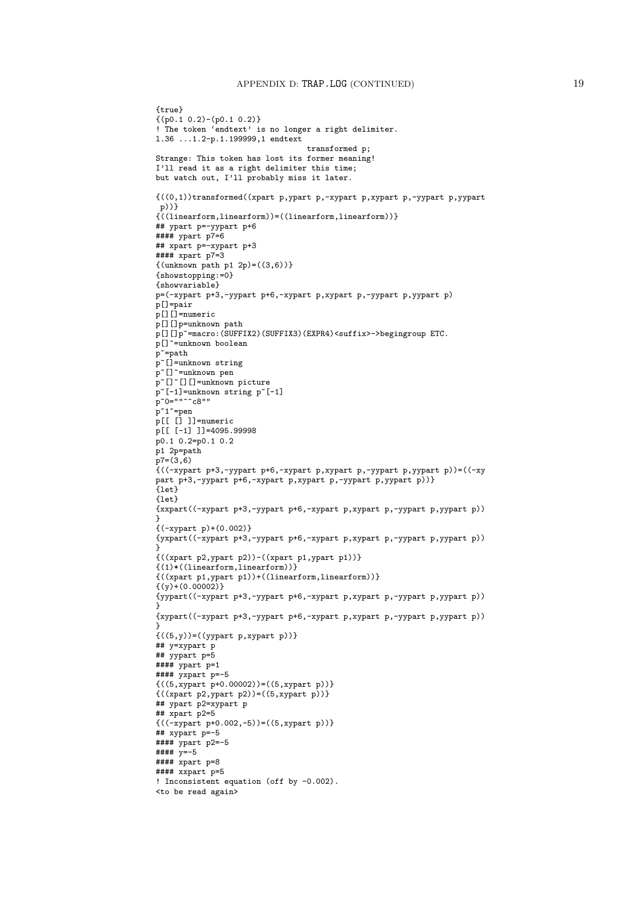```
{true}
{(p0.1 0.2)-(p0.1 0.2)}
! The token 'endtext' is no longer a right delimiter.
l.36 ...1.2-p.1.199999,1 endtext
                                    transformed p;
Strange: This token has lost its former meaning!
I'll read it as a right delimiter this time;
but watch out, I'll probably miss it later.
{((0,1))}transformed((xpart p, ypart p, -xypart p, xypart p, -yypart p, yyear t)p))}
{((linearform,linearform))=((linearform,linearform))}
## ypart p=-yypart p+6
#### ypart p7=6
## xpart p=-xypart p+3
#### xpart p7=3
{(unknown path p1 2p)=((3,6))}{showstopping:=0}
{showvariable}
p=(-xypart p+3,-yypart p+6,-xypart p,xypart p,-yypart p,yypart p)
p[]=pair
p[][]=numeric
p[][]p=unknown path
p[][]p~=macro:(SUFFIX2)(SUFFIX3)(EXPR4)<suffix>->begingroup ETC.
p[]~=unknown boolean
p~=path
p~[]=unknown string
p~[]~=unknown pen
p~[]~[][]=unknown picture
p~[-1]=unknown string p~[-1]
p^{\infty}0=""\cap c8""
p^1 = pen
p[[ [] ]]=numeric
p[[ [-1] ]]=4095.99998p0.1 0.2=p0.1 0.2
p1 2p=path
p7=(3,6){\binom{1}{x}} ((-xypart p+3,-yypart p+6,-xypart p,xypart p,-yypart p,yypart p))=((-xy
part p+3,-yypart p+6,-xypart p,xypart p,-yypart p,yypart p))}
\overline{1} et \overline{1}{1}et}{xxpart((-xypart p+3,-yypart p+6,-xypart p,xypart p,-yypart p,yypart p))
}
{(-xypart p)+(0.002)}
{yxpart((-xypart p+3,-yypart p+6,-xypart p,xypart p,-yypart p,yypart p))
}
{((xpart p2,ypart p2))-((xpart p1,ypart p1))}
{(1)*((linearform,linearform))}
\{((\mathtt{xpart~p1},\mathtt{ypart~p1}))+((\mathtt{linearform},\mathtt{linearform}))\}\{(y)+(0.00002)\}{yypart((-xypart p+3,-yypart p+6,-xypart p,xypart p,-yypart p,yypart p))
}
{xypart((-xypart p+3,-yypart p+6,-xypart p,xypart p,-yypart p,yypart p))
}
\{((5,y))\text{=}((\text{yypart p}, \text{xypart p}))\}## y=xypart p
## yypart p=5
#### ypart p=1
#### yxpart p=-5
{((5,xypart p+0.00002))=( (5,xypart p)) }{((\text{xpart p2}, \text{ypart p2}))=( (5, \text{xpart p}))}## ypart p2=xypart p
\stackrel{\cdot}{\text{#}} \stackrel{\cdot}{\text{*}} xpart p2=5
{((-xypart p+0.002,-5))=((5,xypart p))}
## xypart p=-5
#### ypart p2=-5
# # # # y=-5#### xpart p=8
#### xxpart p=5
! Inconsistent equation (off by -0.002).
<to be read again>
```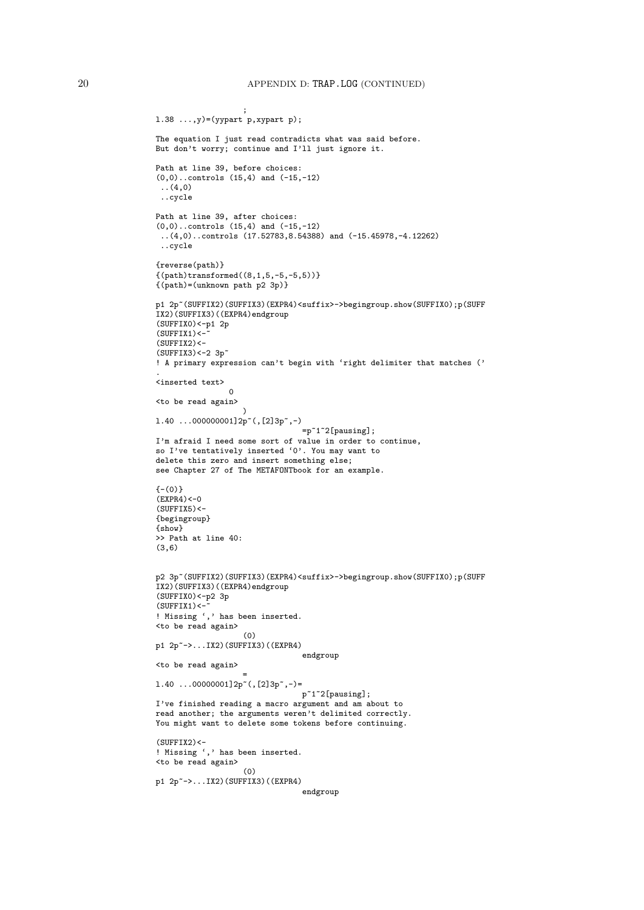```
;
l.38 ...,y)=(yypart p,xypart p);
The equation I just read contradicts what was said before.
But don't worry; continue and I'll just ignore it.
Path at line 39, before choices:
(0,0)..controls (15,4) and (-15,-12)
 ..(4,0)
..cycle
Path at line 39, after choices:
(0,0)..controls (15,4) and (-15,-12)
 ..(4,0)..controls (17.52783,8.54388) and (-15.45978,-4.12262)
 ..cycle
{reverse(path)}
{(path) transformed((8,1,5,-5,-5,5))}{(path)=(unknown path p2 3p)}p1 2p~(SUFFIX2)(SUFFIX3)(EXPR4)<suffix>->begingroup.show(SUFFIX0);p(SUFF
IX2)(SUFFIX3)((EXPR4)endgroup
(SUFFIX0)<-p1 2p(SUFFIX1)<-(SUFFIX2)<-(SUFFIX3)<-2 3p<sup>~</sup>
! A primary expression can't begin with 'right delimiter that matches ('
.
<inserted text>
                 0
<to be read again>
                   \rightarrow1.40 \ldots 000000001]2p^*(, [2]3p^*,-)=p^{\sim}1^{\sim}2[pausing];
I'm afraid I need some sort of value in order to continue,
so I've tentatively inserted '0'. You may want to
delete this zero and insert something else;
see Chapter 27 of The METAFONTbook for an example.
(-(0)}
(EXPR4) < -0(SUFFTX5)<-{begingroup}
{show}
>> Path at line 40:
(3,6)
p2 3p~(SUFFIX2)(SUFFIX3)(EXPR4)<suffix>->begingroup.show(SUFFIX0);p(SUFF
IX2)(SUFFIX3)((EXPR4)endgroup
(SUFFIX0)<-p2 3p
(SUFFIX1) <-
! Missing ',' has been inserted.
<to be read again>
                    (0)
p1 2p~->...IX2)(SUFFIX3)((EXPR4)
                                 endgroup
<to be read again>
                    =
1.40 ...00000001]2p~(,[2]3p~,-)=
                                p~1~2[pausing];
I've finished reading a macro argument and am about to
read another; the arguments weren't delimited correctly.
You might want to delete some tokens before continuing.
(SUFFIX2)<-! Missing ',' has been inserted.
<to be read again>
                   (0)p1 2p~->...IX2)(SUFFIX3)((EXPR4)
                                 endgroup
```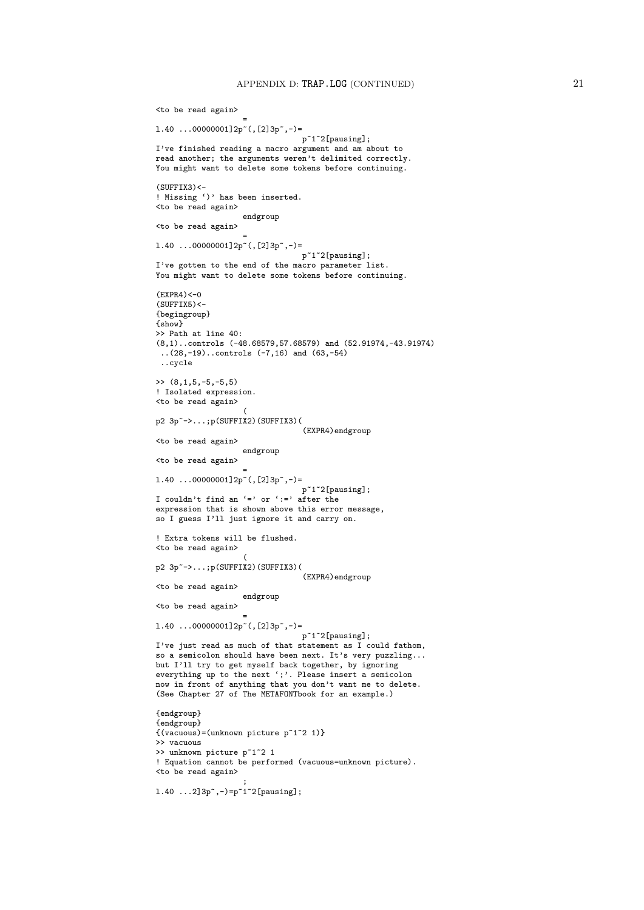```
<to be read again>
                   =
1.40 ...00000001]2p~(,[2]3p~,-)=
                                p~1~2[pausing];
I've finished reading a macro argument and am about to
read another; the arguments weren't delimited correctly.
You might want to delete some tokens before continuing.
(SUFFIX3)<-! Missing ')' has been inserted.
<to be read again>
                   endgroup
<to be read again>
                   =
l.40 ...00000001]2p~(,[2]3p~,-)=
                                p~1~2[pausing];
I've gotten to the end of the macro parameter list.
You might want to delete some tokens before continuing.
(EXPR4) < -0(SUFFIX5)<-{begingroup}
{show}
>> Path at line 40:
(8,1)..controls (-48.68579,57.68579) and (52.91974,-43.91974)
 ..(28,-19)..controls (-7,16) and (63,-54)
 ..cycle
\gg (8,1,5,-5,-5,5)
! Isolated expression.
<to be read again>
                  \sqrt{ }p2 3p~->...;p(SUFFIX2)(SUFFIX3)(
                                (EXPR4)endgroup
<to be read again>
                   endgroup
<to be read again>
                   =
l.40 ...00000001]2p~(,[2]3p~,-)=
                               p~1~2[pausing];
I couldn't find an '=' or ' :=' after the
expression that is shown above this error message,
so I guess I'll just ignore it and carry on.
! Extra tokens will be flushed.
<to be read again>
                   (
p2 3p~->...;p(SUFFIX2)(SUFFIX3)(
                                (EXPR4)endgroup
<to be read again>
                   endgroup
<to be read again>
                   =
l.40 ...00000001]2p~(,[2]3p~,-)=
                                p~1~2[pausing];
I've just read as much of that statement as I could fathom,
so a semicolon should have been next. It's very puzzling...
but I'll try to get myself back together, by ignoring
everything up to the next ';'. Please insert a semicolon
now in front of anything that you don't want me to delete.
(See Chapter 27 of The METAFONTbook for an example.)
{endgroup}
{endgroup}
{(vacuous)=(unknown picture p~1~2 1)}
>> vacuous
>> unknown picture p~1~2 1
! Equation cannot be performed (vacuous=unknown picture).
<to be read again>
                   ;
l.40 ...2]3p~,-)=p~1~2[pausing];
```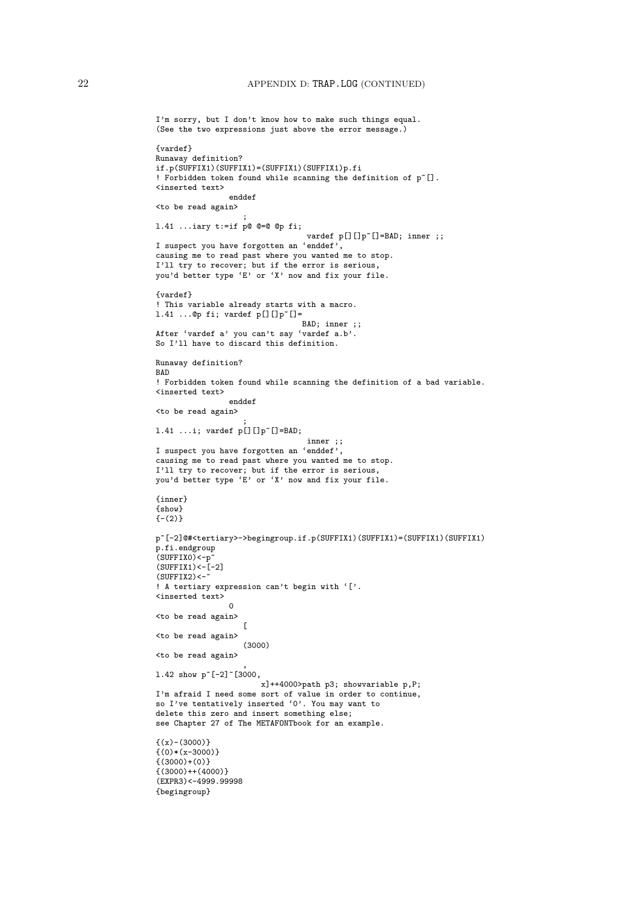```
I'm sorry, but I don't know how to make such things equal.
(See the two expressions just above the error message.)
{vardef}
Runaway definition?
if.p(SUFFIX1)(SUFFIX1)=(SUFFIX1)(SUFFIX1)p.fi
! Forbidden token found while scanning the definition of p~[].
<inserted text>
                enddef
<to be read again>
                    ;
l.41 ...iary t:=if p@ @=@ @p fi;
                                  vardef p[][]p~[]=BAD; inner ;;
I suspect you have forgotten an 'enddef',
causing me to read past where you wanted me to stop.
I'll try to recover; but if the error is serious,
you'd better type 'E' or 'X' now and fix your file.
{vardef}
! This variable already starts with a macro.
1.41 ...@p fi; vardef p[][]p^*[] =BAD; inner ;;
After 'vardef a' you can't say 'vardef a.b'.
So I'll have to discard this definition.
Runaway definition?
BAD
! Forbidden token found while scanning the definition of a bad variable.
<inserted text>
                enddef
<to be read again>
                    ;
l.41 ...i; vardef p[][]p~[]=BAD;
                                 inner ;;
I suspect you have forgotten an 'enddef',
causing me to read past where you wanted me to stop.
I'll try to recover; but if the error is serious,
you'd better type 'E' or 'X' now and fix your file.
{inner}
{show}
{-2}p~[-2]@#<tertiary>->begingroup.if.p(SUFFIX1)(SUFFIX1)=(SUFFIX1)(SUFFIX1)
p.fi.endgroup
(SUFFIX0)<-p(SUFFIX1)<-[-2](SUFFIX2)<-! A tertiary expression can't begin with '['.
<inserted text>
                 0
<to be read again>
                   \sqrt{ }<to be read again>
                    (3000)
<to be read again>
                    ,
1.42 show p<sup>~</sup>[-2]<sup>~</sup>[3000,
                       x]++4000>path p3; showvariable p,P;
I'm afraid I need some sort of value in order to continue,
so I've tentatively inserted '0'. You may want to
delete this zero and insert something else;
see Chapter 27 of The METAFONTbook for an example.
\{(x)-(3000)\}\{(0)*(x-3000)\}\{(3000)+(0)\}{(3000) + +(4000)}(EXPR3)<-4999.99998
{begingroup}
```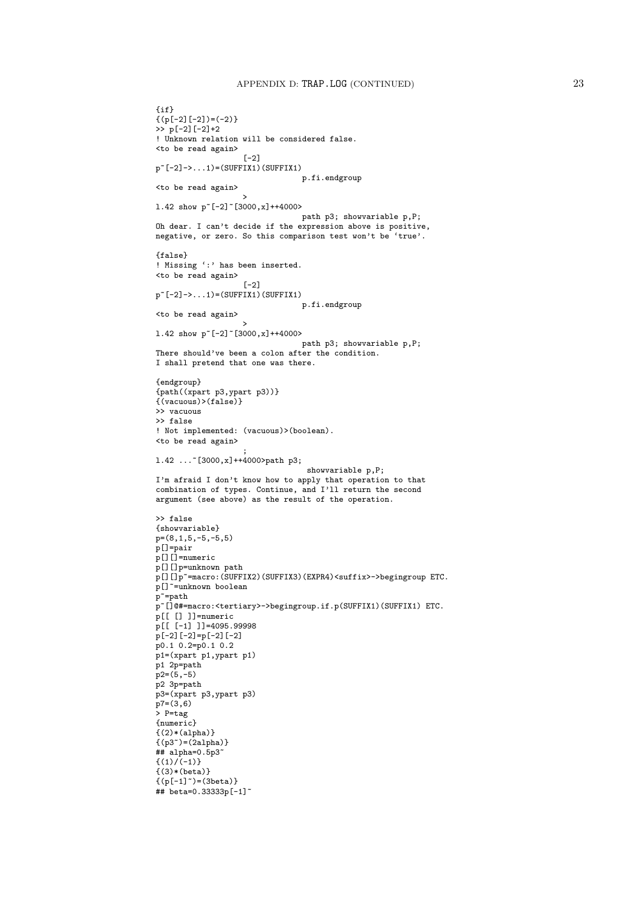```
{if}
\{(p[-2][-2])=(-2)\}>> p[-2][-2]+2
! Unknown relation will be considered false.
<to be read again>
                    [-2]
p^-[-2]->...1)=(SUFFIX1)(SUFFIX1)
                                 p.fi.endgroup
<to be read again>
                    >
l.42 show p~[-2]~[3000,x]++4000>
                                 path p3; showvariable p,P;
Oh dear. I can't decide if the expression above is positive,
negative, or zero. So this comparison test won't be 'true'.
{false}
! Missing ':' has been inserted.
<to be read again>
                    [-2]p^{\sim}[-2]\rightarrow\ldots1) = (SUFFIX1)(SUFFIX1)
                                 p.fi.endgroup
<to be read again>
                    >
1.42 show p^{\sim}[-2] ~ [3000, x] + + 4000>
                                 path p3; showvariable p,P;
There should've been a colon after the condition.
I shall pretend that one was there.
{endgroup}
{path((xpart p3,ypart p3))}
{(vacuous)>(false)}
>> vacuous
>> false
! Not implemented: (vacuous)>(boolean).
<to be read again>
                    ;
l.42 ...~[3000,x]++4000>path p3;
                                   showvariable p,P;
I'm afraid I don't know how to apply that operation to that
combination of types. Continue, and I'll return the second
argument (see above) as the result of the operation.
>> false
{showvariable}
p=(8,1,5,-5,-5,5)p[]=pair
p[][]=numeric
\rm \bar{p} [] [] p=unknown path
p[][]p~=macro:(SUFFIX2)(SUFFIX3)(EXPR4)<suffix>->begingroup ETC.
p[]~=unknown boolean
\verb|p^*=pathp~[]@#=macro:<tertiary>->begingroup.if.p(SUFFIX1)(SUFFIX1) ETC.
p[[ [] ]]=numeric
p[[ [-1] ]]=4095.99998
p[-2][-2]=p[-2][-2]
p0.1 0.2=p0.1 0.2
p1=(xpart p1,ypart p1)
p1 2p=path
p2=(5,-5)p2 3p=path
p3=(xpart p3,ypart p3)
p7=(3,6)> P=tag
{numeric}
\{(2)*(alpha)\}{(p3")=(2a1pha)}## alpha=0.5p3<sup>\degree</sup>
\{(1)/(-1)\}{(3)*(beta)}{(p[-1]^-)= (3beta)}## beta=0.33333p[-1]~
```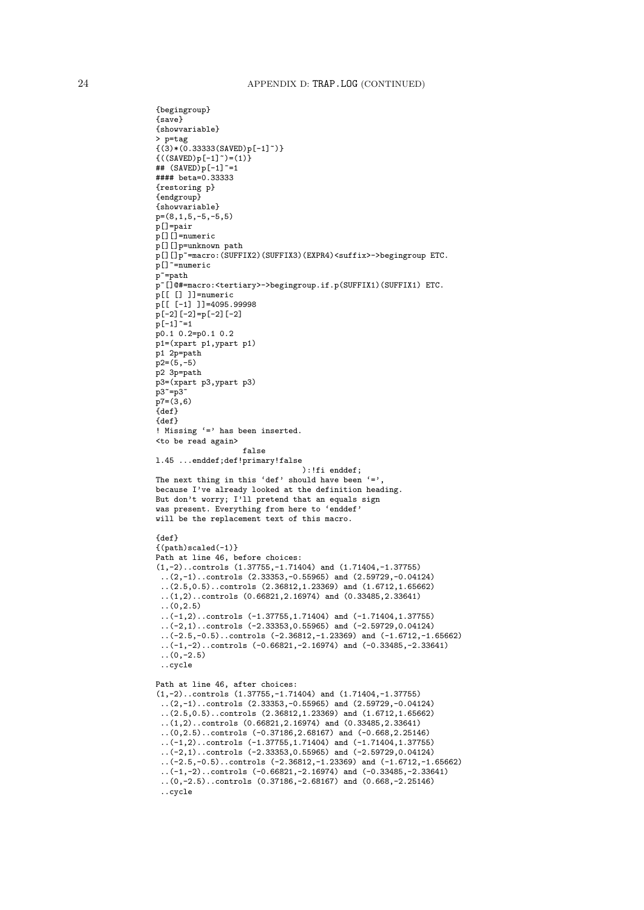```
{begingroup}
{save}
{showvariable}
> p=tag
{(3)*(0.33333(SAVED)p[-1]^{2})}\{((SAVED)p[-1]^{*})=(1)\}## (SAVED) p[-1] ~=1
#### beta=0.33333
{restoring p}
{endgroup}
{showvariable}
p=(8,1,5,-5,-5,5)
p[]=pair
p[][]=numeric
p[][]p=unknown path
p[][]p~=macro:(SUFFIX2)(SUFFIX3)(EXPR4)<suffix>->begingroup ETC.
p[]~=numeric
p~=path
p~[]@#=macro:<tertiary>->begingroup.if.p(SUFFIX1)(SUFFIX1) ETC.
p[[ [] ]]=numeric
p[[ [-1] ]]=4095.99998
p[-2][-2]=p[-2][-2]
p[-1] \tilde{}=1p0.1 0.2=p0.1 0.2
p1=(xpart p1,ypart p1)
p1 2p=path
p2=(5,-5)p2 3p=path
p3=(xpart p3,ypart p3)
p3^{\sim}=p3\degreep7=(3,6){def}
{def}
! Missing '=' has been inserted.
<to be read again>
                   false
l.45 ...enddef;def!primary!false
                                ):!fi enddef;
The next thing in this 'def' should have been '='
because I've already looked at the definition heading.
But don't worry; I'll pretend that an equals sign
was present. Everything from here to 'enddef'
will be the replacement text of this macro.
{def}
{(path)scaled(-1)}
Path at line 46, before choices:
(1,-2)..controls (1.37755,-1.71404) and (1.71404,-1.37755)
 ..(2,-1)..controls (2.33353,-0.55965) and (2.59729,-0.04124)
 ..(2.5,0.5)..controls (2.36812,1.23369) and (1.6712,1.65662)
 ..(1,2)..controls (0.66821,2.16974) and (0.33485,2.33641)
 ..(0,2.5)
 ..(-1,2)..controls (-1.37755,1.71404) and (-1.71404,1.37755)
 ..(-2,1)..controls (-2.33353,0.55965) and (-2.59729,0.04124)
 \ldots(-2.5,-0.5)..controls (-2.36812,-1.23369) and (-1.6712,-1.65662)
 ..(-1,-2)..controls (-0.66821,-2.16974) and (-0.33485,-2.33641)
 (0,-2.5)..cycle
Path at line 46, after choices:
(1,-2)..controls (1.37755,-1.71404) and (1.71404,-1.37755)
 (2,-1)..controls (2.33353,-0.55965) and (2.59729,-0.04124)..(2.5,0.5)..controls (2.36812,1.23369) and (1.6712,1.65662)
 ..(1,2)..controls (0.66821,2.16974) and (0.33485,2.33641)
 ..(0,2.5)..controls (-0.37186,2.68167) and (-0.668,2.25146)
 ..(-1,2)..controls (-1.37755,1.71404) and (-1.71404,1.37755)
 \ldots(-2,1)..controls (-2.33353,0.55965) and (-2.59729,0.04124)
 ..(-2.5,-0.5)..controls (-2.36812,-1.23369) and (-1.6712,-1.65662)
 ..(-1,-2)..controls (-0.66821,-2.16974) and (-0.33485,-2.33641)
 ..(0,-2.5)..controls (0.37186,-2.68167) and (0.668,-2.25146)
 ..cycle
```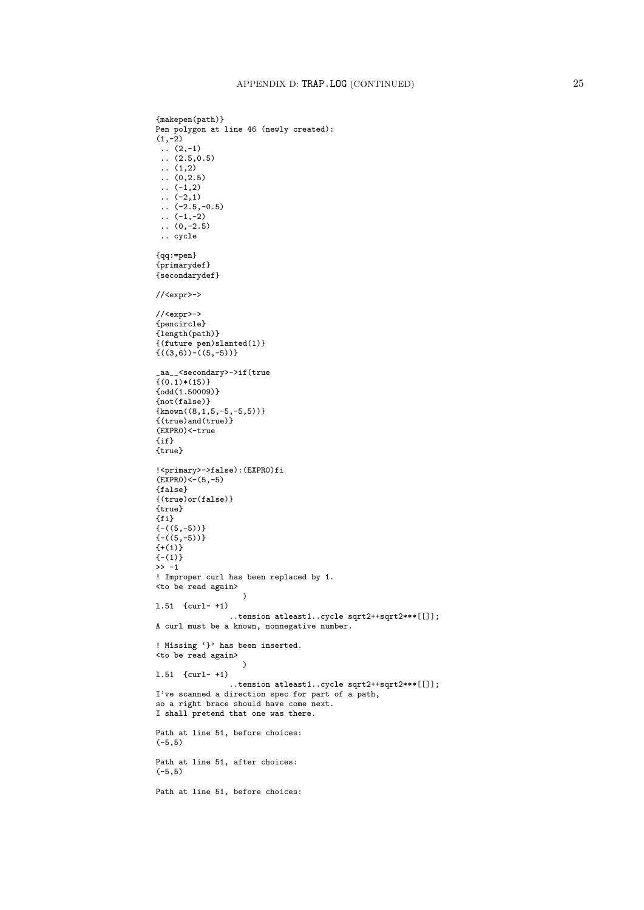```
{makepen(path)}
Pen polygon at line 46 (newly created):
(1,-2)\ldots (2,-1)
\ldots (2.5,0.5)
.. (1,2)
\ldots (0,2.5)
\ldots (-1,2)
\ldots (-2,1)
\ldots (-2.5,-0.5)
\ldots (-1,-2)
\ldots (0,-2.5)
.. cycle
{qq:=pen}
{primarydef}
{secondarydef}
//<expr>->
//<expr>->
{pencircle}
{length(path)}
{(future pen)slanted(1)}
\{((3,6))-(5,-5))\}_aa__<secondary>->if(true
{(0.1)*(15)}{odd(1.50009)}
{not(false)}
{\rm (known((8,1,5,-5,-5,5))}{(true)and(true)}
(EXPR0)<-true
{if}
{true}
!<primary>->false):(EXPR0)fi
(EXPRO)<-(5,-5){false}
{(true)or(false)}
{true}
{fi}
(-((5,-5))){-(5,-5)}(+(1)){-(1)}\gg -1! Improper curl has been replaced by 1.
<to be read again>
                   \rightarrowl.51 {curl- +1)
                 ..tension atleast1..cycle sqrt2++sqrt2***[[]];
A curl must be a known, nonnegative number.
! Missing '}' has been inserted.
<to be read again>
                   )
l.51 {curl- +1)
                 ..tension atleast1..cycle sqrt2++sqrt2***[[]];
I've scanned a direction spec for part of a path,
so a right brace should have come next.
I shall pretend that one was there.
Path at line 51, before choices:
(-5,5)
Path at line 51, after choices:
(-5,5)
Path at line 51, before choices:
```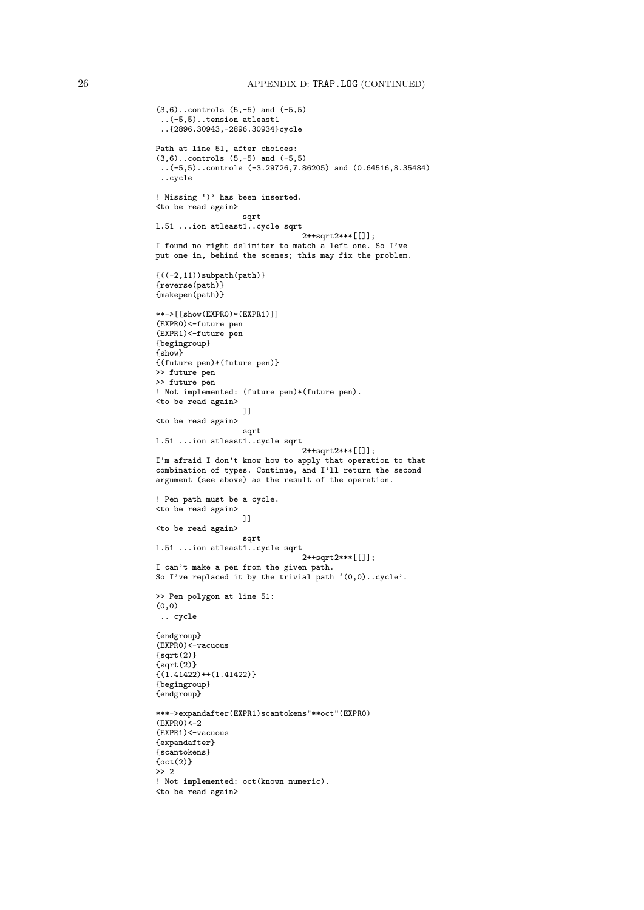```
(3,6)..controls (5,-5) and (-5,5)
 ..(-5,5)..tension atleast1
 ..{2896.30943,-2896.30934}cycle
Path at line 51, after choices:
(3,6)..controls (5,-5) and (-5,5)
 ..(-5,5)..controls (-3.29726,7.86205) and (0.64516,8.35484)
 ..cycle
! Missing ')' has been inserted.
<to be read again>
                  sqrt
l.51 ...ion atleast1..cycle sqrt
                                2++sqrt2***[[]];
I found no right delimiter to match a left one. So I've
put one in, behind the scenes; this may fix the problem.
{((-2,11))}subpath(path)}
{reverse(path)}
{makepen(path)}
**->[[show(EXPR0)*(EXPR1)]]
(EXPR0)<-future pen
(EXPR1)<-future pen
{begingroup}
{show}
{(future pen)*(future pen)}
>> future pen
>> future pen
! Not implemented: (future pen)*(future pen).
<to be read again>
                   \overline{1}]
<to be read again>
                   sqrt
l.51 ...ion atleast1..cycle sqrt
                                2++sqrt2***[[]];
I'm afraid I don't know how to apply that operation to that
combination of types. Continue, and I'll return the second
argument (see above) as the result of the operation.
! Pen path must be a cycle.
<to be read again>
                   ]]
<to be read again>
                   sqrt
l.51 ...ion atleast1..cycle sqrt
                                2++sqrt2***[[]];
I can't make a pen from the given path.
So I've replaced it by the trivial path '(0,0)..cycle'.
>> Pen polygon at line 51:
(0,0)
 .. cycle
{endgroup}
(EXPR0)<-vacuous
{sqrt(2)}
\{sqrt(2)\}{(1.41422)++(1.41422)}{begingroup}
{endgroup}
***->expandafter(EXPR1)scantokens"**oct"(EXPR0)
(EXPRO)<-2(EXPR1)<-vacuous
{expandafter}
{scantokens}
\{oct(2)\}> 2! Not implemented: oct(known numeric).
<to be read again>
```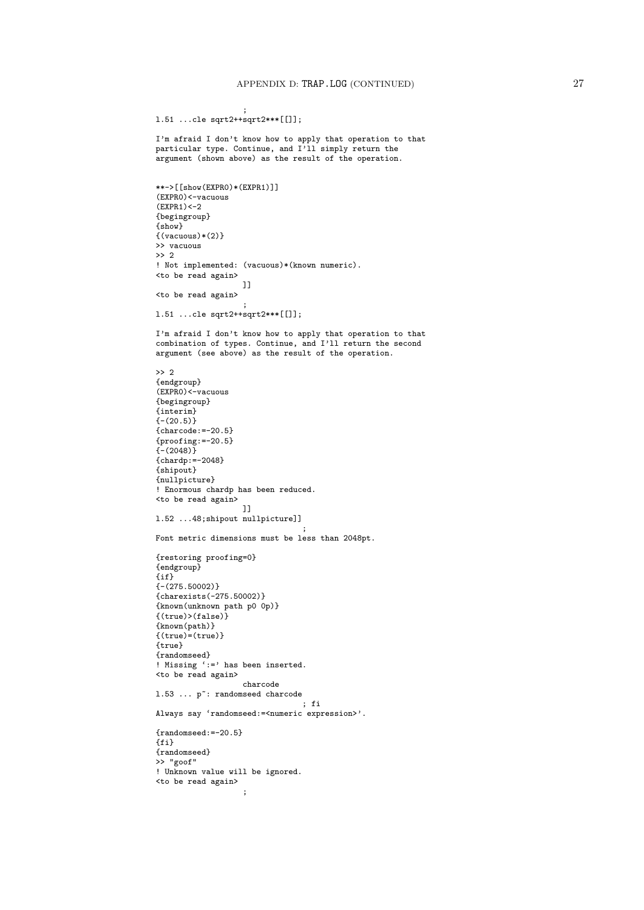```
;
l.51 ...cle sqrt2++sqrt2***[[]];
```
I'm afraid I don't know how to apply that operation to that particular type. Continue, and I'll simply return the argument (shown above) as the result of the operation.

```
**->[[show(EXPR0)*(EXPR1)]]
(EXPR0)<-vacuous
(EXPR1) < -2{begingroup}
{show}
{(vacuous)*(2)}>> vacuous
>> 2
! Not implemented: (vacuous)*(known numeric).
<to be read again>
                   ]]
<to be read again>
                    ;
l.51 ...cle sqrt2++sqrt2***[[]];
```
I'm afraid I don't know how to apply that operation to that combination of types. Continue, and I'll return the second argument (see above) as the result of the operation.

```
>> 2
{endgroup}
(EXPR0)<-vacuous
{begingroup}
{interim}
{- (20.5)}{charcode:=-20.5}
{prooting:=-20.5}\frac{1}{1} (2048) }
{chardp:=-2048}
{shipout}
{nullpicture}
! Enormous chardp has been reduced.
<to be read again>
                   ]]
l.52 ...48;shipout nullpicture]]
                                  ;
Font metric dimensions must be less than 2048pt.
{restoring proofing=0}
{endgroup}
\{i\}{-(275.50002)}
{charexists(-275.50002)}
{known(unknown path p0 0p)}
{(true)>(false)}
{known(path)}
\{(true)=(true)\}{true}
{randomseed}
! Missing ':=' has been inserted.
<to be read again>
                    charcode
1.53 ... p<sup>\tilde{ }</sup>: randomseed charcode
                                 ; fi
Always say 'randomseed:=<numeric expression>'.
{randomseed:=-20.5}
{fi}
{randomseed}
>> "goof"
! Unknown value will be ignored.
<to be read again>
```
;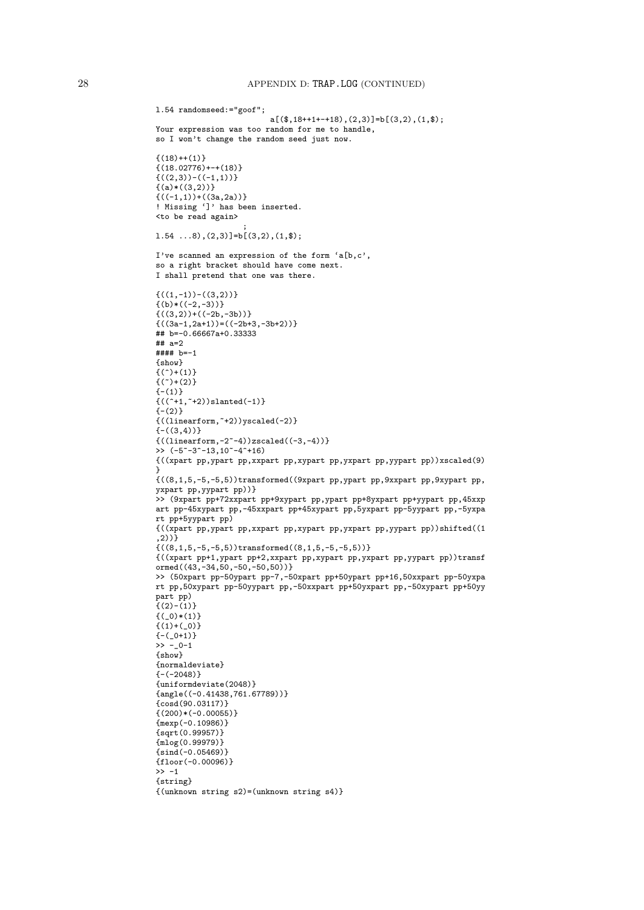```
l.54 randomseed:="goof";
                          a[(\frac{1}{3},18++1+-+18),(2,3)]=b[(3,2),(1,\frac{1}{3});
Your expression was too random for me to handle,
so I won't change the random seed just now.
{(18)++(1)}{(18.02776)+-+(18)}{((2,3))-((-1,1))}{(a)*(3,2))}{((-1,1)) + ((3a,2a))}! Missing ']' has been inserted.
<to be read again>
                     ;
1.54 \ldots 8, (2,3)]=b[(3,2), (1, $);
I've scanned an expression of the form 'a[b,c',
so a right bracket should have come next.
I shall pretend that one was there.
\{((1,-1)) - ((3,2))\}\{(b) * ((-2,-3))\}{((3,2)) + ((-2b,-3b))}{((3a-1,2a+1))=((-2b+3,-3b+2))}## b=-0.66667a+0.33333
## a=2
#### b=-1
{show}
\{(\hat{c})+(\hat{c})\}\{(\tilde{c})+(\tilde{c})\}{-(1)}{((^{\texttt{-}+1,^{\texttt{-}+2})})slanted(-1)}
{-(2)}{((\text{linearform}, \text{``+2)})\text{yscaled}(-2)}{-(3,4)}{((\text{linearform},-2^{\sim}-4))z}scaled((-3,-4))>> (-5 - 3 - 13, 10 - 4 - 16){((xpart pp,ypart pp,xxpart pp,xypart pp,yxpart pp,yypart pp))xscaled(9)
}
{((8,1,5,-5,-5,5))transformed((9xpart pp,ypart pp,9xxpart pp,9xypart pp,
yxpart pp,yypart pp))}
>> (9xpart pp+72xxpart pp+9xypart pp,ypart pp+8yxpart pp+yypart pp,45xxp
art pp-45xypart pp,-45xxpart pp+45xypart pp,5yxpart pp-5yypart pp,-5yxpa
rt pp+5yypart pp)
{((xpart pp,ypart pp,xxpart pp,xypart pp,yxpart pp,yypart pp))shifted((1
, 2)) }
{((8,1,5,-5,-5,5))}transformed((8,1,5,-5,-5,5))}{((xpart pp+1,ypart pp+2,xxpart pp,xypart pp,yxpart pp,yypart pp))transf
ormed((43,-34,50,-50,-50,50))}
>> (50xpart pp-50ypart pp-7,-50xpart pp+50ypart pp+16,50xxpart pp-50yxpa
rt pp,50xypart pp-50yypart pp,-50xxpart pp+50yxpart pp,-50xypart pp+50yy
part pp)
{(2)-(1)}{ (0)*(1) }\{(1)+(-0)\}{-(-0+1)}\rightarrow -_0-1
{show}
{normaldeviate}
(-2048)}
{uniformdeviate(2048)}
{angle((-0.41438,761.67789))}{cosd(90.03117)}\{(200)*(-0.00055)\}{mexp(-0.10986)}{sqrt(0.99957)}
{mlog(0.99979)}
{sind(-0.05469)}{floor(-0.00096)}>> -1{string}
{(unknown string s2)=(unknown string s4)}
```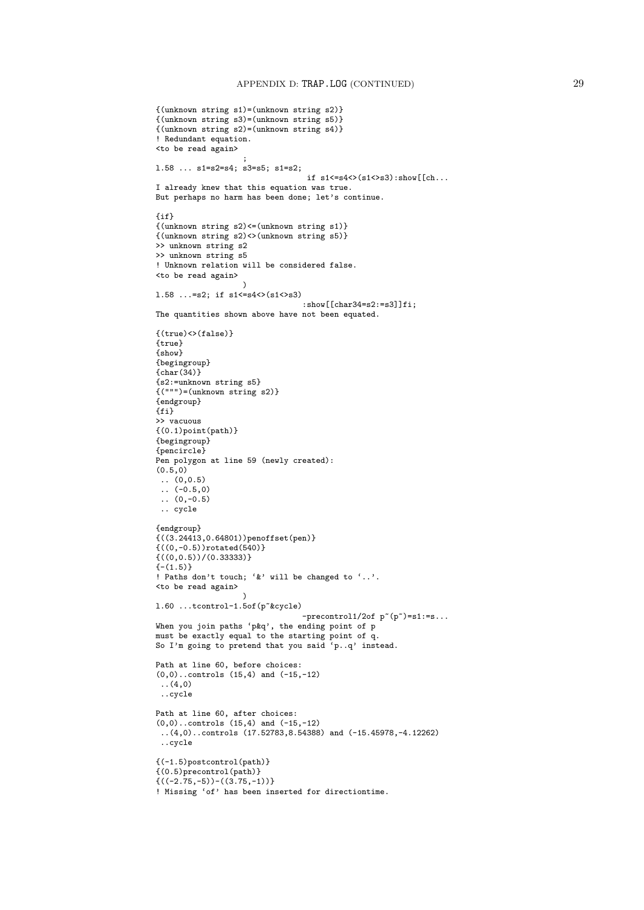```
{(unknown string s1)=(unknown string s2)}
{(unknown string s3)=(unknown string s5)}
{(unknown string s2)=(unknown string s4)}
! Redundant equation.
<to be read again>
                    ;
l.58 ... s1=s2=s4; s3=s5; s1=s2;
                                  if s1<-s4>(s1>>>3):show[[ch...]I already knew that this equation was true.
But perhaps no harm has been done; let's continue.
{if}
{(unknown string s2)<=(unknown string s1)}
{(unknown string s2)<>(unknown string s5)}
>> unknown string s2
>> unknown string s5
! Unknown relation will be considered false.
<to be read again>
                    \lambdal.58 ...=s2; if s1<=s4<>(s1<>s3)
                                 :show[[char34=s2:=s3]]fi:
The quantities shown above have not been equated.
\{(true)\Leftrightarrow (false)\}{true}
{show}
{begingroup}
{char(34)}{s2:=unknown string s5}
\{(\text{""})=(\text{unknown string s2})\}{endgroup}
{fi}
>> vacuous
\{(0.1)point(path)\}{begingroup}
{pencircle}
Pen polygon at line 59 (newly created):
(0.5, 0)\ldots (0,0.5)
\ldots (-0.5,0)
\ldots (0,-0.5)
 .. cycle
{endgroup}
{(3.24413, 0.64801)}penoffset(pen)}
{((0,-0.5))rotated(540)}
{((0,0.5))/(0.33333)}
{- (1.5)}! Paths don't touch; '&' will be changed to '..'.
<to be read again>
                    \lambdal.60 ...tcontrol-1.5of(p~&cycle)
                                 -precontrol1/2of p^*(p^*)=s1:=s...When you join paths 'p&q', the ending point of p
must be exactly equal to the starting point of q.
So I'm going to pretend that you said 'p..q' instead.
Path at line 60, before choices:
(0,0)..controls (15,4) and (-15,-12)
 ..(4,0)
..cycle
Path at line 60, after choices:
(0,0)..controls (15,4) and (-15,-12)
 ..(4,0)..controls (17.52783,8.54388) and (-15.45978,-4.12262)
..cycle
{(-1.5)postcontrol(path)}
{(0.5)precontrol(path)}
{((-2.75,-5))-( (3.75,-1))}! Missing 'of' has been inserted for directiontime.
```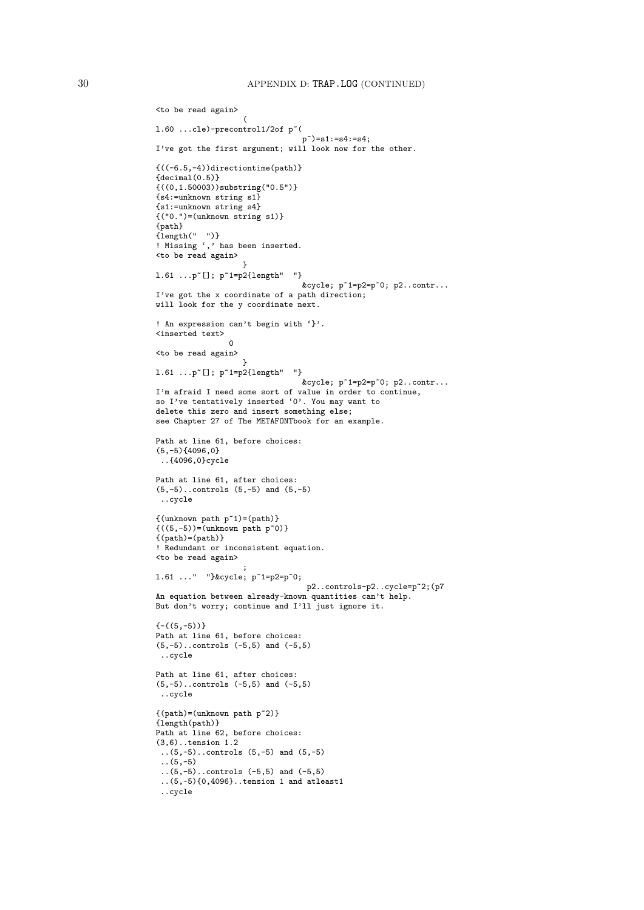```
<to be read again>
                   (
1.60 ...cle)-precontrol1/2of p^*(p~)=s1:=s4:=s4;
I've got the first argument; will look now for the other.
{((-6.5,-4))directiontime(path)}
{decimal(0.5)}{((0,1.50003))}substring("0.5")}
{s4:=unknown string s1}
{s1:=unknown string s4}
{("0.")=(unknown string s1)}
{path}
{length(" ")}
! Missing ',' has been inserted.
<to be read again>
                  }
1.61 \ldotsp<sup>\sim</sup>[]; p<sup>\sim</sup>1=p2{length" "}
                                 &cycle; p^*1=p2=p^*0; p2..contr...
I've got the x coordinate of a path direction;
will look for the y coordinate next.
! An expression can't begin with '}'.
<inserted text>
                 0
<to be read again>
                   }
1.61 ...p<sup>[</sup>. p^1=p^2{length" "}
                                &cycle; p~1=p2=p~0; p2..contr...
I'm afraid I need some sort of value in order to continue,
so I've tentatively inserted '0'. You may want to
delete this zero and insert something else;
see Chapter 27 of The METAFONTbook for an example.
Path at line 61, before choices:
(5,-5){4096,0}..{4096,0}cycle
Path at line 61, after choices:
(5,-5)..controls (5,-5) and (5,-5)
 ..cycle
{(unknown path p^1)=(path)}{((5,-5))=(\text{unknown path } p^0)}{(path)=(path)}! Redundant or inconsistent equation.
<to be read again>
                    ;
l.61 ..." "}&cycle; p~1=p2=p~0;
                                 p2..controls-p2..cycle=p~2;(p7
An equation between already-known quantities can't help.
But don't worry; continue and I'll just ignore it.
\{-( (5,-5) )\}Path at line 61, before choices:
(5,-5)..controls (-5,5) and (-5,5)
..cycle
Path at line 61, after choices:
(5,-5)..controls (-5,5) and (-5,5)
..cycle
{(path)=(unknown path p^2)}{length(path)}
Path at line 62, before choices:
(3,6)..tension 1.2
(5,-5)..controls (5,-5) and (5,-5)(5,-5)..(5,-5)..controls (-5,5) and (-5,5)
 ..(5,-5){0,4096}..tension 1 and atleast1
 ..cycle
```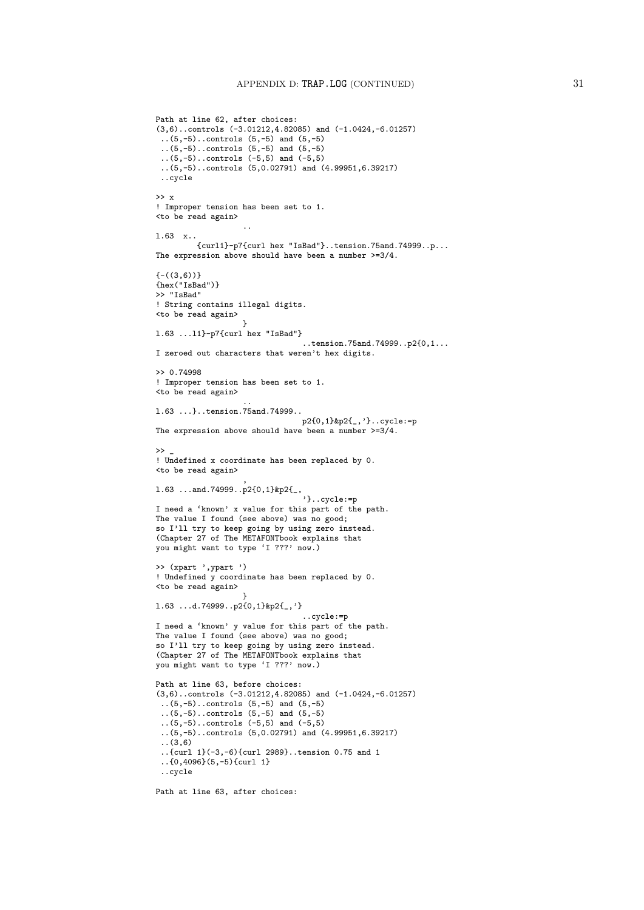```
Path at line 62, after choices:
(3,6)..controls (-3.01212,4.82085) and (-1.0424,-6.01257)
 ..(5,-5)..controls (5,-5) and (5,-5)
 ..(5,-5)..controls (5,-5) and (5,-5)
 ..(5,-5)..controls (-5,5) and (-5,5)
 ..(5,-5)..controls (5,0.02791) and (4.99951,6.39217)
 ..cycle
>> x
! Improper tension has been set to 1.
<to be read again>
                   ..
l.63 x..
         {curl1}-p7{curl hex "IsBad"}..tension.75and.74999..p...
The expression above should have been a number >=3/4.
{-(3,6)}{hex("IsBad")}
>> "IsBad"
! String contains illegal digits.
<to be read again>
                   }
l.63 ...l1}-p7{curl hex "IsBad"}
                                ..tension.75and.74999..p2{0,1...
I zeroed out characters that weren't hex digits.
>> 0.74998
! Improper tension has been set to 1.
<to be read again>
                   ..
l.63 ...}..tension.75and.74999..
                                p2{0,1}&p2{_,'}..cycle:=p
The expression above should have been a number >=3/4.
\rightarrow! Undefined x coordinate has been replaced by 0.
<to be read again>
                   ,
l.63 ...and.74999..p2{0,1}&p2{_,
                                 '}..cycle:=p
I need a 'known' x value for this part of the path.
The value I found (see above) was no good;
so I'll try to keep going by using zero instead.
(Chapter 27 of The METAFONTbook explains that
you might want to type 'I ???' now.)
>> (xpart ',ypart ')
! Undefined y coordinate has been replaced by 0.
<to be read again>
                   }
l.63 ...d.74999..p2{0,1}&p2{_,'}
                                 ..cycle:=p
I need a 'known' y value for this part of the path.
The value I found (see above) was no good;
so I'll try to keep going by using zero instead.
(Chapter 27 of The METAFONTbook explains that
you might want to type 'I ???' now.)
Path at line 63, before choices:
(3,6)..controls (-3.01212,4.82085) and (-1.0424,-6.01257)
 (5,-5)..controls (5,-5) and (5,-5)..(5,-5)..controls (5,-5) and (5,-5)
 ..(5,-5)..controls (-5,5) and (-5,5)
 ..(5,-5)..controls (5,0.02791) and (4.99951,6.39217)
 ..(3,6)
 ..{curl 1}(-3,-6){curl 2989}..tension 0.75 and 1
 ..{0,4096}(5,-5){curl 1}
 ..cycle
Path at line 63, after choices:
```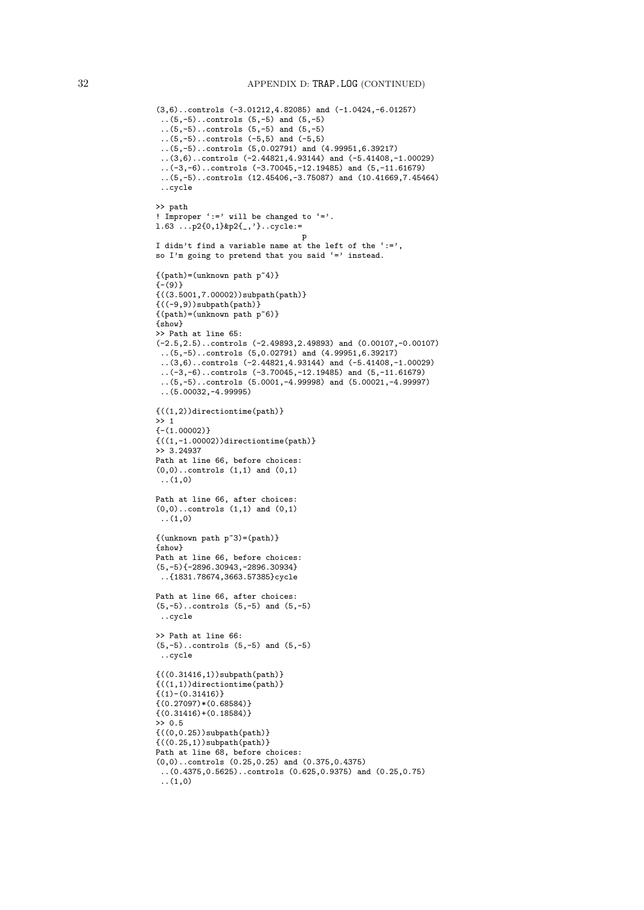```
(3,6)..controls (-3.01212,4.82085) and (-1.0424,-6.01257)
 ..(5,-5)..controls (5,-5) and (5,-5)
 ..(5,-5)..controls (5,-5) and (5,-5)
 ..(5,-5)..controls (-5,5) and (-5,5)
 ..(5,-5)..controls (5,0.02791) and (4.99951,6.39217)
 ..(3,6)..controls (-2.44821,4.93144) and (-5.41408,-1.00029)
 ..(-3,-6)..controls (-3.70045,-12.19485) and (5,-11.61679)
 ..(5,-5)..controls (12.45406,-3.75087) and (10.41669,7.45464)
 ..cycle
>> path
! Improper ':=' will be changed to '='.
l.63 ...p2{0,1}&p2{_,'}..cycle:=
                                p
I didn't find a variable name at the left of the ':=',
so I'm going to pretend that you said '=' instead.
{(path)=(unknown path p^4)}{- (9)}{(3.5001, 7.00002)}subpath(path)}
{((-9,9))subpath(path){(path)=(unknown path p^6)}{show}
>> Path at line 65:
(-2.5,2.5)..controls (-2.49893,2.49893) and (0.00107,-0.00107)
 ..(5,-5)..controls (5,0.02791) and (4.99951,6.39217)
 ..(3,6)..controls (-2.44821,4.93144) and (-5.41408,-1.00029)
 ..(-3,-6)..controls (-3.70045,-12.19485) and (5,-11.61679)
 ..(5,-5)..controls (5.0001,-4.99998) and (5.00021,-4.99997)
 ..(5.00032,-4.99995)
{((1,2))directiontime(path)}
>> 1
{-}(1.00002){((1,-1.00002))directiontime(path)}
>> 3.24937
Path at line 66, before choices:
(0,0)..controls (1,1) and (0,1)(1,0)Path at line 66, after choices:
(0,0)..controls (1,1) and (0,1)(1,0){(unknown path p^3)=(path)}{show}
Path at line 66, before choices:
(5,-5){-2896.30943,-2896.30934}
 ..{1831.78674,3663.57385}cycle
Path at line 66, after choices:
(5,-5)..controls (5,-5) and (5,-5)
 ..cycle
>> Path at line 66:
(5,-5)..controls (5,-5) and (5,-5)
..cycle
{((0.31416,1))subpath(path)}
{((1,1))directiontime(path)}
\{(1)-(0.31416)\}{(0.27097)*(0.68584)}\{(0.31416)+(0.18584)\}>> 0.5
{((0,0.25))subpath(path)}
\{((0.25,1))subpath(path)\}Path at line 68, before choices:
(0,0)..controls (0.25,0.25) and (0.375,0.4375)
 ..(0.4375,0.5625)..controls (0.625,0.9375) and (0.25,0.75)
 ..(1,0)
```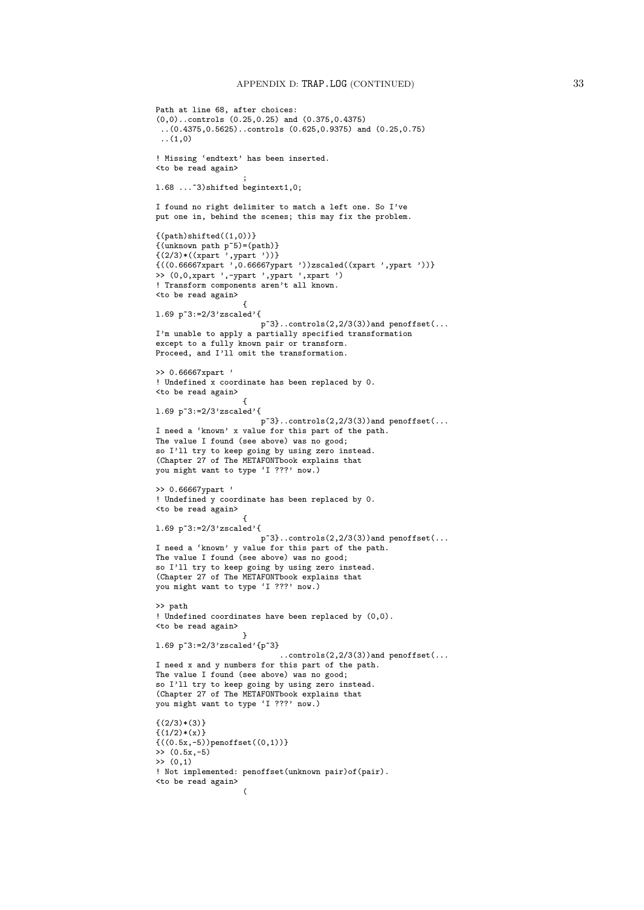```
Path at line 68, after choices:
(0,0)..controls (0.25,0.25) and (0.375,0.4375)
 ..(0.4375,0.5625)..controls (0.625,0.9375) and (0.25,0.75)
 \ldots(1,0)! Missing 'endtext' has been inserted.
<to be read again>
                   ;
l.68 ...~3)shifted begintext1,0;
I found no right delimiter to match a left one. So I've
put one in, behind the scenes; this may fix the problem.
{(path)shifted((1,0))}{(unknown path p~5)=(path)}
{(2/3)*((xpart ',ypart '))}
{((0.66667xpart ',0.66667ypart '))zscaled((xpart ',ypart '))}
>> (0,0,xpart ',-ypart ',ypart ',xpart ')
! Transform components aren't all known.
<to be read again>
                   {
l.69 p~3:=2/3'zscaled'{
                       p~3}..controls(2,2/3(3))and penoffset(...
I'm unable to apply a partially specified transformation
except to a fully known pair or transform.
Proceed, and I'll omit the transformation.
>> 0.66667xpart '
! Undefined x coordinate has been replaced by 0.
<to be read again>
                   {
l.69 p~3:=2/3'zscaled'{
                       p^3..controls(2,2/3(3)) and penoffset(...
I need a 'known' x value for this part of the path.
The value I found (see above) was no good;
so I'll try to keep going by using zero instead.
(Chapter 27 of The METAFONTbook explains that
you might want to type 'I ???' now.)
>> 0.66667ypart '
! Undefined y coordinate has been replaced by 0.
<to be read again>
                   {
l.69 p~3:=2/3'zscaled'{
                       p~3}..controls(2,2/3(3))and penoffset(...
I need a 'known' y value for this part of the path.
The value I found (see above) was no good;
so I'll try to keep going by using zero instead.
(Chapter 27 of The METAFONTbook explains that
you might want to type 'I ???' now.)
>> path
! Undefined coordinates have been replaced by (0,0).
<to be read again>
                   }
l.69 p~3:=2/3'zscaled'{p~3}
                            ..controls(2,2/3(3))and penoffset(...
I need x and y numbers for this part of the path.
The value I found (see above) was no good;
so I'll try to keep going by using zero instead.
(Chapter 27 of The METAFONTbook explains that
you might want to type 'I ???' now.)
\{(2/3)*(3)\}\{(1/2)*(x)\}{((0.5x,-5))penoffset((0,1))}\gg (0.5x, -5)
\gg (0,1)
! Not implemented: penoffset(unknown pair)of(pair).
<to be read again>
                   \epsilon
```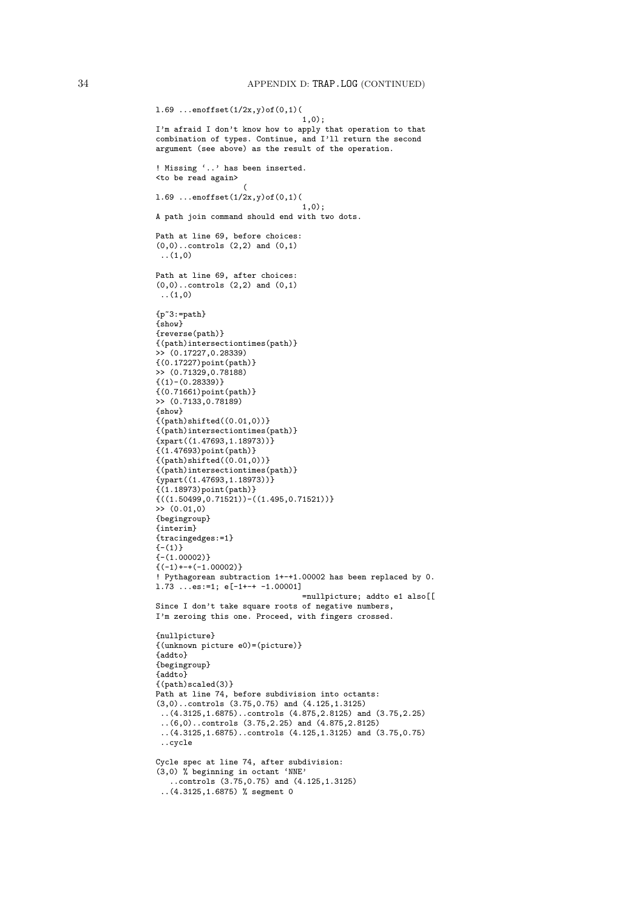```
l.69 ...enoffset(1/2x,y)of(0,1)(
                                1,0);
I'm afraid I don't know how to apply that operation to that
combination of types. Continue, and I'll return the second
argument (see above) as the result of the operation.
! Missing '..' has been inserted.
<to be read again>
                   (
l.69 ...enoffset(1/2x,y)of(0,1)(
                                1,0);A path join command should end with two dots.
Path at line 69, before choices:
(0,0)..controls (2,2) and (0,1)(1,0)Path at line 69, after choices:
(0,0)..controls (2,2) and (0,1)(1,0){p^*3:=path}{show}
{reverse(path)}
{(path)intersectiontimes(path)}
>> (0.17227,0.28339)
{(0.17227)point(path)}
>> (0.71329,0.78188)
{(1)-(0.28339)}{(0.71661)point(path)}
>> (0.7133,0.78189)
{show}
\{(path)shifted((0.01,0))\}{(path)intersectiontimes(path)}
{xpart((1.47693.1.18973))}{(1.47693)point(path)}
{(path)shifted((0.01,0))}{(path)intersectiontimes(path)}
{ypart((1.47693,1.18973))}{(1.18973)point(path)}
\{((1.50499, 0.71521)) - ((1.495, 0.71521)) \}>> (0.01,0)
{begingroup}
{interim}
{tracingedges:=1}
{-1}{-(1.00002)}
{(-1) + - + (-1.00002)}! Pythagorean subtraction 1+-+1.00002 has been replaced by 0.
l.73 ...es:=1; e[-1+-+ -1.00001]
                                =nullpicture; addto e1 also[[
Since I don't take square roots of negative numbers,
I'm zeroing this one. Proceed, with fingers crossed.
{nullpicture}
{(unknown picture e0)=(picture)}
{addto}
{begingroup}
{addto}
{(path)scaled(3)}
Path at line 74, before subdivision into octants:
(3,0)..controls (3.75,0.75) and (4.125,1.3125)
 ..(4.3125,1.6875)..controls (4.875,2.8125) and (3.75,2.25)
 ..(6,0)..controls (3.75,2.25) and (4.875,2.8125)
 ..(4.3125,1.6875)..controls (4.125,1.3125) and (3.75,0.75)
 ..cycle
Cycle spec at line 74, after subdivision:
(3,0) % beginning in octant 'NNE'
   ..controls (3.75,0.75) and (4.125,1.3125)
 ..(4.3125,1.6875) % segment 0
```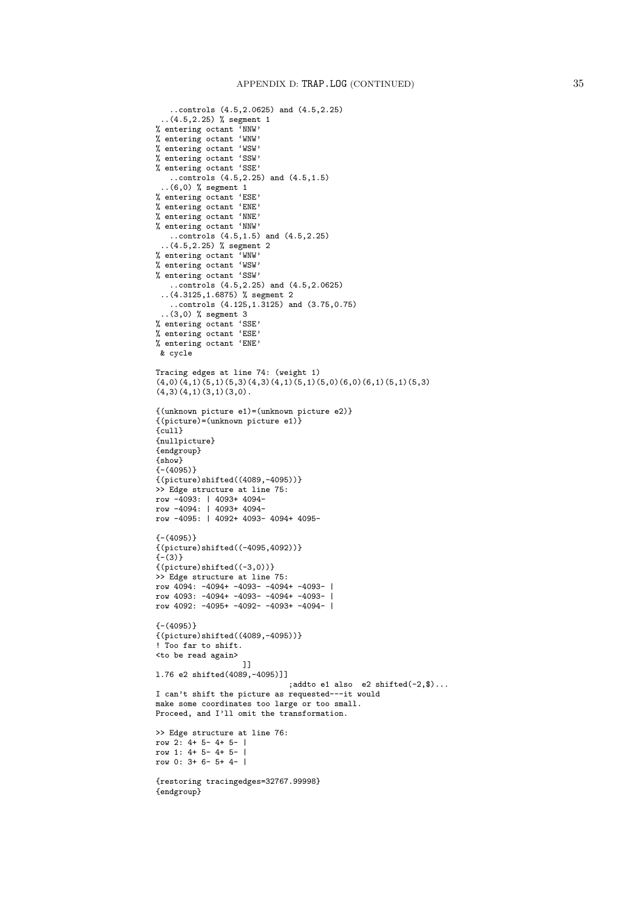```
..controls (4.5,2.0625) and (4.5,2.25)
 ..(4.5,2.25) % segment 1
% entering octant 'NNW'
% entering octant 'WNW'
% entering octant 'WSW'
% entering octant 'SSW'
% entering octant 'SSE'
   ..controls (4.5,2.25) and (4.5,1.5)
 ..(6,0) % segment 1
% entering octant 'ESE'
% entering octant 'ENE'
% entering octant 'NNE'
% entering octant 'NNW'
   ..controls (4.5,1.5) and (4.5,2.25)
 ..(4.5,2.25) % segment 2
% entering octant 'WNW'
% entering octant 'WSW'
% entering octant 'SSW'
   ..controls (4.5,2.25) and (4.5,2.0625)
 ..(4.3125,1.6875) % segment 2
   ..controls (4.125,1.3125) and (3.75,0.75)
 ..(3,0) % segment 3
% entering octant 'SSE'
% entering octant 'ESE'
% entering octant 'ENE'
 & cycle
Tracing edges at line 74: (weight 1)
(4,0)(4,1)(5,1)(5,3)(4,3)(4,1)(5,1)(5,0)(6,0)(6,1)(5,1)(5,3)(4,3)(4,1)(3,1)(3,0).
{(unknown picture e1)=(unknown picture e2)}
{(picture)=(unknown picture e1)}
{cull}
{nullpicture}
{endgroup}
{show}
{- (4095)}{(picture)shifted((4089,-4095))}
>> Edge structure at line 75:
row -4093: | 4093+ 4094-
row -4094: | 4093+ 4094-
row -4095: | 4092+ 4093- 4094+ 4095-
{- (4095)}{(picture)shifted((-4095,4092))}
\{-3){(picture)shifted((-3,0))}
>> Edge structure at line 75:
row 4094: -4094+ -4093- -4094+ -4093- |
row 4093: -4094+ -4093- -4094+ -4093- |
row 4092: -4095+ -4092- -4093+ -4094- |
(- (4095)){(picture)shifted((4089,-4095))}
! Too far to shift.
<to be read again>
                   ]]
l.76 e2 shifted(4089,-4095)]]
                             ;addto e1 also e2 shifted(-2,$)...
I can't shift the picture as requested---it would
make some coordinates too large or too small.
Proceed, and I'll omit the transformation.
>> Edge structure at line 76:
row 2: 4+ 5- 4+ 5- |
row 1: 4+ 5- 4+ 5- |
row 0: 3+ 6- 5+ 4- |
{restoring tracingedges=32767.99998}
{endgroup}
```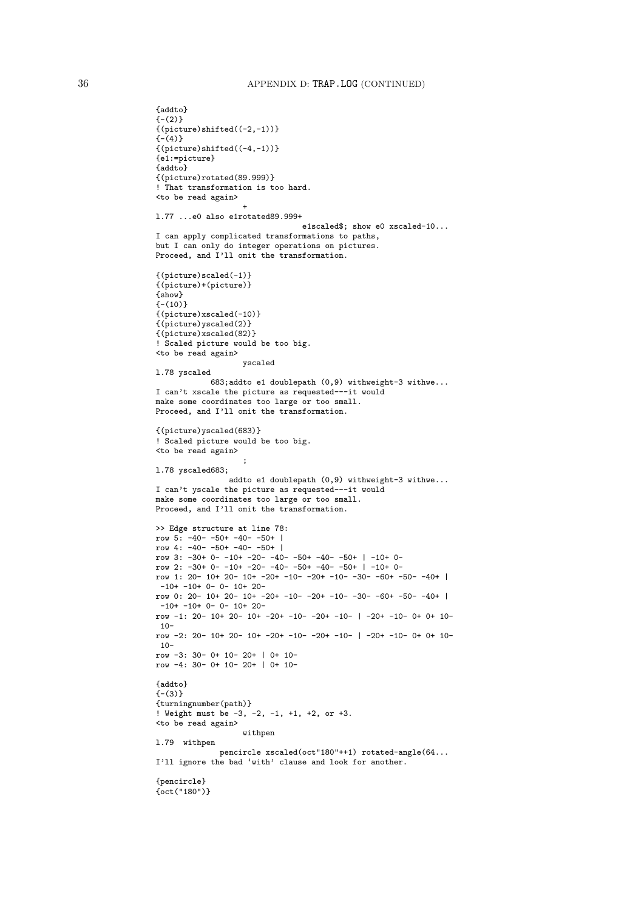```
{addto}
{-(2)}{(picture)shifted((-2,-1))}\{-\dot{(-4)}\}{(picture)shifted((-4,-1))}
{e1:=picture}
{addto}
{(picture)rotated(89.999)}
! That transformation is too hard.
<to be read again>
                   +
l.77 ...e0 also e1rotated89.999+
                                e1scaled$; show e0 xscaled-10...
I can apply complicated transformations to paths,
but I can only do integer operations on pictures.
Proceed, and I'll omit the transformation.
{(picture)scaled(-1)}
{(picture)+(picture)}
{show}
(-(10)){(picture)xscaled(-10)}
{(picture)yscaled(2)}
{(picture)xscaled(82)}
! Scaled picture would be too big.
<to be read again>
                   yscaled
l.78 yscaled
            683;addto e1 doublepath (0,9) withweight-3 withwe...
I can't xscale the picture as requested---it would
make some coordinates too large or too small.
Proceed, and I'll omit the transformation.
{(picture)yscaled(683)}
! Scaled picture would be too big.
<to be read again>
                   ;
l.78 yscaled683;
                <sub>.</sub><br>addto e1 doublepath (0,9) withweight-3 withwe...
I can't yscale the picture as requested---it would
make some coordinates too large or too small.
Proceed, and I'll omit the transformation.
>> Edge structure at line 78:
row 5: -40 - -50 + -40 - -50 +row 4: -40- -50+ -40- -50+ |
row 3: -30+ 0- -10+ -20- -40- -50+ -40- -50+ | -10+ 0-
row 2: -30+ 0- -10+ -20- -40- -50+ -40- -50+ | -10+ 0-
row 1: 20- 10+ 20- 10+ -20+ -10- -20+ -10- -30- -60+ -50- -40+ |
-10+ -10+ 0- 0- 10+ 20-row 0: 20- 10+ 20- 10+ -20+ -10- -20+ -10- -30- -60+ -50- -40+ |
 -10+ -10+ 0- 0- 10+ 20-
row -1: 20- 10+ 20- 10+ -20+ -10- -20+ -10- | -20+ -10- 0+ 0+ 10-
10-row -2: 20- 10+ 20- 10+ -20+ -10- -20+ -10- | -20+ -10- 0+ 0+ 10-
10-
row -3: 30- 0+ 10- 20+ | 0+ 10-
row -4: 30- 0+ 10- 20+ | 0+ 10-
{addto}
{- (3)}{turningnumber(path)}
! Weight must be -3, -2, -1, +1, +2, or +3.
<to be read again>
                   withpen
l.79 withpen
              pencircle xscaled(oct"180"++1) rotated-angle(64...
I'll ignore the bad 'with' clause and look for another.
{pencircle}
{oct("180")}
```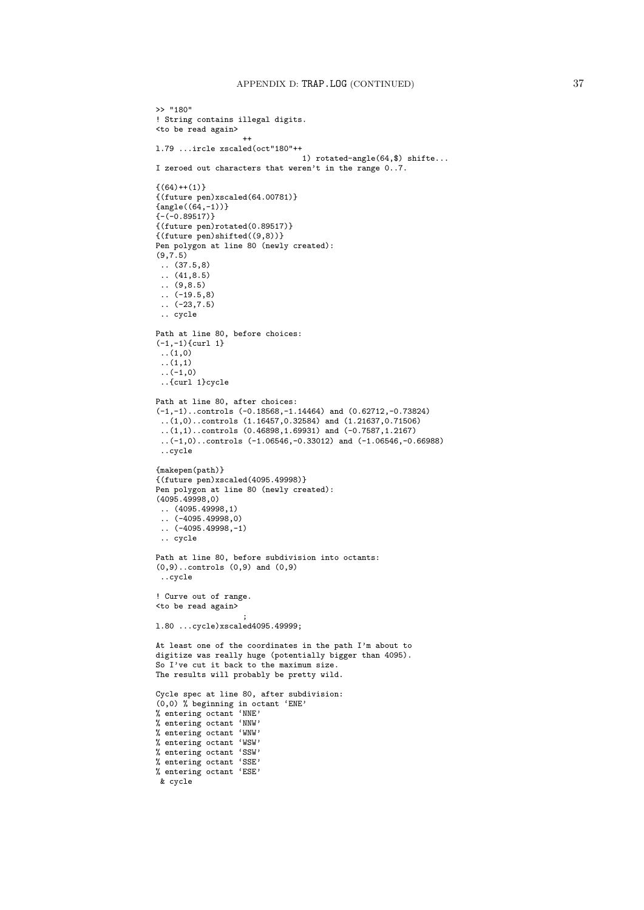```
>> "180"
! String contains illegal digits.
<to be read again>
                    ++
l.79 ...ircle xscaled(oct"180"++
                                1) rotated-angle(64,$) shifte...
I zeroed out characters that weren't in the range 0..7.
{(64)++(1)}{(future pen)xscaled(64.00781)}
{angle((64,-1))}{-(-0.89517)}{(future pen)rotated(0.89517)}
{(future pen)shifted((9,8))}
Pen polygon at line 80 (newly created):
(9, 7.5).. (37.5,8)
\ldots (41,8.5)
.. (9,8.5)
\ldots (-19.5,8)
 \ldots (-23,7.5)
 .. cycle
Path at line 80, before choices:
(-1,-1)\{curl 1}
 ..(1,0)
 \ldots(1,1)\ldots (-1,0)
 ..{curl 1}cycle
Path at line 80, after choices:
(-1,-1)..controls (-0.18568,-1.14464) and (0.62712,-0.73824)
 ..(1,0)..controls (1.16457,0.32584) and (1.21637,0.71506)
 (1,1)..controls (0.46898,1.69931) and (-0.7587,1.2167)..(-1,0)..controls (-1.06546,-0.33012) and (-1.06546,-0.66988)
 ..cycle
{makepen(path)}
{(future pen)xscaled(4095.49998)}
Pen polygon at line 80 (newly created):
(4095.49998,0)
 .. (4095.49998,1)
\ldots (-4095.49998,0)
(-4095.49998.-1)
 .. cycle
Path at line 80, before subdivision into octants:
(0,9)..controls (0,9) and (0,9)
 ..cycle
! Curve out of range.
<to be read again>
                    ;
l.80 ...cycle)xscaled4095.49999;
At least one of the coordinates in the path I'm about to
digitize was really huge (potentially bigger than 4095).
So I've cut it back to the maximum size.
The results will probably be pretty wild.
Cycle spec at line 80, after subdivision:
(0,0) % beginning in octant 'ENE'
% entering octant 'NNE'
% entering octant 'NNW'
% entering octant 'WNW'
% entering octant 'WSW'
% entering octant 'SSW'
% entering octant 'SSE'
% entering octant 'ESE'
& cycle
```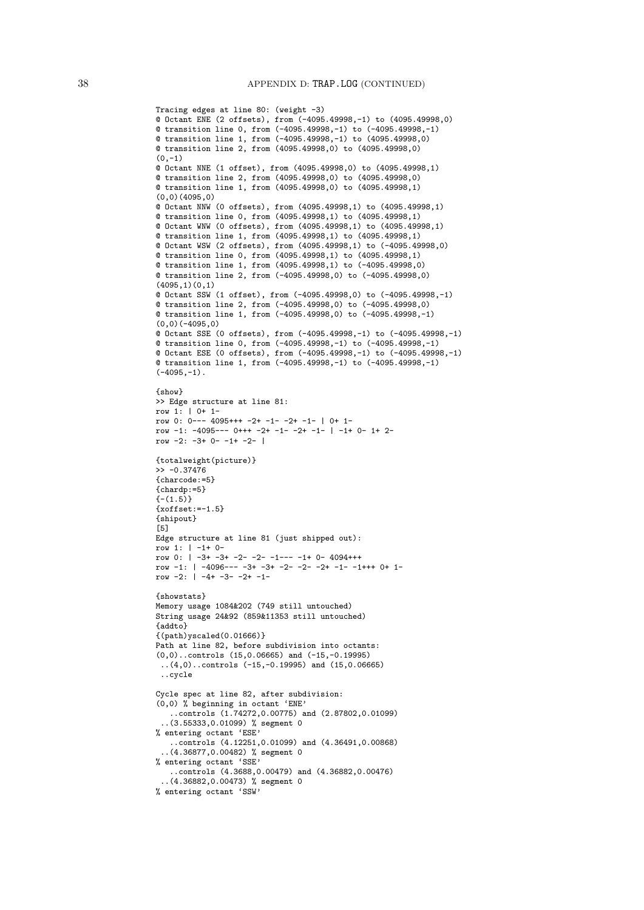```
Tracing edges at line 80: (weight -3)
@ Octant ENE (2 offsets), from (-4095.49998,-1) to (4095.49998,0)
@ transition line 0, from (-4095.49998,-1) to (-4095.49998,-1)
@ transition line 1, from (-4095.49998,-1) to (4095.49998,0)
@ transition line 2, from (4095.49998,0) to (4095.49998,0)
(0,-1)@ Octant NNE (1 offset), from (4095.49998,0) to (4095.49998,1)
@ transition line 2, from (4095.49998,0) to (4095.49998,0)
@ transition line 1, from (4095.49998,0) to (4095.49998,1)
(0,0)(4095,0)
@ Octant NNW (0 offsets), from (4095.49998,1) to (4095.49998,1)
@ transition line 0, from (4095.49998,1) to (4095.49998,1)
@ Octant WNW (0 offsets), from (4095.49998,1) to (4095.49998,1)
@ transition line 1, from (4095.49998,1) to (4095.49998,1)
@ Octant WSW (2 offsets), from (4095.49998,1) to (-4095.49998,0)
@ transition line 0, from (4095.49998,1) to (4095.49998,1)
@ transition line 1, from (4095.49998,1) to (-4095.49998,0)
@ transition line 2, from (-4095.49998,0) to (-4095.49998,0)
(4095,1)(0,1)@ Octant SSW (1 offset), from (-4095.49998,0) to (-4095.49998,-1)
@ transition line 2, from (-4095.49998,0) to (-4095.49998,0)
@ transition line 1, from (-4095.49998,0) to (-4095.49998,-1)
(0,0)(-4095,0)
@ Octant SSE (0 offsets), from (-4095.49998,-1) to (-4095.49998,-1)
@ transition line 0, from (-4095.49998,-1) to (-4095.49998,-1)
@ Octant ESE (0 offsets), from (-4095.49998,-1) to (-4095.49998,-1)
@ transition line 1, from (-4095.49998,-1) to (-4095.49998,-1)
(-4095,-1).
{show}
>> Edge structure at line 81:
row 1: | 0+ 1-
row 0: 0--- 4095+++ -2+ -1- -2+ -1- | 0+ 1-
row -1: -4095--- 0+++ -2+ -1- -2+ -1- | -1+ 0- 1+ 2-
row -2: -3+ 0- -1+ -2- 1{totalweight(picture)}
\frac{5}{2} -0.37476
{charcode:=5}
{chardn:=5}(-(1.5){xoffset:=-1.5}
{shipout}
[5]
Edge structure at line 81 (just shipped out):
row 1: | -1+ 0-
row 0: | -3+ -3+ -2- -2- -1--- -1+ 0- 4094+++
row -1: | -4096--- -3+ -3+ -2- -2- -2+ -1- -1+++ 0+ 1-
row -2: |-4+ -3- -2+ -1-{showstats}
Memory usage 1084&202 (749 still untouched)
String usage 24&92 (859&11353 still untouched)
{addto}
{(path)yscaled(0.01666)}
Path at line 82, before subdivision into octants:
(0,0)..controls (15,0.06665) and (-15,-0.19995)
 ..(4,0)..controls (-15,-0.19995) and (15,0.06665)
 ..cycle
Cycle spec at line 82, after subdivision:
(0,0) % beginning in octant 'ENE'
   ..controls (1.74272,0.00775) and (2.87802,0.01099)
 ..(3.55333,0.01099) % segment 0
% entering octant 'ESE'
   ..controls (4.12251,0.01099) and (4.36491,0.00868)
 ..(4.36877,0.00482) % segment 0
% entering octant 'SSE'
   ..controls (4.3688,0.00479) and (4.36882,0.00476)
  ..(4.36882,0.00473) % segment 0
% entering octant 'SSW'
```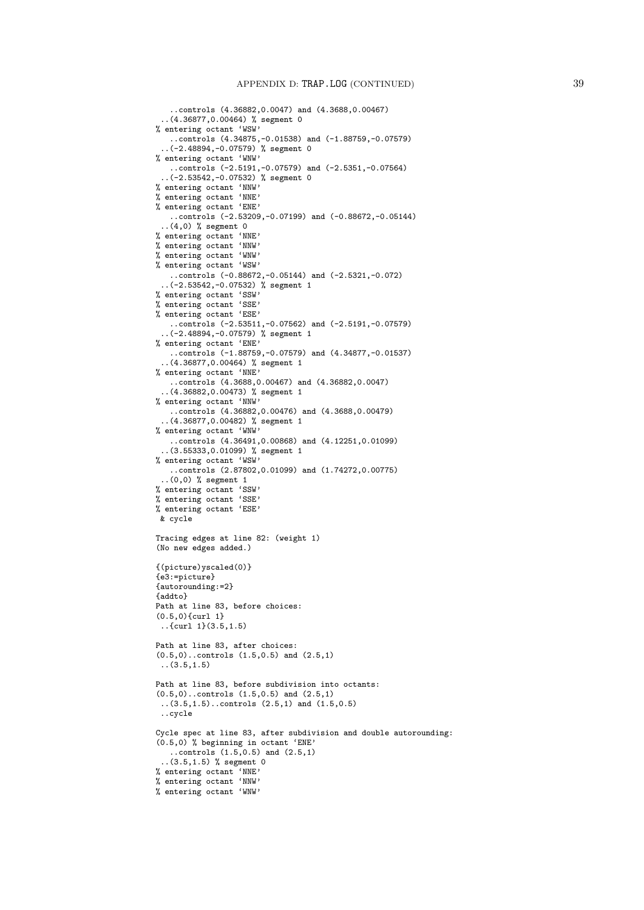```
..controls (4.36882,0.0047) and (4.3688,0.00467)
 ..(4.36877,0.00464) % segment 0
% entering octant 'WSW'
   ..controls (4.34875,-0.01538) and (-1.88759,-0.07579)
 ..(-2.48894,-0.07579) % segment 0
% entering octant 'WNW'
   ..controls (-2.5191,-0.07579) and (-2.5351,-0.07564)
  ..(-2.53542,-0.07532) % segment 0
% entering octant 'NNW'
% entering octant 'NNE'
% entering octant 'ENE'
   ..controls (-2.53209,-0.07199) and (-0.88672,-0.05144)
  ..(4,0) % segment 0
% entering octant 'NNE'
% entering octant 'NNW'
% entering octant 'WNW'
% entering octant 'WSW'
   ..controls (-0.88672,-0.05144) and (-2.5321,-0.072)
 ..(-2.53542,-0.07532) % segment 1
% entering octant 'SSW'
% entering octant 'SSE'
% entering octant 'ESE'
   ..controls (-2.53511,-0.07562) and (-2.5191,-0.07579)
  ..(-2.48894,-0.07579) % segment 1
% entering octant 'ENE'
   ..controls (-1.88759,-0.07579) and (4.34877,-0.01537)
  ..(4.36877,0.00464) % segment 1
% entering octant 'NNE'
   ..controls (4.3688,0.00467) and (4.36882,0.0047)
 ..(4.36882,0.00473) % segment 1
% entering octant 'NNW'
   ..controls (4.36882,0.00476) and (4.3688,0.00479)
  ..(4.36877,0.00482) % segment 1
% entering octant 'WNW'
   ..controls (4.36491,0.00868) and (4.12251,0.01099)
 ..(3.55333,0.01099) % segment 1
% entering octant 'WSW'
   ..controls (2.87802,0.01099) and (1.74272,0.00775)
 ..(0,0) % segment 1
% entering octant 'SSW'
% entering octant 'SSE'
% entering octant 'ESE'
 & cycle
Tracing edges at line 82: (weight 1)
(No new edges added.)
{(picture)yscaled(0)}
{e3:=picture}
{autorounding:=2}
{addto}
Path at line 83, before choices:
(0.5,0){curl 1}
 ..{curl 1}(3.5,1.5)
Path at line 83, after choices:
(0.5,0)..controls (1.5,0.5) and (2.5,1)
 (3.5, 1.5)Path at line 83, before subdivision into octants:
(0.5,0)..controls (1.5,0.5) and (2.5,1)
 ..(3.5,1.5)..controls (2.5,1) and (1.5,0.5)
 ..cycle
Cycle spec at line 83, after subdivision and double autorounding:
(0.5,0) % beginning in octant 'ENE'
   \ldots controls (1.5, 0.5) and (2.5, 1)..(3.5,1.5) % segment 0
% entering octant 'NNE'
% entering octant 'NNW'
% entering octant 'WNW'
```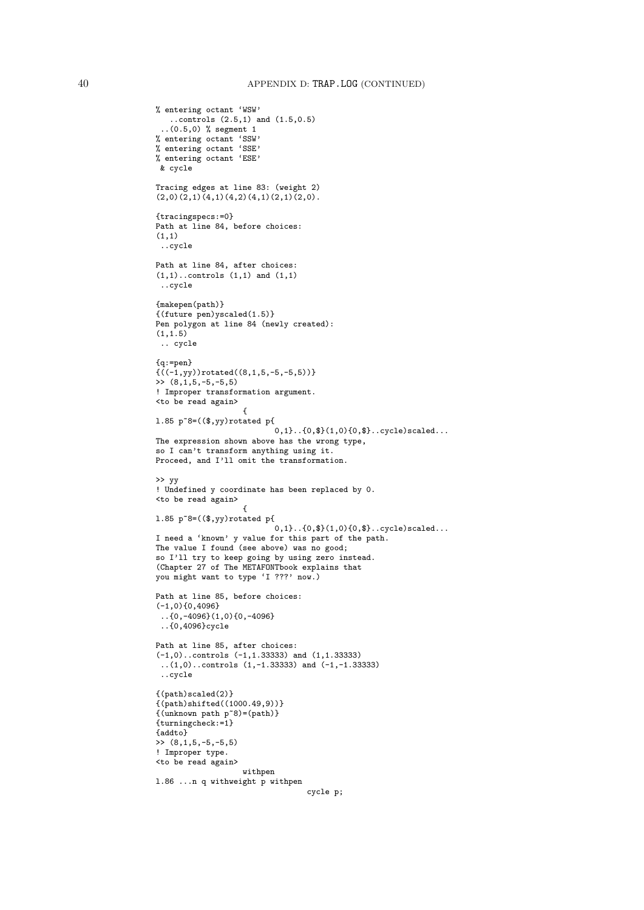```
% entering octant 'WSW'
   ..controls (2.5,1) and (1.5,0.5)
  ..(0.5,0) % segment 1
% entering octant 'SSW'
% entering octant 'SSE'
% entering octant 'ESE'
 & cycle
Tracing edges at line 83: (weight 2)
(2,0)(2,1)(4,1)(4,2)(4,1)(2,1)(2,0).
{tracingspecs:=0}
Path at line 84, before choices:
(1,1)
 ..cycle
Path at line 84, after choices:
(1,1)..controls (1,1) and (1,1)
 ..cycle
{makepen(path)}
{(future pen)yscaled(1.5)}
Pen polygon at line 84 (newly created):
(1,1.5)
 .. cycle
{q:=pen}
{((-1,yy))}rotated((8,1,5,-5,-5,5))}\rightarrow (8,1,5,-5,-5,5)
! Improper transformation argument.
<to be read again>
                  {
l.85 p~8=(($,yy)rotated p{
                          0,1}..{0,$}(1,0){0,$}..cycle)scaled...
The expression shown above has the wrong type,
so I can't transform anything using it.
Proceed, and I'll omit the transformation.
>> yy
! Undefined y coordinate has been replaced by 0.
<to be read again>
                    {
l.85 p~8=(($,yy)rotated p{
                          .<br>0.1}..{0.$}(1.0){0.$}..cycle)scaled...
I need a 'known' y value for this part of the path.
The value I found (see above) was no good;
so I'll try to keep going by using zero instead.
(Chapter 27 of The METAFONTbook explains that
you might want to type 'I ???' now.)
Path at line 85, before choices:
(-1,0){0,4096}
 ..{0,-4096}(1,0){0,-4096}
 ..{0,4096}cycle
Path at line 85, after choices:
(-1,0)..controls (-1,1.33333) and (1,1.33333)
 (1,0)..controls (1,-1.33333) and (-1,-1.33333)..cycle
{(path)scaled(2)}
{(path)shifted((1000.49,9))}
{(unknown path p~8)=(path)}
{turningcheck:=1}
{addto}
>> (8,1,5,-5,-5,5)
! Improper type.
<to be read again>
                   withpen
l.86 ...n q withweight p withpen
                                 cycle p;
```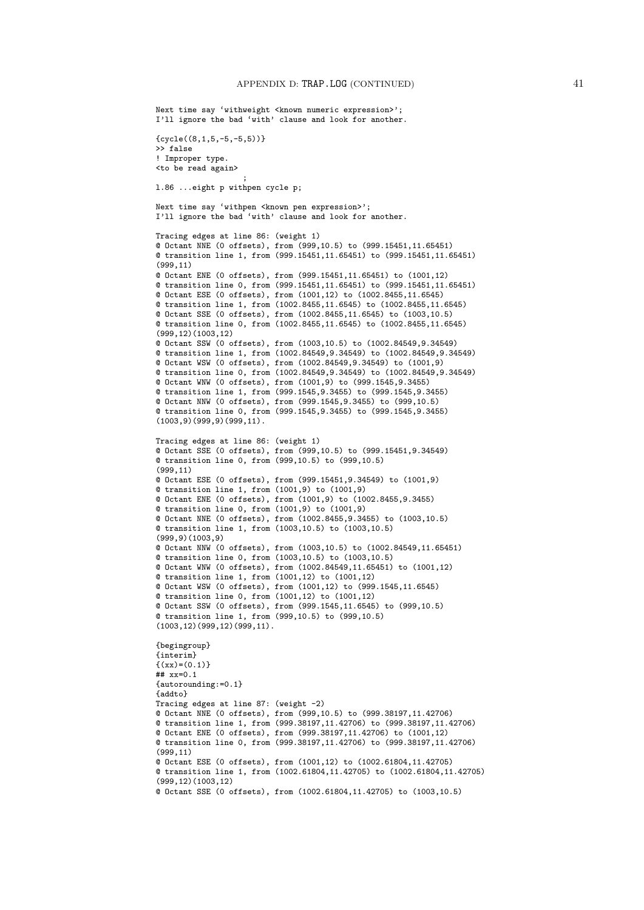```
Next time say 'withweight <known numeric expression>';
I'll ignore the bad 'with' clause and look for another.
{cycle((8,1,5,-5,-5,5))}>> false
! Improper type.
<to be read again>
                   ;
l.86 ...eight p withpen cycle p;
Next time say 'withpen <known pen expression>';
I'll ignore the bad 'with' clause and look for another.
Tracing edges at line 86: (weight 1)
@ Octant NNE (0 offsets), from (999,10.5) to (999.15451,11.65451)
@ transition line 1, from (999.15451,11.65451) to (999.15451,11.65451)
(999,11)
@ Octant ENE (0 offsets), from (999.15451,11.65451) to (1001,12)
@ transition line 0, from (999.15451,11.65451) to (999.15451,11.65451)
@ Octant ESE (0 offsets), from (1001,12) to (1002.8455,11.6545)
@ transition line 1, from (1002.8455,11.6545) to (1002.8455,11.6545)
@ Octant SSE (0 offsets), from (1002.8455,11.6545) to (1003,10.5)
@ transition line 0, from (1002.8455,11.6545) to (1002.8455,11.6545)
(999,12)(1003,12)
@ Octant SSW (0 offsets), from (1003,10.5) to (1002.84549,9.34549)
@ transition line 1, from (1002.84549,9.34549) to (1002.84549,9.34549)
@ Octant WSW (0 offsets), from (1002.84549,9.34549) to (1001,9)
@ transition line 0, from (1002.84549,9.34549) to (1002.84549,9.34549)
@ Octant WNW (0 offsets), from (1001,9) to (999.1545,9.3455)
@ transition line 1, from (999.1545,9.3455) to (999.1545,9.3455)
@ Octant NNW (0 offsets), from (999.1545,9.3455) to (999,10.5)
@ transition line 0, from (999.1545,9.3455) to (999.1545,9.3455)
(1003,9)(999,9)(999,11).
Tracing edges at line 86: (weight 1)
@ Octant SSE (0 offsets), from (999,10.5) to (999.15451,9.34549)
@ transition line 0, from (999,10.5) to (999,10.5)
(999,11)
@ Octant ESE (0 offsets), from (999.15451,9.34549) to (1001,9)
@ transition line 1, from (1001,9) to (1001,9)
@ Octant ENE (0 offsets), from (1001,9) to (1002.8455,9.3455)
@ transition line 0, from (1001,9) to (1001,9)
@ Octant NNE (0 offsets), from (1002.8455,9.3455) to (1003,10.5)
@ transition line 1, from (1003,10.5) to (1003,10.5)
(999,9)(1003,9)
@ Octant NNW (0 offsets), from (1003,10.5) to (1002.84549,11.65451)
@ transition line 0, from (1003,10.5) to (1003,10.5)
@ Octant WNW (0 offsets), from (1002.84549,11.65451) to (1001,12)
@ transition line 1, from (1001,12) to (1001,12)
@ Octant WSW (0 offsets), from (1001,12) to (999.1545,11.6545)
@ transition line 0, from (1001,12) to (1001,12)
@ Octant SSW (0 offsets), from (999.1545,11.6545) to (999,10.5)
@ transition line 1, from (999,10.5) to (999,10.5)
(1003,12)(999,12)(999,11).
{begingroup}
{interim}
\{(xx)=(0.1)\}## xy=0.1{autorounding:=0.1}
{addto}
Tracing edges at line 87: (weight -2)
@ Octant NNE (0 offsets), from (999,10.5) to (999.38197,11.42706)
@ transition line 1, from (999.38197,11.42706) to (999.38197,11.42706)
@ Octant ENE (0 offsets), from (999.38197,11.42706) to (1001,12)
@ transition line 0, from (999.38197,11.42706) to (999.38197,11.42706)
(999,11)
@ Octant ESE (0 offsets), from (1001,12) to (1002.61804,11.42705)
@ transition line 1, from (1002.61804,11.42705) to (1002.61804,11.42705)
(999,12)(1003,12)
@ Octant SSE (0 offsets), from (1002.61804,11.42705) to (1003,10.5)
```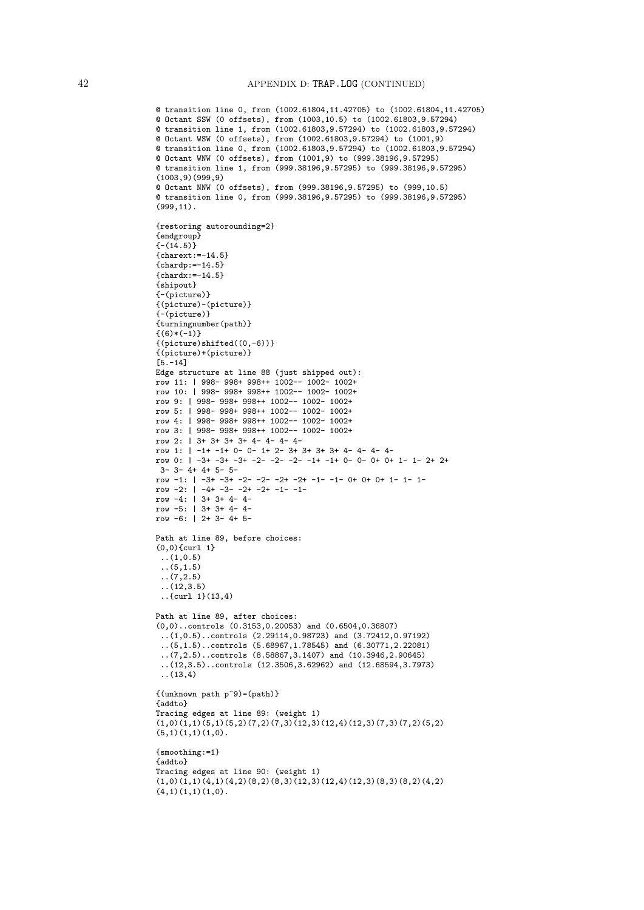```
@ transition line 0, from (1002.61804,11.42705) to (1002.61804,11.42705)
@ Octant SSW (0 offsets), from (1003,10.5) to (1002.61803,9.57294)
@ transition line 1, from (1002.61803,9.57294) to (1002.61803,9.57294)
@ Octant WSW (0 offsets), from (1002.61803,9.57294) to (1001,9)
@ transition line 0, from (1002.61803,9.57294) to (1002.61803,9.57294)
@ Octant WNW (0 offsets), from (1001,9) to (999.38196,9.57295)
@ transition line 1, from (999.38196,9.57295) to (999.38196,9.57295)
(1003,9)(999,9)
@ Octant NNW (0 offsets), from (999.38196,9.57295) to (999,10.5)
@ transition line 0, from (999.38196,9.57295) to (999.38196,9.57295)
(999,11).
{restoring autorounding=2}
{endgroup}
\{- (14.5)\}{charest:=-14.5}{chardp:=-14.5}
{chardx:=-14.5}{shipout}
{-(picture)}
{(picture)-(picture)}
{-(picture)}
{turningnumber(path)}
{(6)*(-1)}\{(picture) shifted((0,-6))\}{(picture)+(picture)}
[5.-14]
Edge structure at line 88 (just shipped out):
row 11: | 998- 998+ 998++ 1002-- 1002- 1002+
row 10: | 998- 998+ 998++ 1002-- 1002- 1002+
row 9: | 998- 998+ 998++ 1002-- 1002- 1002+
row 5: | 998- 998+ 998++ 1002-- 1002- 1002+
row 4: | 998- 998+ 998++ 1002-- 1002- 1002+
row 3: | 998- 998+ 998++ 1002-- 1002- 1002+
row 2: | 3+ 3+ 3+ 3+ 4- 4- 4- 4-
row 1: | -1+ -1+ 0- 0- 1+ 2- 3+ 3+ 3+ 3+ 4- 4- 4- 4-
row 0: | -3+ -3+ -3+ -2- -2- -2- -1+ -1+ 0- 0- 0+ 0+ 1- 1- 2+ 2+
3- 3- 4+ 4+ 5- 5-
row -1: | -3+ -3+ -2- -2- -2+ -2+ -1- -1- 0+ 0+ 0+ 1- 1- 1-
row -2: \vert -4+ -3- -2+ -2+ -1- -1-
row -4: | 3+ 3+ 4- 4-
row -5: | 3+ 3+ 4- 4-
row -6: | 2+ 3- 4+ 5-
Path at line 89, before choices:
(0,0){curl 1}
 ..(1,0.5)
 ..(5,1.5)
 ..(7,2.5)
 ..(12,3.5)
 ..{curl 1}(13,4)
Path at line 89, after choices:
(0,0)..controls (0.3153,0.20053) and (0.6504,0.36807)
 ..(1,0.5)..controls (2.29114,0.98723) and (3.72412,0.97192)
 ..(5,1.5)..controls (5.68967,1.78545) and (6.30771,2.22081)
 ..(7,2.5)..controls (8.58867,3.1407) and (10.3946,2.90645)
 ..(12,3.5)..controls (12.3506,3.62962) and (12.68594,3.7973)
 ..(13,4)
{(unknown path p~9)=(path)}
{addto}
Tracing edges at line 89: (weight 1)
(1,0)(1,1)(5,1)(5,2)(7,2)(7,3)(12,3)(12,4)(12,3)(7,3)(7,2)(5,2)(5,1)(1,1)(1,0).
{smoothing:=1}
{addto}
Tracing edges at line 90: (weight 1)
(1,0)(1,1)(4,1)(4,2)(8,2)(8,3)(12,3)(12,4)(12,3)(8,3)(8,2)(4,2)(4,1)(1,1)(1,0).
```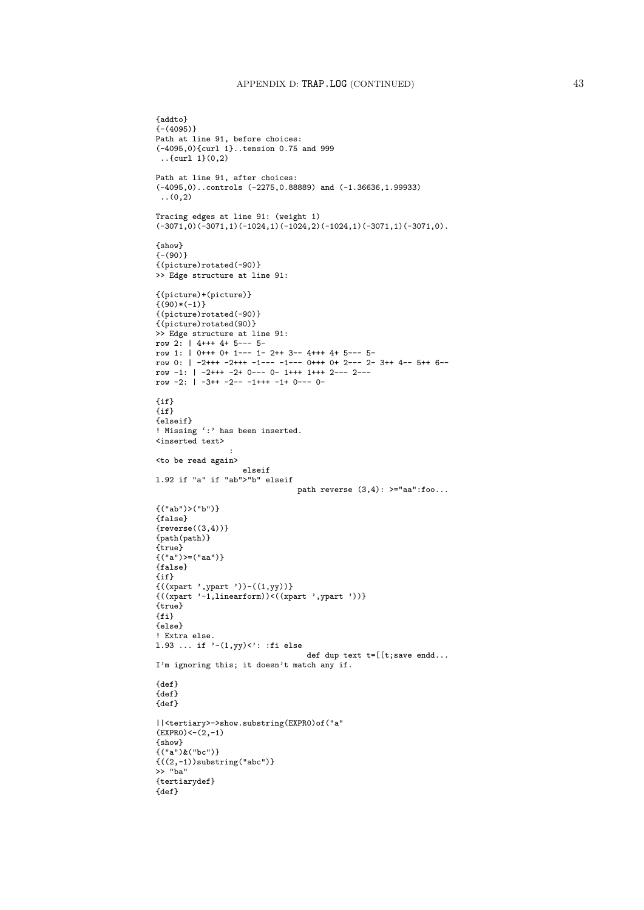```
{addto}
{-(4095)}
Path at line 91, before choices:
(-4095,0){curl 1}..tension 0.75 and 999
 ..{curl 1}(0,2)
Path at line 91, after choices:
(-4095,0)..controls (-2275,0.88889) and (-1.36636,1.99933)
\ldots (0,2)
Tracing edges at line 91: (weight 1)
(-3071,0)(-3071,1)(-1024,1)(-1024,2)(-1024,1)(-3071,1)(-3071,0).
{show}
(- (90)){(picture)rotated(-90)}
>> Edge structure at line 91:
{(picture)+(picture)}
\{(90)*(-1)\}{(picture)rotated(-90)}
{(picture)rotated(90)}
>> Edge structure at line 91:
row 2: | 4+++ 4+ 5--- 5-
row 1: | 0+++ 0+ 1--- 1- 2++ 3-- 4+++ 4+ 5--- 5-
row 0: | -2+++ -2+++ -1--- -1--- 0+++ 0+ 2--- 2- 3++ 4-- 5++ 6--
row -1: | -2+++ -2+ 0--- 0- 1+++ 1+++ 2--- 2---
row -2: | -3++ -2-- -1+++ -1+ 0--- 0-
\{i,f\}{if}
{elseif}
! Missing ':' has been inserted.
<inserted text>
                :
<to be read again>
                   elseif
l.92 if "a" if "ab">"b" elseif
                               path reverse (3.4): >="aa":foo...
{("ab")>("b")}
{false}
{\text{reverse}((3,4))}{path(path)}
{true}
{("a")>=("aa")}
{false}
{if}
{((xpart ',ypart '))-((1,yy))}
{((xpart '-1,linearform))<((xpart ',ypart '))}
{true}
{fi}
{else}
! Extra else.
l.93 ... if '-(1,yy)<': :fi else
                                 def dup text t=[[t;save endd...
I'm ignoring this; it doesn't match any if.
{def}
{def}
{def}
||<tertiary>->show.substring(EXPR0)of("a"
(EXPRO)<-(2,-1){show}
{("a")&("bc")}{((2,-1))}substring("abc")}
>> "ba"
{tertiarydef}
{def}
```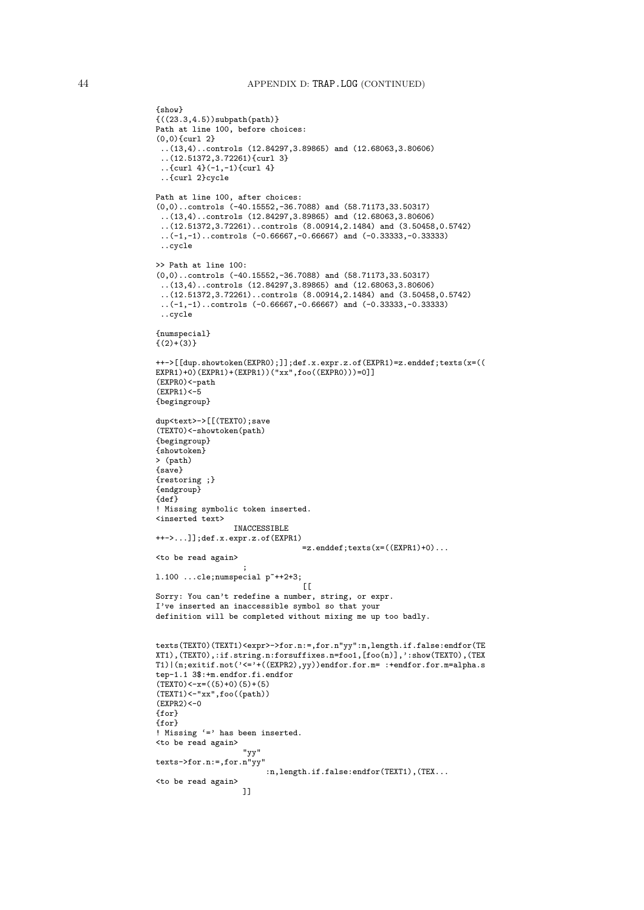```
{show}
{((23.3,4.5))subpath(path)}
Path at line 100, before choices:
(0,0){curl 2}
..(13,4)..controls (12.84297,3.89865) and (12.68063,3.80606)
 ..(12.51372,3.72261){curl 3}
 ..{curl 4}(-1,-1){curl 4}
 ..{curl 2}cycle
Path at line 100, after choices:
(0,0)..controls (-40.15552,-36.7088) and (58.71173,33.50317)
 ..(13,4)..controls (12.84297,3.89865) and (12.68063,3.80606)
 ..(12.51372,3.72261)..controls (8.00914,2.1484) and (3.50458,0.5742)
 ..(-1,-1)..controls (-0.66667,-0.66667) and (-0.33333,-0.33333)
 ..cycle
>> Path at line 100:
(0,0)..controls (-40.15552,-36.7088) and (58.71173,33.50317)
 ..(13,4)..controls (12.84297,3.89865) and (12.68063,3.80606)
 ..(12.51372,3.72261)..controls (8.00914,2.1484) and (3.50458,0.5742)
 \ldots(-1,-1)..controls (-0.66667,-0.66667) and (-0.33333,-0.33333)
 ..cycle
{numspecial}
\{(2)+ (3)\}++->[[dup.showtoken(EXPR0);]];def.x.expr.z.of(EXPR1)=z.enddef;texts(x=((
EXPR1)+0)(EXPR1)+(EXPR1))("xx",foo((EXPR0)))=0]]
(EXPR0)<-path
(EXPR1) < -5{begingroup}
dup<text>->[[(TEXT0);save
(TEXT0)<-showtoken(path)
{begingroup}
{showtoken}
> (path)
{save}
{restoring ;}
{endgroup}
{def}
! Missing symbolic token inserted.
<inserted text>
                  INACCESSIBLE
++->...]];def.x.expr.z.of(EXPR1)
                                  =z.enddef;texts(x=((EXPR1)+0)...
<to be read again>
                     ;
1.100 ...cle; numspecial p^*++2+3;\Gamma[
Sorry: You can't redefine a number, string, or expr.
I've inserted an inaccessible symbol so that your
definition will be completed without mixing me up too badly.
texts(TEXT0)(TEXT1)<expr>->for.n:=,for.n"yy":n,length.if.false:endfor(TE
XT1),(TEXT0),:if.string.n:forsuffixes.n=foo1,[foo(n)],':show(TEXT0),(TEX
\verb|T1| | (n; \texttt{exitif}.\texttt{not}(\texttt{'<='}+((EXPR2), yy))\texttt{endfor}.\texttt{for}.\texttt{m=}:\texttt{tendfor}.\texttt{for}.\texttt{m=alpha}.\texttt{s}tep-1.1 3$:+m.endfor.fi.endfor
(TEXT0)<-x=((5)+0)(5)+(5)(TEXT1) < - "xx", foo((path))(EXPR2) < -0{for}
{for}
! Missing '=' has been inserted.
<to be read again>
                    "yy"
texts->for.n:=,for.n"yy"
                         :n,length.if.false:endfor(TEXT1),(TEX...
<to be read again>
                    ]]
```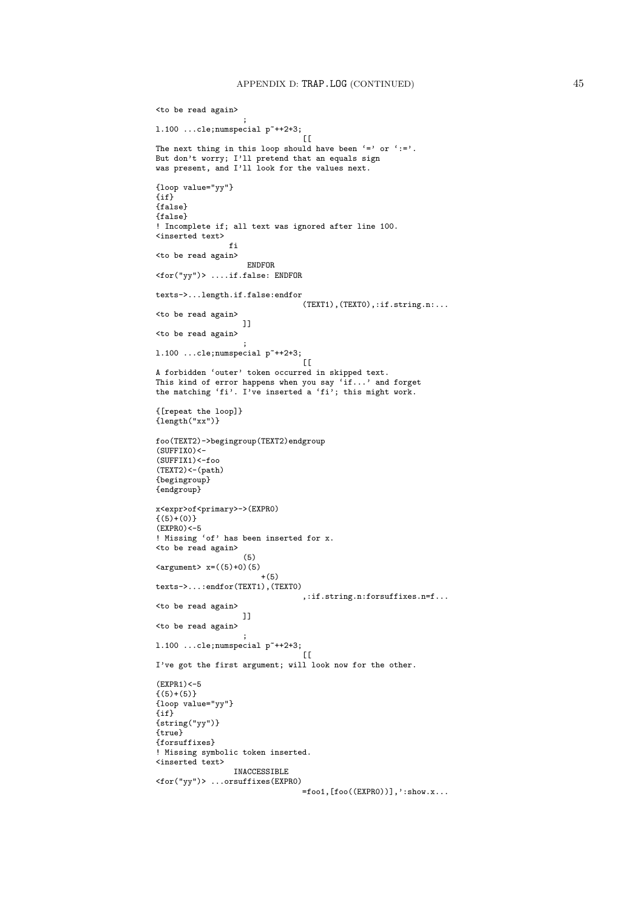```
<to be read again>
                    ;
1.100 ...cle; numspecial p^*++2+3;
                                  [[[The next thing in this loop should have been '=' or ':='.
But don't worry; I'll pretend that an equals sign
was present, and I'll look for the values next.
{loop value="yy"}
\{if\}{false}
{false}
! Incomplete if; all text was ignored after line 100.
<inserted text>
                fi
<to be read again>
                     ENDFOR
<for("yy")> ....if.false: ENDFOR
texts->...length.if.false:endfor
                                 (TEXT1),(TEXT0),:if.string.n:...
<to be read again>
                    ]]
<to be read again>
                    ;
1.100 ...cle; numspecial p^*++2+3;
                                 \overline{[}[\overline{[}A forbidden 'outer' token occurred in skipped text.
This kind of error happens when you say 'if...' and forget
the matching 'fi'. I've inserted a 'fi'; this might work.
{[repeat the loop]}
{length("xx")}
foo(TEXT2)->begingroup(TEXT2)endgroup
(SIIFFTX()(SUFFIX1)<-foo(TEXT2)<-(path){begingroup}
{endgroup}
x<expr>of<primary>->(EXPR0)
\{(5)+(0)\}(EXPRO)<-5! Missing 'of' has been inserted for x.
<to be read again>
                    (5)
\langle \text{argument} \rangle x=((5)+0)(5)
                       +(5)texts->...:endfor(TEXT1),(TEXT0)
                                 ,:if.string.n:forsuffixes.n=f...
<to be read again>
                   ]]
<to be read again>
                    ;
1.100 ...cle; numspecial p^*++2+3;[[[I've got the first argument; will look now for the other.
(EXPR1) < -5{(5)+(5)}{loop value="yy"}
{if}
{string("yy")}
{true}
{forsuffixes}
! Missing symbolic token inserted.
<inserted text>
                 INACCESSIBLE
<for("yy")> ...orsuffixes(EXPR0)
                                  \equivfoo1, [foo((EXPRO))], ':show.x...
```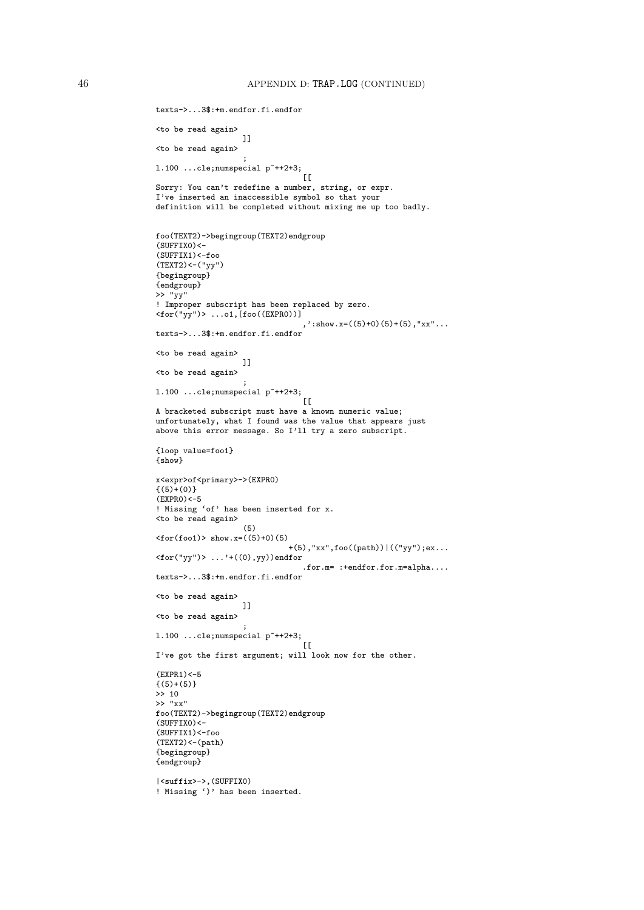```
texts->...3$:+m.endfor.fi.endfor
<to be read again>
                    ]]
<to be read again>
                     ;
l.100 ...cle;numspecial p~++2+3;
                                  \GammaSorry: You can't redefine a number, string, or expr.
I've inserted an inaccessible symbol so that your
definition will be completed without mixing me up too badly.
foo(TEXT2)->begingroup(TEXT2)endgroup
(SUFFIX0) <-
(SUFFIX1)<-foo
(TEXT2)<-("yy"){begingroup}
{endgroup}
>> "yy"
! Improper subscript has been replaced by zero.<br><for("yy")> ...o1,[foo((EXPRO))]
<for("yy")> ...o1,[foo((EXPR0))]
                                  , ': show.x=((5)+0)(5)+(5), "xx"...
texts->...3$:+m.endfor.fi.endfor
<to be read again>
                    ]]
<to be read again>
                    ;
1.100 ...cle; numspecial p^*++2+3;
                                  [[[] ]A bracketed subscript must have a known numeric value;
unfortunately, what I found was the value that appears just
above this error message. So I'll try a zero subscript.
{loop value=foo1}
{show}
x<expr>of<primary>->(EXPR0)
\{(5)+(0)\}(FXPRO) < -5! Missing 'of' has been inserted for x.
<to be read again>
                    (5)
\text{for}(\text{foo1}) > \text{show.x} = ((5)+0)(5)+(5),"xx",foo((path))|(("yy");ex...
<for("yy")> ...'+((0),yy))endfor
                                 .for.m= :+endfor.for.m=alpha....
texts->...3$:+m.endfor.fi.endfor
<to be read again>
                    ]]
<to be read again>
                     ;
1.100 ...cle; numspecial p^*++2+3;\Gamma[
I've got the first argument; will look now for the other.
(EXPR1) < -5{(5)+(5)}>> 10
>> "xx"
foo(TEXT2)->begingroup(TEXT2)endgroup
(SUFFIX0) <-
(SUFFIX1)<-foo
(TEXT2)<-(path){begingroup}
{endgroup}
|<suffix>->,(SUFFIX0)
! Missing ')' has been inserted.
```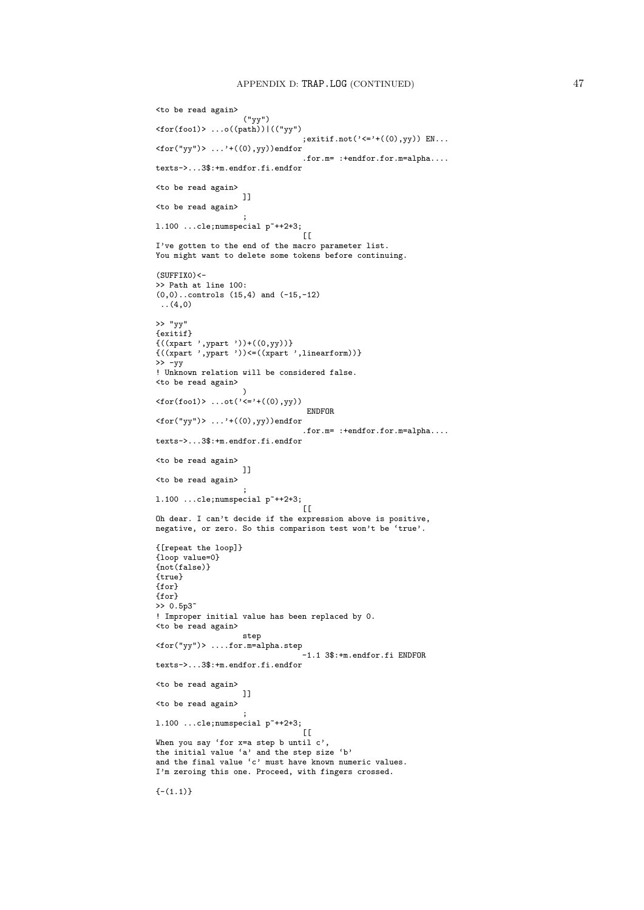```
<to be read again>
                    ("yy")
<for(foo1)> ...o((path))|(("yy")
                                 ; exitif.not(\text{'<='}+(\text{(0)}, \text{yy})) EN...
\langlefor("yy")> ...'+((0),yy))endfor
                                 .for.m= :+endfor.for.m=alpha....
texts->...3$:+m.endfor.fi.endfor
<to be read again>
                   ]]
<to be read again>
                    ;
1.100 ...cle; numspecial p^*++2+3;[[[I've gotten to the end of the macro parameter list.
You might want to delete some tokens before continuing.
(SUFFIX0) <-
>> Path at line 100:
(0,0)..controls (15,4) and (-15,-12)..(4,0)
>> "yy"
{exitif}
{((xpart ',ypart '))+((0,yy))}
{((xpart ',ypart '))<=((xpart ',linearform))}
\rightarrow -yy! Unknown relation will be considered false.
<to be read again>
                    )
<for(foo1)> ...ot('<='+((0),yy))
                                  ENDFOR
\langlefor("yy")> ...'+((0),yy))endfor
                                 .for.m= :+endfor.for.m=alpha....
texts->...3$:+m.endfor.fi.endfor
<to be read again>
                   ]]
<to be read again>
                    ;
l.100 ...cle;numspecial p~++2+3;
                                 \sqrt{ }Oh dear. I can't decide if the expression above is positive,
negative, or zero. So this comparison test won't be 'true'.
{[repeat the loop]}
{loop value=0}
{not(false)}
{true}
{for}
{for}
>> 0.5p3~
! Improper initial value has been replaced by 0.
<to be read again>
                   step
<for("yy")> ....for.m=alpha.step
                                  -1.1 3$:+m.endfor.fi ENDFOR
texts->...3$:+m.endfor.fi.endfor
<to be read again>
                    ]]
<to be read again>
                    ;
1.100 ...cle; numspecial p^*++2+3;
                                  \Gamma[
When you say 'for x=a step b until c',
the initial value 'a' and the step size 'b'
and the final value 'c' must have known numeric values.
I'm zeroing this one. Proceed, with fingers crossed.
{- (1.1)}
```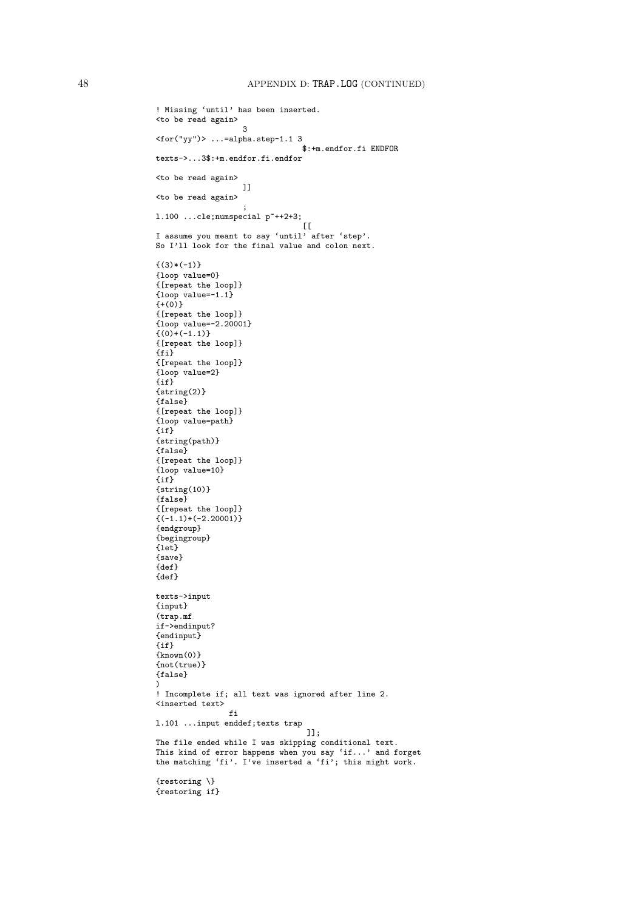```
! Missing 'until' has been inserted.
<to be read again>
                   3
<for("yy")> ...=alpha.step-1.1 3
                                 $:+m.endfor.fi ENDFOR
texts->...3$:+m.endfor.fi.endfor
<to be read again>
                   ]]
<to be read again>
                    ;
l.100 ...cle;numspecial p~++2+3;
                                [[[
I assume you meant to say 'until' after 'step'.
So I'll look for the final value and colon next.
{(3)*(-1)}{loop value=0}
{[repeat the loop]}
{100p} value=-1.1}
\{+(0)^{\}{[repeat the loop]}
{loop value=-2.20001}
\{(0)+(-1.1)\}{[repeat the loop]}
{f}i}
{[repeat the loop]}
{loop value=2}
{if}
{string(2)}
{false}
{[repeat the loop]}
{loop value=path}
\{if\}{string(path)}
{false}
{[repeat the loop]}
{loop value=10}
\{if\}{string(10)}
{false}
{[repeat the loop]}
\{(-1.1)+(-2.20001)\}{endgroup}
{begingroup}
{let}
{save}
{def}
{def}
texts->input
{input}
(trap.mf
if->endinput?
{endinput}
{if}
{known(0)}
{not(true)}
{false}
)
! Incomplete if; all text was ignored after line 2.
<inserted text>
                 fi
l.101 ...input enddef;texts trap
                                  ]];
The file ended while I was skipping conditional text.
This kind of error happens when you say 'if...' and forget
the matching 'fi'. I've inserted a 'fi'; this might work.
{restoring \}
{restoring if}
```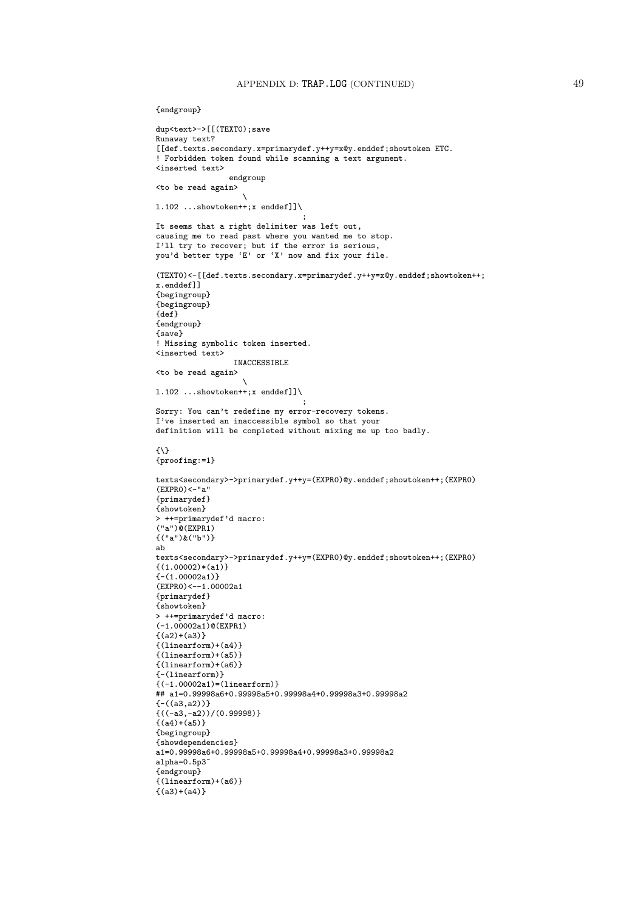```
{endgroup}
```

```
dup<text>->[[(TEXT0);save
Runaway text?
[[def.texts.secondary.x=primarydef.y++y=x@y.enddef;showtoken ETC.
! Forbidden token found while scanning a text argument.
<inserted text>
                 endgroup
<to be read again>
                    \
l.102 ...showtoken++;x enddef]]\
                                  ;
It seems that a right delimiter was left out,
causing me to read past where you wanted me to stop.
I'll try to recover; but if the error is serious,
you'd better type 'E' or 'X' now and fix your file.
(TEXT0)<-[[def.texts.secondary.x=primarydef.y++y=x@y.enddef;showtoken++;
x.enddef]]
{begingroup}
{begingroup}
{def}
{endgroup}
{save}
! Missing symbolic token inserted.
<inserted text>
                 INACCESSIBLE
<to be read again>
                    \
l.102 ...showtoken++;x enddef]]\
                                  ;
Sorry: You can't redefine my error-recovery tokens.
I've inserted an inaccessible symbol so that your
definition will be completed without mixing me up too badly.
f \setminus \lambda{proofing:=1}
texts<secondary>->primarydef.y++y=(EXPR0)@y.enddef;showtoken++;(EXPR0)
(EXPRO)<-<sup>n</sup>a<sup>n</sup>{primarydef}
{showtoken}
> ++=primarydef'd macro:
("a")@(EXPR1){("a")\&("b")}ab
texts<secondary>->primarydef.y++y=(EXPR0)@y.enddef;showtoken++;(EXPR0)
\{(1.00002)*(a1)\}{-}(1.00002a1)(EXPR0)<--1.00002a1
{primarydef}
{showtoken}
> ++=primarydef'd macro:
(-1.00002a1)@(EXPR1)
{(a2)+(a3)}{(linearform)+(a4)}
{(linearform)+(a5)}
{(linearform)+(a6)}
{-(linearform)}
{(-1.00002a1)=(linearform)}
## a1=0.99998a6+0.99998a5+0.99998a4+0.99998a3+0.99998a2
{-((a3,a2))}
{((-a3,-a2))}/{(0.99998)}{(a4)+(a5)}{begingroup}
{showdependencies}
a1=0.99998a6+0.99998a5+0.99998a4+0.99998a3+0.99998a2
alpha=0.5p3~
{endgroup}
{(linearform)+(a6)}
{(a3)+(a4)}
```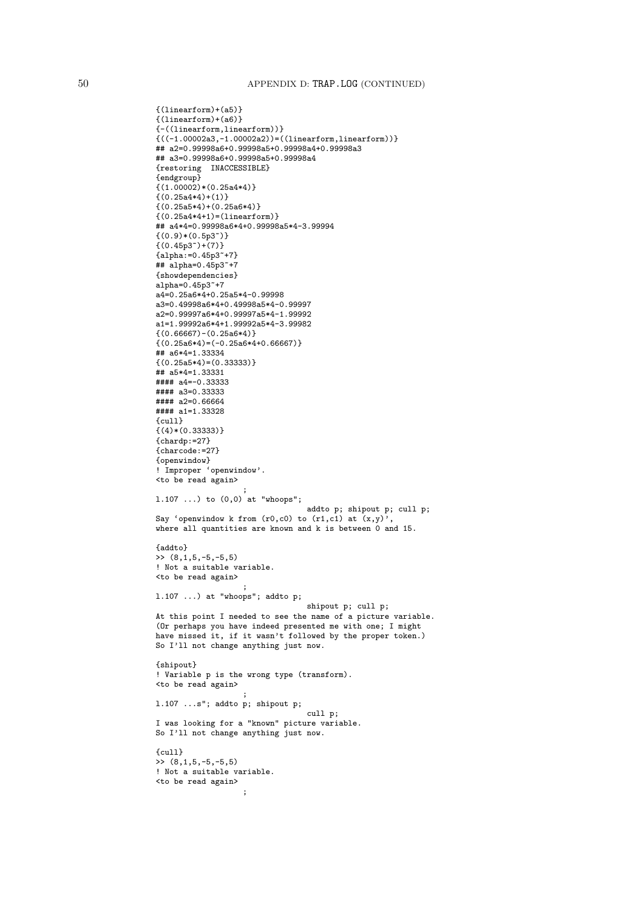```
{(linearform)+(a5)}
{(linearform)+(a6)}
{-((linearform,linearform))}
{((-1.00002a3,-1.00002a2))=((linearform,linearform))}
## a2=0.99998a6+0.99998a5+0.99998a4+0.99998a3
## a3=0.99998a6+0.99998a5+0.99998a4
{restoring INACCESSIBLE}
{endgroup}
{(1.00002)*(0.25a4*4)}\{(0.25a4*4)+(1)\}{(0.25a5*4)+(0.25a6*4)}\{(0.25a4*4+1)=(linearform)\}## a4*4=0.99998a6*4+0.99998a5*4-3.99994
{(0.9)*(0.5p3")}\{(0.45p3^{\circ})+(7)\}{a1pha:=0.45p3*+7}## alpha=0.45p3~+7
{showdependencies}
alpha=0.45p3~+7
a_{4=0.25a6*4+0.25a5*4-0.99998}a3=0.49998a6*4+0.49998a5*4-0.99997
a2=0.99997a6*4+0.99997a5*4-1.99992
a1=1.99992a6*4+1.99992a5*4-3.99982
{(0.66667)-(0.25a6*4)}\{(0.25a6*4)=(-0.25a6*4+0.66667)\}## a6*4=1.33334\{(0.25a5*4)=(0.33333)\}## a5*4=1.33331
#### a4=-0.33333
#### a3=0.33333
#### a2=0.66664
#### a1=1.33328
{cull}
\{(4)*(0.33333)\}{chardp:=27}
{charcode:=27}
{openwindow}
! Improper 'openwindow'.
<to be read again>
                    ;
l.107 ...) to (0,0) at "whoops";
                                 addto p; shipout p; cull p;
Say 'openwindow k from (r0,c0) to (r1,c1) at (x,y)',
where all quantities are known and k is between 0 and 15.
{addto}
>> (8,1,5,-5,-5,5)
! Not a suitable variable.
<to be read again>
                    ;
l.107 ...) at "whoops"; addto p;
                                 shipout p; cull p;
At this point I needed to see the name of a picture variable.
(Or perhaps you have indeed presented me with one; I might
have missed it, if it wasn't followed by the proper token.)
So I'll not change anything just now.
{shipout}
! Variable p is the wrong type (transform).
<to be read again>
                    ;
l.107 ...s"; addto p; shipout p;
                                 cull p;
I was looking for a "known" picture variable.
So I'll not change anything just now.
{cull}
\rightarrow (8,1,5,-5,-5,5)
! Not a suitable variable.
<to be read again>
                    ;
```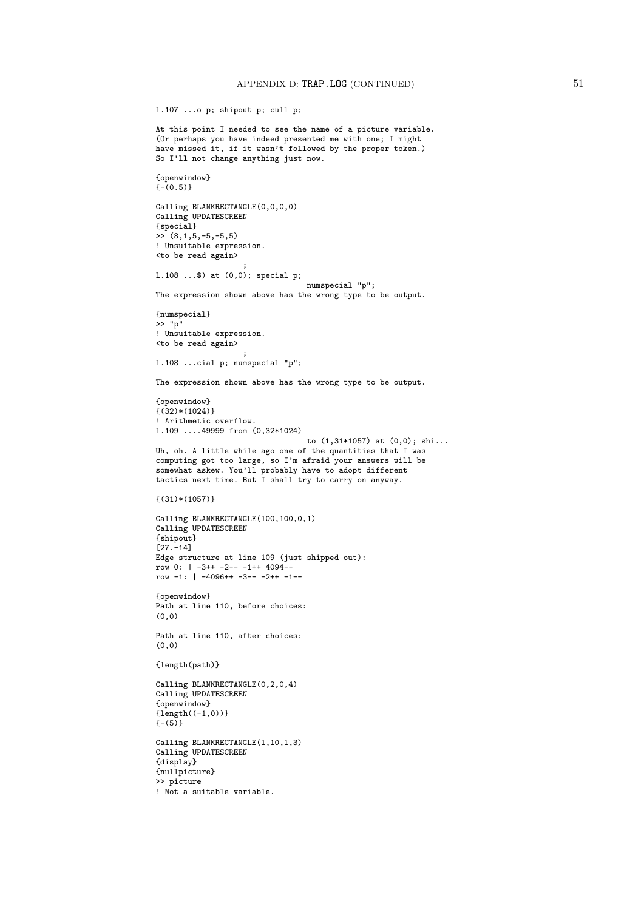l.107 ...o p; shipout p; cull p;

```
At this point I needed to see the name of a picture variable.
(Or perhaps you have indeed presented me with one; I might
have missed it, if it wasn't followed by the proper token.)
So I'll not change anything just now.
{openwindow}
\{- (0.5)\}Calling BLANKRECTANGLE(0,0,0,0)
Calling UPDATESCREEN
{special}
\rightarrow (8,1,5,-5,-5,5)
! Unsuitable expression.
<to be read again>
                    ;
l.108 ...$) at (0,0); special p;
                                 numspecial "p";
The expression shown above has the wrong type to be output.
{numspecial}
>> "p"
! Unsuitable expression.
<to be read again>
                    ;
l.108 ...cial p; numspecial "p";
The expression shown above has the wrong type to be output.
{openwindow}
\{(32)*(1024)\}! Arithmetic overflow.
l.109 ....49999 from (0,32*1024)
                                 to (1,31*1057) at (0,0); shi...
Uh, oh. A little while ago one of the quantities that I was
computing got too large, so I'm afraid your answers will be
somewhat askew. You'll probably have to adopt different
tactics next time. But I shall try to carry on anyway.
\{(31)*(1057)\}Calling BLANKRECTANGLE(100,100,0,1)
Calling UPDATESCREEN
{shipout}
[27.-14]
Edge structure at line 109 (just shipped out):
row 0: | -3++ -2-- -1++ 4094--
row -1: | -4096++ -3-- -2++ -1--
{openwindow}
Path at line 110, before choices:
(0,0)
Path at line 110, after choices:
(0,0)
{length(path)}
Calling BLANKRECTANGLE(0,2,0,4)
Calling UPDATESCREEN
{openwindow}
{length((-1,0))}(-(5)}
Calling BLANKRECTANGLE(1,10,1,3)
Calling UPDATESCREEN
{display}
{nullpicture}
>> picture
! Not a suitable variable.
```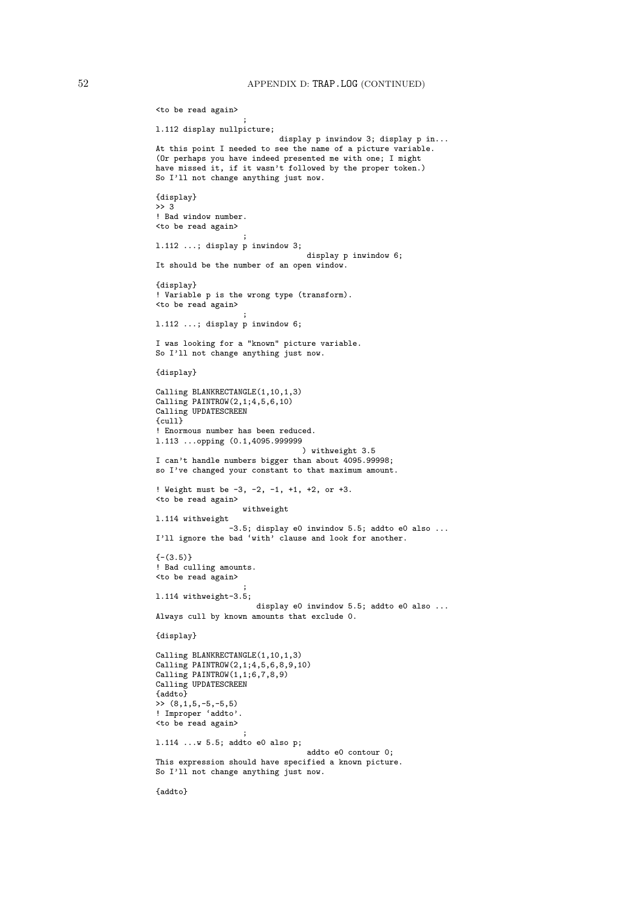```
<to be read again>
                    ;
l.112 display nullpicture;
                           display p inwindow 3; display p in...
At this point I needed to see the name of a picture variable.
(Or perhaps you have indeed presented me with one; I might
have missed it, if it wasn't followed by the proper token.)
So I'll not change anything just now.
{display}
\rightarrow 3
! Bad window number.
<to be read again>
                    ;
l.112 ...; display p inwindow 3;
                                 display p inwindow 6;
It should be the number of an open window.
{display}
! Variable p is the wrong type (transform).
<to be read again>
                    ;
l.112 ...; display p inwindow 6;
I was looking for a "known" picture variable.
So I'll not change anything just now.
{display}
Calling BLANKRECTANGLE(1,10,1,3)
Calling PAINTROW(2,1;4,5,6,10)
Calling UPDATESCREEN
{cull}
! Enormous number has been reduced.
l.113 ...opping (0.1,4095.999999
                                ) withweight 3.5
I can't handle numbers bigger than about 4095.99998;
so I've changed your constant to that maximum amount.
! Weight must be -3, -2, -1, +1, +2, or +3.
<to be read again>
                   withweight
l.114 withweight
                -3.5: display e0 inwindow 5.5; addto e0 also ...
I'll ignore the bad 'with' clause and look for another.
{-}(3.5)! Bad culling amounts.
<to be read again>
                    ;
l.114 withweight-3.5;
                      display e0 inwindow 5.5; addto e0 also ...
Always cull by known amounts that exclude 0.
{display}
Calling BLANKRECTANGLE(1,10,1,3)
Calling PAINTROW(2,1;4,5,6,8,9,10)
Calling PAINTROW(1,1;6,7,8,9)
Calling UPDATESCREEN
{addto}
\rightarrow (8,1,5,-5,-5,5)
! Improper 'addto'.
<to be read again>
                    ;
l.114 ...w 5.5; addto e0 also p;
                                 addto e0 contour 0;
This expression should have specified a known picture.
So I'll not change anything just now.
{addto}
```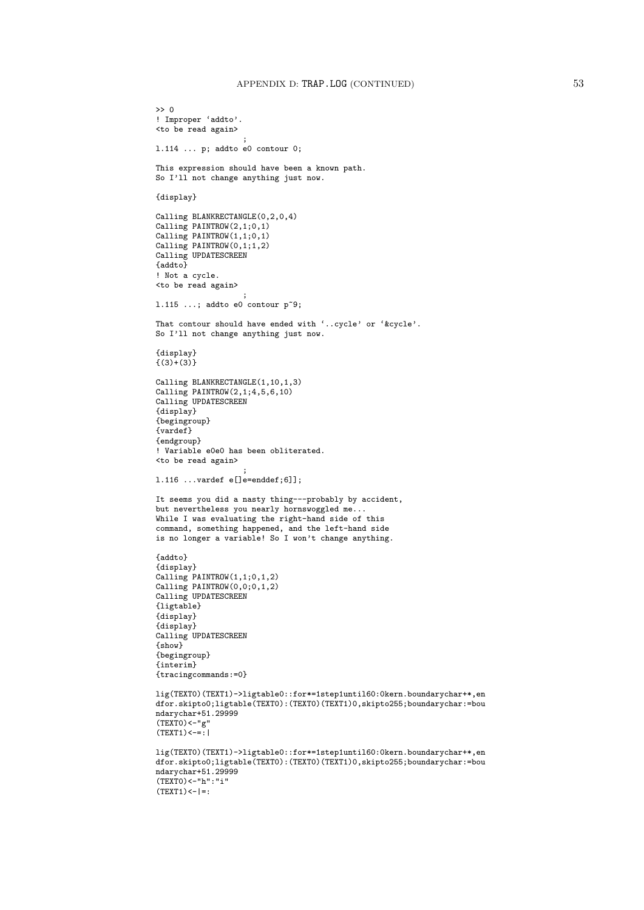```
>> 0
! Improper 'addto'.
<to be read again>
                   ;
l.114 ... p; addto e0 contour 0;
This expression should have been a known path.
So I'll not change anything just now.
{display}
Calling BLANKRECTANGLE(0,2,0,4)
Calling PAINTROW(2,1;0,1)
Calling PAINTROW(1,1;0,1)
Calling PAINTROW(0,1;1,2)Calling UPDATESCREEN
{addto}
! Not a cycle.
<to be read again>
                   ;
1.115 ...; addto e0 contour p^2;
That contour should have ended with '..cycle' or '&cycle'.
So I'll not change anything just now.
{display}
\{(3)+(3)\}Calling BLANKRECTANGLE(1,10,1,3)
Calling PAINTROW(2,1;4,5,6,10)Calling UPDATESCREEN
{display}
{begingroup}
{vardef}
{endgroup}
! Variable e0e0 has been obliterated.
<to be read again>
                   ;
l.116 ...vardef e[]e=enddef;6]];
It seems you did a nasty thing---probably by accident,
but nevertheless you nearly hornswoggled me.
While I was evaluating the right-hand side of this
command, something happened, and the left-hand side
is no longer a variable! So I won't change anything.
{addto}
{display}
Calling PAINTROW(1,1;0,1,2)
Calling PAINTROW(0,0;0,1,2)
Calling UPDATESCREEN
{ligtable}
{display}
{display}
Calling UPDATESCREEN
{show}
{begingroup}
{interim}
{tracingcommands:=0}
lig(TEXT0)(TEXT1)->ligtable0::for*=1step1until60:0kern.boundarychar+*,en
dfor.skipto0;ligtable(TEXT0):(TEXT0)(TEXT1)0,skipto255;boundarychar:=bou
ndarychar+51.29999
(TEXTO) < - "g"
(TEXT1) < - = : |
lig(TEXT0)(TEXT1)->ligtable0::for*=1step1until60:0kern.boundarychar+*,en
dfor.skipto0;ligtable(TEXT0):(TEXT0)(TEXT1)0,skipto255;boundarychar:=bou
ndarychar+51.29999
(TEXT0)<-"h":"i"
(TEXT1) <- |=:
```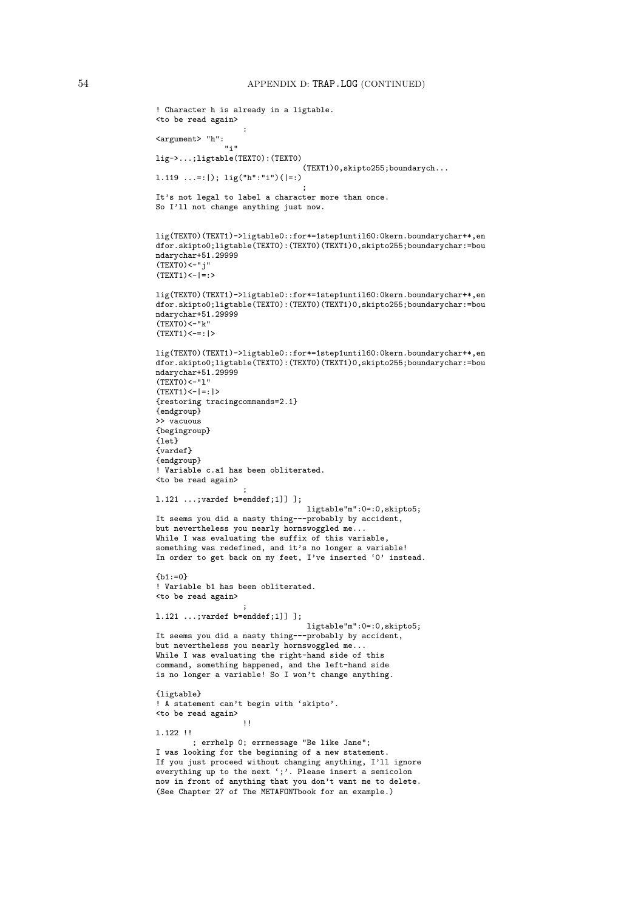```
! Character h is already in a ligtable.
<to be read again>
                    :
<argument> "h":
               n_{\tilde{1}} n
lig->...;ligtable(TEXT0):(TEXT0)
                                 (TEXT1)0,skipto255;boundarych...
l.119 ...=:|); lig("h":"i")(|=:)
                                 ;
It's not legal to label a character more than once.
So I'll not change anything just now.
lig(TEXT0)(TEXT1)->ligtable0::for*=1step1until60:0kern.boundarychar+*,en
dfor.skipto0;ligtable(TEXT0):(TEXT0)(TEXT1)0,skipto255;boundarychar:=bou
ndarychar+51.29999
(TEXTO) < -"j"(TEXT1) < = = : >
lig(TEXT0)(TEXT1)->ligtable0::for*=1step1until60:0kern.boundarychar+*,en
dfor.skipto0;ligtable(TEXT0):(TEXT0)(TEXT1)0,skipto255;boundarychar:=bou
ndarychar+51.29999
(TEXT0) < "k"(TEXT1) < -= : |>
lig(TEXT0)(TEXT1)->ligtable0::for*=1step1until60:0kern.boundarychar+*,en
dfor.skipto0;ligtable(TEXT0):(TEXT0)(TEXT1)0,skipto255;boundarychar:=bou
ndarychar+51.29999
(TEXT0)<-"l"
(TEXT1) <- |=: |>
{restoring tracingcommands=2.1}
{endgroup}
>> vacuous
{begingroup}
{let}
{vardef}
{endgroup}
! Variable c.a1 has been obliterated.
<to be read again>
                    ;
l.121 ...;vardef b=enddef;1]] ];
                                 ligtable"m":0=:0,skipto5;
It seems you did a nasty thing---probably by accident,
but nevertheless you nearly hornswoggled me...
While I was evaluating the suffix of this variable,
something was redefined, and it's no longer a variable!
In order to get back on my feet, I've inserted '0' instead.
{h1:=0}! Variable b1 has been obliterated.
<to be read again>
                    ;
l.121 ...;vardef b=enddef;1]] ];
                                 ligtable"m":0=:0,skipto5;
It seems you did a nasty thing---probably by accident,
but nevertheless you nearly hornswoggled me...
While I was evaluating the right-hand side of this
command, something happened, and the left-hand side
is no longer a variable! So I won't change anything.
{ligtable}
! A statement can't begin with 'skipto'.
<to be read again>
                    !!
l.122 !!
        ; errhelp 0; errmessage "Be like Jane";
I was looking for the beginning of a new statement.
If you just proceed without changing anything, I'll ignore
everything up to the next ';'. Please insert a semicolon
now in front of anything that you don't want me to delete.
(See Chapter 27 of The METAFONTbook for an example.)
```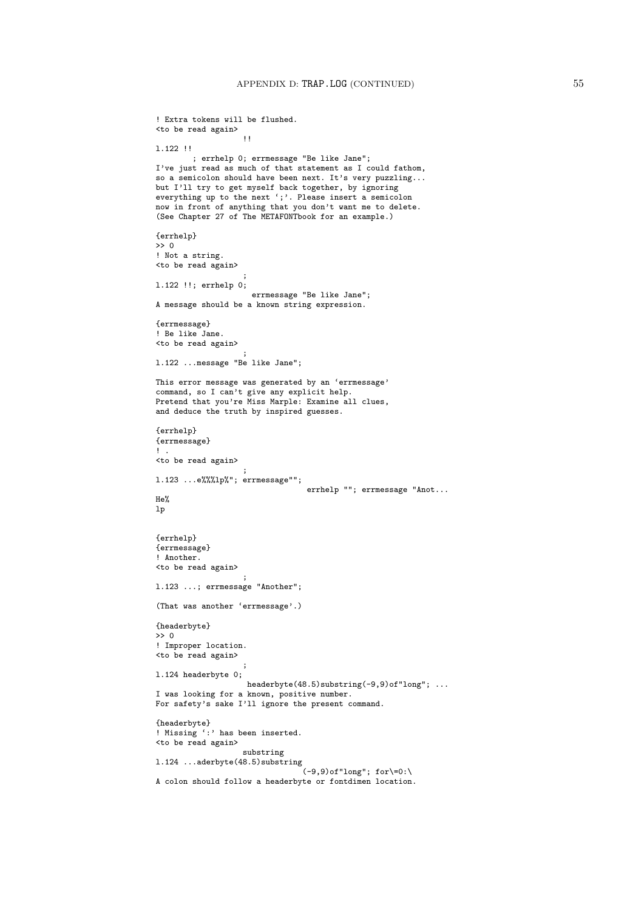```
! Extra tokens will be flushed.
<to be read again>
                    !!
l.122 !!
        ; errhelp 0; errmessage "Be like Jane";
I've just read as much of that statement as I could fathom,
so a semicolon should have been next. It's very puzzling...
but I'll try to get myself back together, by ignoring
everything up to the next ';'. Please insert a semicolon
now in front of anything that you don't want me to delete.
(See Chapter 27 of The METAFONTbook for an example.)
{errhelp}
\Rightarrow 0
! Not a string.
<to be read again>
                    ;
l.122 !!; errhelp 0;
                     errmessage "Be like Jane";
A message should be a known string expression.
{errmessage}
! Be like Jane.
<to be read again>
                    ;
l.122 ...message "Be like Jane";
This error message was generated by an 'errmessage'
command, so I can't give any explicit help.
Pretend that you're Miss Marple: Examine all clues,
and deduce the truth by inspired guesses.
{errhelp}
{errmessage}
1
<to be read again>
                    ;
l.123 ...e%%%lp%"; errmessage"";
                                 errhelp ""; errmessage "Anot...
He%
lp
{errhelp}
{errmessage}
! Another.
<to be read again>
                    ;
l.123 ...; errmessage "Another";
(That was another 'errmessage'.)
{headerbyte}
>> 0
! Improper location.
<to be read again>
                    ;
l.124 headerbyte 0;
                   headerbyte(48.5)substring(-9,9)of"long"; ...
I was looking for a known, positive number.
For safety's sake I'll ignore the present command.
{headerbyte}
! Missing ':' has been inserted.
<to be read again>
                    substring
l.124 ...aderbyte(48.5)substring
                                 (-9, 9)of"long"; for\=0:\
A colon should follow a headerbyte or fontdimen location.
```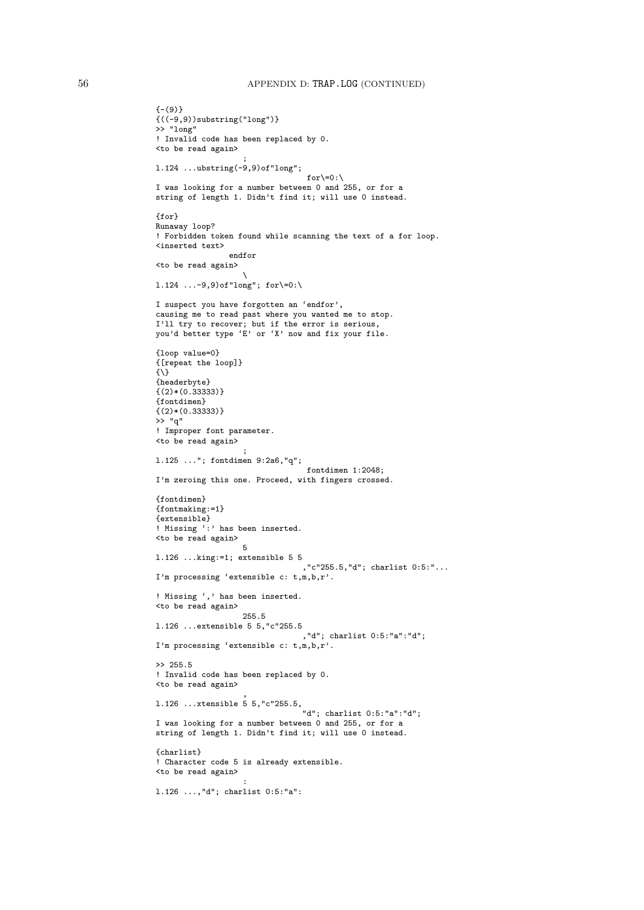```
{- (9)}{((-9,9))substring("long")}
>> "long"
! Invalid code has been replaced by 0.
<to be read again>
                    ;
l.124 ...ubstring(-9,9)of"long";
                                 for\=0:\
I was looking for a number between 0 and 255, or for a
string of length 1. Didn't find it; will use 0 instead.
{for}
Runaway loop?
! Forbidden token found while scanning the text of a for loop.
<inserted text>
                endfor
<to be read again>
                    \
1.124 ...-9,9)of"long"; for\=0:\
I suspect you have forgotten an 'endfor',
causing me to read past where you wanted me to stop.
I'll try to recover; but if the error is serious,
you'd better type 'E' or 'X' now and fix your file.
{loop value=0}
{[repeat the loop]}
\{\setminus\}{headerbyte}
\{(2)*(0.33333)\}{fontdimen}
\{(2)*(0.33333)\}>> "q"
! Improper font parameter.
<to be read again>
                    ;
l.125 ..."; fontdimen 9:2a6,"q";
                                  fontdimen 1:2048;
I'm zeroing this one. Proceed, with fingers crossed.
{fontdimen}
{fontmaking:=1}
{extensible}
! Missing ':' has been inserted.
<to be read again>
                   5
l.126 ...king:=1; extensible 5 5
                                 ,"c"255.5,"d"; charlist 0:5:"...
I'm processing 'extensible c: t,m,b,r'.
! Missing ',' has been inserted.
<to be read again>
                   255.5
l.126 ...extensible 5 5,"c"255.5
                                 ,"d"; charlist 0:5:"a":"d";
I'm processing 'extensible c: t,m,b,r'.
>> 255.5
! Invalid code has been replaced by 0.
<to be read again>
                    ,
l.126 ...xtensible 5 5,"c"255.5,
                                 "d"; charlist 0:5:"a":"d";
I was looking for a number between 0 and 255, or for a
string of length 1. Didn't find it; will use 0 instead.
{charlist}
! Character code 5 is already extensible.
<to be read again>
                    :
l.126 ...,"d"; charlist 0:5:"a":
```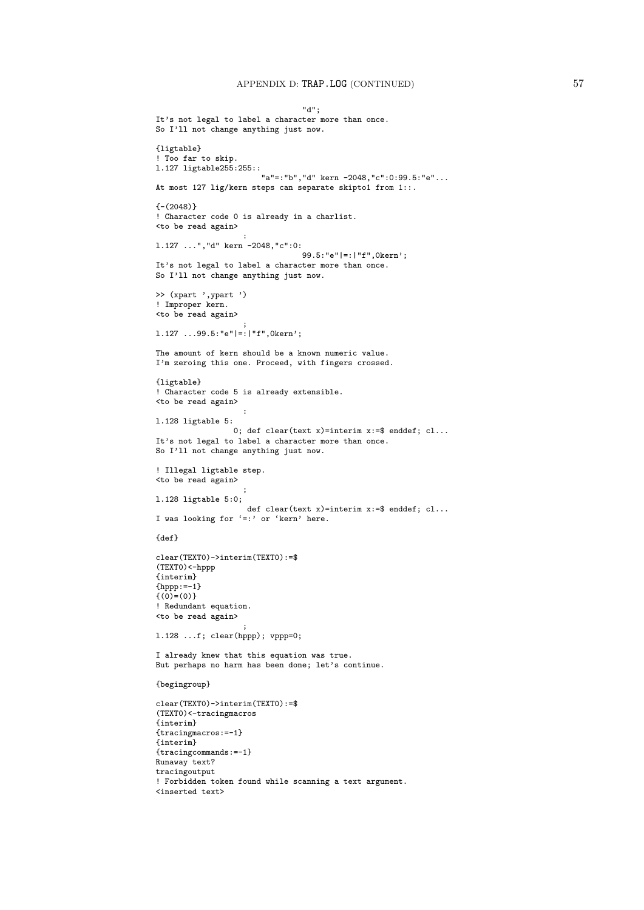## APPENDIX D: TRAP.LOG (CONTINUED) 57

```
"d";
It's not legal to label a character more than once.
So I'll not change anything just now.
{ligtable}
! Too far to skip.
l.127 ligtable255:255::
                       "a"=:"b","d" kern -2048,"c":0:99.5:"e"...
At most 127 lig/kern steps can separate skipto1 from 1::.
{- (2048)}! Character code 0 is already in a charlist.
<to be read again>
                   :
l.127 ...","d" kern -2048,"c":0:
                                99.5:"e"|=:|"f",0kern';
It's not legal to label a character more than once.
So I'll not change anything just now.
>> (xpart ',ypart ')
! Improper kern.
<to be read again>
                   ;
l.127 ...99.5:"e"|=:|"f",0kern';
The amount of kern should be a known numeric value.
I'm zeroing this one. Proceed, with fingers crossed.
{ligtable}
! Character code 5 is already extensible.
<to be read again>
                   :
l.128 ligtable 5:
                0; def clear(text x)=interim x:=$ enddef; cl...It's not legal to label a character more than once.
So I'll not change anything just now.
! Illegal ligtable step.
<to be read again>
                   ;
l.128 ligtable 5:0;
                    def clear(text x)=interim x:=$ enddef; cl...I was looking for '=:' or 'kern' here.
{def}
clear(TEXT0)->interim(TEXT0):=$
(TEXT0)<-hppp
{interim}
{hppp:=-1}
\{ (0) = (0) }
! Redundant equation.
<to be read again>
                   ;
l.128 ...f; clear(hppp); vppp=0;
I already knew that this equation was true.
But perhaps no harm has been done; let's continue.
{begingroup}
clear(TEXT0)->interim(TEXT0):=$
(TEXT0)<-tracingmacros
{interim}
{tracingmacros:=-1}
{interim}
{tracingcommands:=-1}
Runaway text?
tracingoutput
! Forbidden token found while scanning a text argument.
<inserted text>
```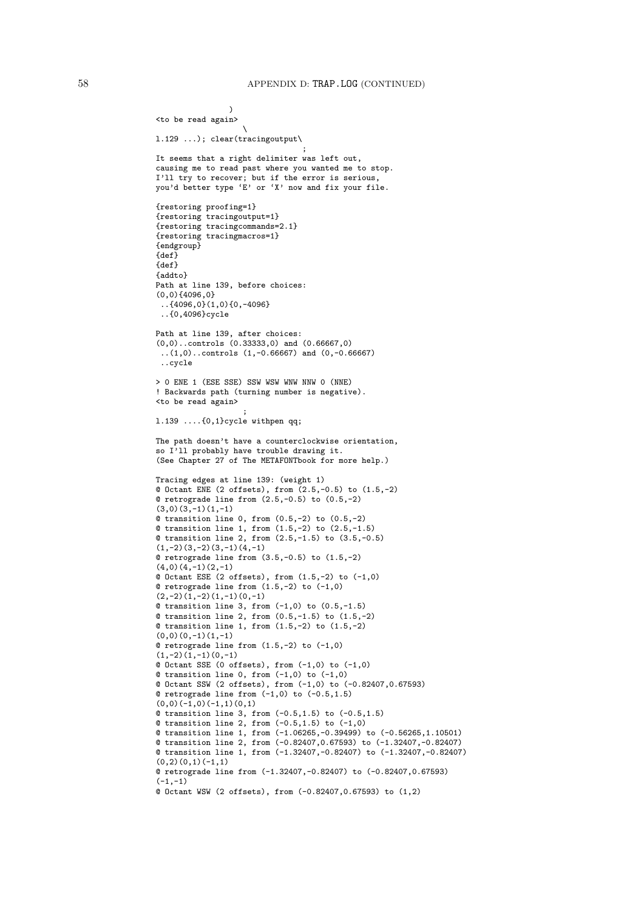```
)
<to be read again>
                   \
l.129 ...); clear(tracingoutput\
                                ;
It seems that a right delimiter was left out,
causing me to read past where you wanted me to stop.
I'll try to recover; but if the error is serious,
you'd better type 'E' or 'X' now and fix your file.
{restoring proofing=1}
{restoring tracingoutput=1}
{restoring tracingcommands=2.1}
{restoring tracingmacros=1}
{endgroup}
{def}
{def}
{addto}
Path at line 139, before choices:
(0,0){4096,0}
 ..{4096,0}(1,0){0,-4096}
 ..{0,4096}cycle
Path at line 139, after choices:
(0,0)..controls (0.33333,0) and (0.66667,0)
 ..(1,0)..controls (1,-0.66667) and (0,-0.66667)
 ..cycle
> 0 ENE 1 (ESE SSE) SSW WSW WNW NNW 0 (NNE)
! Backwards path (turning number is negative).
<to be read again>
                   ;
l.139 ....{0,1}cycle withpen qq;
The path doesn't have a counterclockwise orientation,
so I'll probably have trouble drawing it.
(See Chapter 27 of The METAFONTbook for more help.)
Tracing edges at line 139: (weight 1)
@ Octant ENE (2 offsets), from (2.5,-0.5) to (1.5,-2)
@ retrograde line from (2.5,-0.5) to (0.5,-2)
(3,0)(3,-1)(1,-1)Q transition line 0, from (0.5,-2) to (0.5,-2)@ transition line 1, from (1.5,-2) to (2.5,-1.5)
@ transition line 2, from (2.5,-1.5) to (3.5,-0.5)
(1,-2)(3,-2)(3,-1)(4,-1)@ retrograde line from (3.5,-0.5) to (1.5,-2)
(4,0)(4,-1)(2,-1)@ Octant ESE (2 offsets), from (1.5,-2) to (-1,0)
@ retrograde line from (1.5,-2) to (-1,0)
(2,-2)(1,-2)(1,-1)(0,-1)@ transition line 3, from (-1,0) to (0.5,-1.5)
@ transition line 2, from (0.5,-1.5) to (1.5,-2)
@ transition line 1, from (1.5,-2) to (1.5,-2)
(0,0)(0,-1)(1,-1)@ retrograde line from (1.5,-2) to (-1,0)
(1,-2)(1,-1)(0,-1)@ Octant SSE (0 offsets), from (-1,0) to (-1,0)@ transition line 0, from (-1,0) to (-1,0)
@ Octant SSW (2 offsets), from (-1,0) to (-0.82407,0.67593)
Q retrograde line from (-1,0) to (-0.5,1.5)(0,0)(-1,0)(-1,1)(0,1)@ transition line 3, from (-0.5,1.5) to (-0.5,1.5)
@ transition line 2, from (-0.5,1.5) to (-1,0)
@ transition line 1, from (-1.06265,-0.39499) to (-0.56265,1.10501)
@ transition line 2, from (-0.82407,0.67593) to (-1.32407,-0.82407)
@ transition line 1, from (-1.32407,-0.82407) to (-1.32407,-0.82407)
(0,2)(0,1)(-1,1)@ retrograde line from (-1.32407,-0.82407) to (-0.82407,0.67593)
(-1,-1)@ Octant WSW (2 offsets), from (-0.82407,0.67593) to (1,2)
```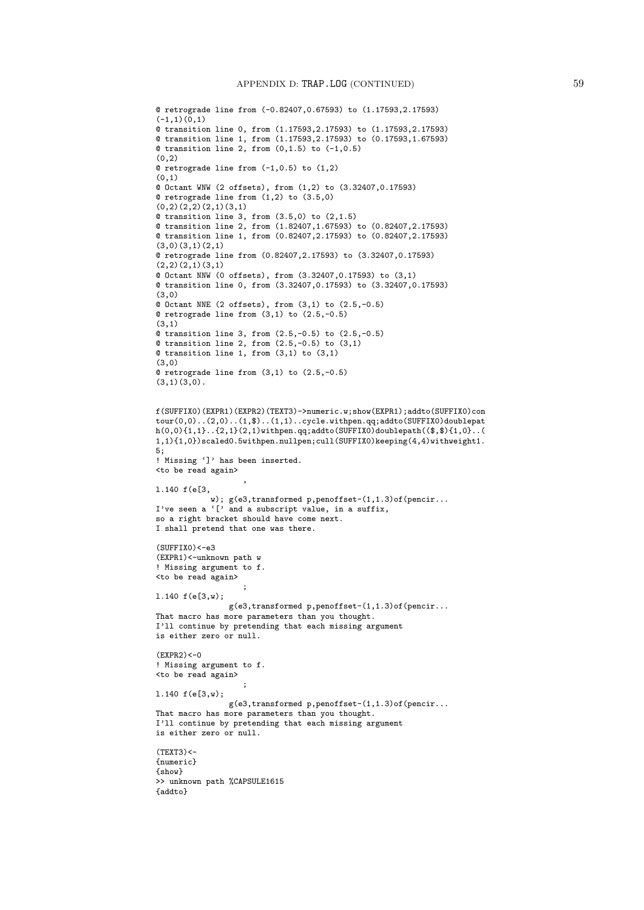```
@ retrograde line from (-0.82407,0.67593) to (1.17593,2.17593)
(-1,1)(0,1)@ transition line 0, from (1.17593,2.17593) to (1.17593,2.17593)
@ transition line 1, from (1.17593,2.17593) to (0.17593,1.67593)
Q transition line 2, from (0,1.5) to (-1,0.5)(0, 2)@ retrograde line from (-1,0.5) to (1,2)
(0,1)
@ Octant WNW (2 offsets), from (1,2) to (3.32407,0.17593)
@ retrograde line from (1,2) to (3.5,0)
(0,2)(2,2)(2,1)(3,1)@ transition line 3, from (3.5,0) to (2,1.5)
@ transition line 2, from (1.82407,1.67593) to (0.82407,2.17593)
@ transition line 1, from (0.82407,2.17593) to (0.82407,2.17593)
(3,0)(3,1)(2,1)@ retrograde line from (0.82407,2.17593) to (3.32407,0.17593)
(2,2)(2,1)(3,1)@ Octant NNW (0 offsets), from (3.32407,0.17593) to (3,1)
@ transition line 0, from (3.32407,0.17593) to (3.32407,0.17593)
(3,0)
@ Octant NNE (2 offsets), from (3,1) to (2.5,-0.5)
@ retrograde line from (3,1) to (2.5,-0.5)
(3,1)
@ transition line 3, from (2.5,-0.5) to (2.5,-0.5)
Q transition line 2, from (2.5, -0.5) to (3,1)@ transition line 1, from (3,1) to (3,1)
(3,0)
@ retrograde line from (3,1) to (2.5,-0.5)
(3,1)(3,0).
f(SUFFIX0)(EXPR1)(EXPR2)(TEXT3)->numeric.w;show(EXPR1);addto(SUFFIX0)con
tour(0,0)..(2,0)..(1,$)..(1,1)..cycle.withpen.qq;addto(SUFFIX0)doublepat
h(0,0)\{1,1\}..\{2,1\}(2,1)withpen.qq;addto(SUFFIX0)doublepath((\text{$\$},\text{$\$})\{1,0\}..(
1,1){1,0})scaled0.5withpen.nullpen;cull(SUFFIX0)keeping(4,4)withweight1.
5;
! Missing ']' has been inserted.
<to be read again>
                   ,
l.140 f(e[3,
            w); g(e3,transformed p,penoffset-(1,1.3)of(pencir...
I've seen a '[' and a subscript value, in a suffix,
so a right bracket should have come next.
I shall pretend that one was there.
(SUFFIX0)<-e3(EXPR1)<-unknown path w
! Missing argument to f.
<to be read again>
                   ;
l.140 f(e[3,w);
                g(e3,transformed p,penoffset-(1,1.3)of(pencir...
That macro has more parameters than you thought.
I'll continue by pretending that each missing argument
is either zero or null.
(EXPR2) < -0! Missing argument to f.
<to be read again>
                   ;
l.140 f(e[3,w);
                g(e3, transformed p, penoffset-(1,1.3) of (pencir...That macro has more parameters than you thought.
I'll continue by pretending that each missing argument
is either zero or null.
(TEXT3)<{numeric}
{show}
>> unknown path %CAPSULE1615
{addto}
```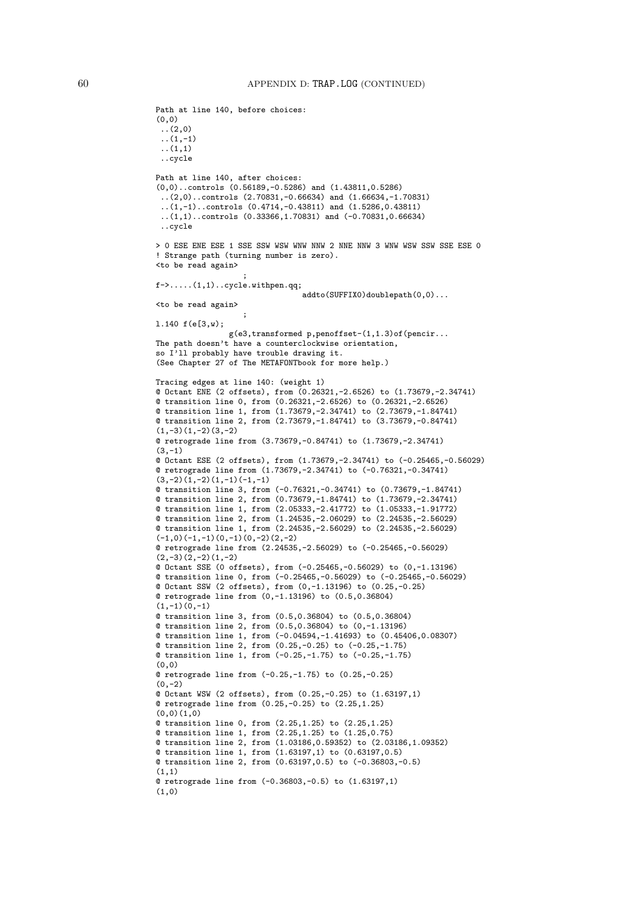Path at line 140, before choices:

```
(0,0)
 ..(2,0)
 \ldots (1,-1)
 ..(1,1)
 ..cycle
Path at line 140, after choices:
(0,0)..controls (0.56189,-0.5286) and (1.43811,0.5286)
 ..(2,0)..controls (2.70831,-0.66634) and (1.66634,-1.70831)
 \ldots(1,-1)..controls (0.4714,-0.43811) and (1.5286,0.43811)
 ..(1,1)..controls (0.33366,1.70831) and (-0.70831,0.66634)
 ..cycle
> 0 ESE ENE ESE 1 SSE SSW WSW WNW NNW 2 NNE NNW 3 WNW WSW SSW SSE ESE 0
! Strange path (turning number is zero).
<to be read again>
                   ;
f->.....(1,1)..cycle.withpen.qq;
                                addto(SUFFIX0)doublepath(0,0)...
<to be read again>
                   ;
l.140 f(e[3,w);
                g(e3,transformed p,penoffset-(1,1.3)of(pencir...
The path doesn't have a counterclockwise orientation,
so I'll probably have trouble drawing it.
(See Chapter 27 of The METAFONTbook for more help.)
Tracing edges at line 140: (weight 1)
@ Octant ENE (2 offsets), from (0.26321,-2.6526) to (1.73679,-2.34741)
@ transition line 0, from (0.26321,-2.6526) to (0.26321,-2.6526)
@ transition line 1, from (1.73679,-2.34741) to (2.73679,-1.84741)
@ transition line 2, from (2.73679,-1.84741) to (3.73679,-0.84741)
(1,-3)(1,-2)(3,-2)@ retrograde line from (3.73679,-0.84741) to (1.73679,-2.34741)
(3, -1)@ Octant ESE (2 offsets), from (1.73679,-2.34741) to (-0.25465,-0.56029)
@ retrograde line from (1.73679,-2.34741) to (-0.76321,-0.34741)
(3,-2)(1,-2)(1,-1)(-1,-1)@ transition line 3, from (-0.76321,-0.34741) to (0.73679,-1.84741)
@ transition line 2, from (0.73679,-1.84741) to (1.73679,-2.34741)
@ transition line 1, from (2.05333,-2.41772) to (1.05333,-1.91772)
@ transition line 2, from (1.24535,-2.06029) to (2.24535,-2.56029)
@ transition line 1, from (2.24535,-2.56029) to (2.24535,-2.56029)
(-1,0)(-1,-1)(0,-1)(0,-2)(2,-2)@ retrograde line from (2.24535,-2.56029) to (-0.25465,-0.56029)
(2,-3)(2,-2)(1,-2)@ Octant SSE (0 offsets), from (-0.25465,-0.56029) to (0,-1.13196)
@ transition line 0, from (-0.25465,-0.56029) to (-0.25465,-0.56029)
@ Octant SSW (2 offsets), from (0,-1.13196) to (0.25,-0.25)
@ retrograde line from (0,-1.13196) to (0.5,0.36804)
(1,-1)(0,-1)@ transition line 3, from (0.5,0.36804) to (0.5,0.36804)
@ transition line 2, from (0.5,0.36804) to (0,-1.13196)
@ transition line 1, from (-0.04594,-1.41693) to (0.45406,0.08307)
@ transition line 2, from (0.25,-0.25) to (-0.25,-1.75)
@ transition line 1, from (-0.25,-1.75) to (-0.25,-1.75)
(0,0)
@ retrograde line from (-0.25,-1.75) to (0.25,-0.25)
(0, -2)@ Octant WSW (2 offsets), from (0.25,-0.25) to (1.63197,1)
@ retrograde line from (0.25,-0.25) to (2.25,1.25)
(0,0)(1,0)@ transition line 0, from (2.25,1.25) to (2.25,1.25)
@ transition line 1, from (2.25,1.25) to (1.25,0.75)
@ transition line 2, from (1.03186,0.59352) to (2.03186,1.09352)
@ transition line 1, from (1.63197,1) to (0.63197,0.5)
@ transition line 2, from (0.63197,0.5) to (-0.36803,-0.5)
(1,1)@ retrograde line from (-0.36803,-0.5) to (1.63197,1)
(1,0)
```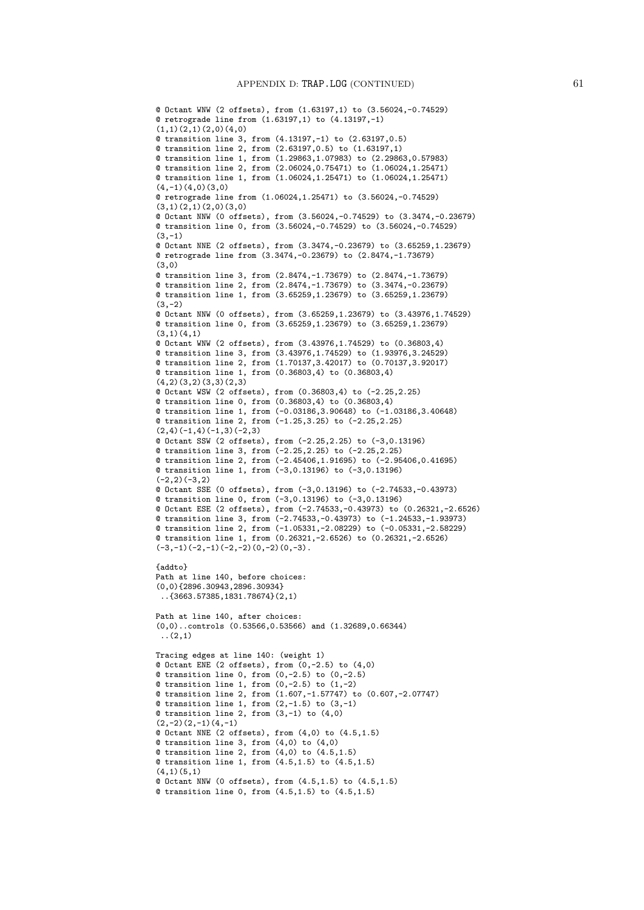```
@ Octant WNW (2 offsets), from (1.63197,1) to (3.56024,-0.74529)
@ retrograde line from (1.63197,1) to (4.13197,-1)
(1,1)(2,1)(2,0)(4,0)@ transition line 3, from (4.13197,-1) to (2.63197,0.5)
@ transition line 2, from (2.63197,0.5) to (1.63197,1)
@ transition line 1, from (1.29863,1.07983) to (2.29863,0.57983)
@ transition line 2, from (2.06024,0.75471) to (1.06024,1.25471)
@ transition line 1, from (1.06024,1.25471) to (1.06024,1.25471)
(4,-1)(4,0)(3,0)@ retrograde line from (1.06024,1.25471) to (3.56024,-0.74529)
(3,1)(2,1)(2,0)(3,0)@ Octant NNW (0 offsets), from (3.56024,-0.74529) to (3.3474,-0.23679)
@ transition line 0, from (3.56024,-0.74529) to (3.56024,-0.74529)
(3,-1)@ Octant NNE (2 offsets), from (3.3474,-0.23679) to (3.65259,1.23679)
@ retrograde line from (3.3474,-0.23679) to (2.8474,-1.73679)
(3,0)
@ transition line 3, from (2.8474,-1.73679) to (2.8474,-1.73679)
@ transition line 2, from (2.8474,-1.73679) to (3.3474,-0.23679)
@ transition line 1, from (3.65259,1.23679) to (3.65259,1.23679)
(3, -2)@ Octant NNW (0 offsets), from (3.65259,1.23679) to (3.43976,1.74529)
@ transition line 0, from (3.65259,1.23679) to (3.65259,1.23679)
(3,1)(4,1)@ Octant WNW (2 offsets), from (3.43976,1.74529) to (0.36803,4)
@ transition line 3, from (3.43976,1.74529) to (1.93976,3.24529)
@ transition line 2, from (1.70137,3.42017) to (0.70137,3.92017)
@ transition line 1, from (0.36803,4) to (0.36803,4)
(4,2)(3,2)(3,3)(2,3)@ Octant WSW (2 offsets), from (0.36803,4) to (-2.25,2.25)
@ transition line 0, from (0.36803,4) to (0.36803,4)
@ transition line 1, from (-0.03186,3.90648) to (-1.03186,3.40648)
@ transition line 2, from (-1.25,3.25) to (-2.25,2.25)
(2,4)(-1,4)(-1,3)(-2,3)@ Octant SSW (2 offsets), from (-2.25,2.25) to (-3,0.13196)
@ transition line 3, from (-2.25,2.25) to (-2.25,2.25)
@ transition line 2, from (-2.45406,1.91695) to (-2.95406,0.41695)
@ transition line 1, from (-3,0.13196) to (-3,0.13196)
(-2, 2)(-3, 2)@ Octant SSE (0 offsets), from (-3,0.13196) to (-2.74533,-0.43973)
@ transition line 0, from (-3,0.13196) to (-3,0.13196)
@ Octant ESE (2 offsets), from (-2.74533,-0.43973) to (0.26321,-2.6526)
@ transition line 3, from (-2.74533,-0.43973) to (-1.24533,-1.93973)
@ transition line 2, from (-1.05331,-2.08229) to (-0.05331,-2.58229)
@ transition line 1, from (0.26321,-2.6526) to (0.26321,-2.6526)
(-3,-1)(-2,-1)(-2,-2)(0,-2)(0,-3).
{addto}
Path at line 140, before choices:
(0,0){2896.30943,2896.30934}
 ..{3663.57385,1831.78674}(2,1)
Path at line 140, after choices:
(0,0)..controls (0.53566,0.53566) and (1.32689,0.66344)
 \ldots (2,1)
Tracing edges at line 140: (weight 1)
@ Octant ENE (2 offsets), from (0, -2.5) to (4, 0)@ transition line 0, from (0,-2.5) to (0,-2.5)
Q transition line 1, from (0, -2.5) to (1, -2)@ transition line 2, from (1.607,-1.57747) to (0.607,-2.07747)
Q transition line 1, from (2,-1.5) to (3,-1)@ transition line 2, from (3,-1) to (4,0)(2,-2)(2,-1)(4,-1)@ Octant NNE (2 offsets), from (4,0) to (4.5,1.5)
@ transition line 3, from (4,0) to (4,0)
@ transition line 2, from (4,0) to (4.5,1.5)@ transition line 1, from (4.5,1.5) to (4.5,1.5)
(4,1)(5,1)@ Octant NNW (0 offsets), from (4.5,1.5) to (4.5,1.5)
@ transition line 0, from (4.5,1.5) to (4.5,1.5)
```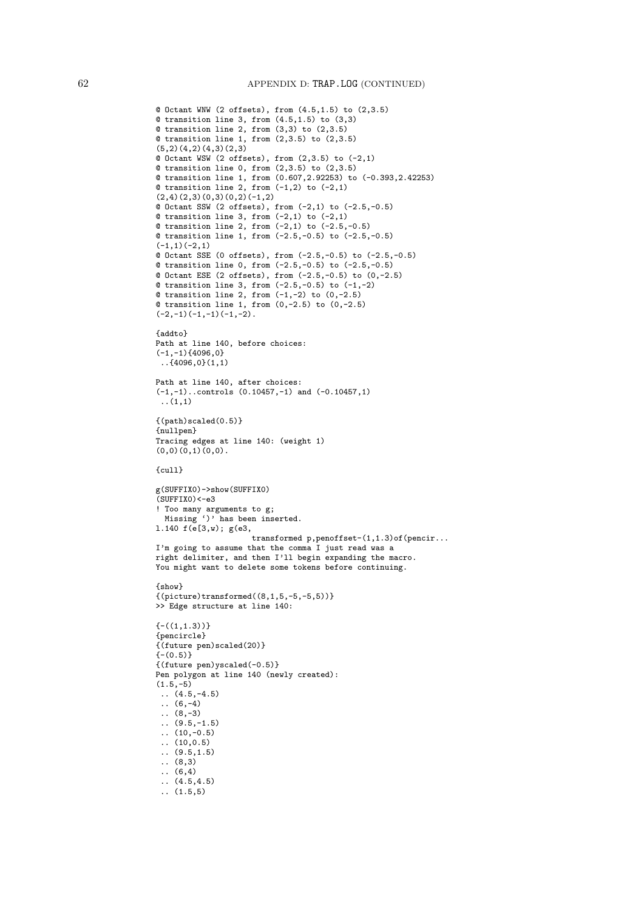```
@ Octant WNW (2 offsets), from (4.5,1.5) to (2,3.5)
@ transition line 3, from (4.5,1.5) to (3,3)
@ transition line 2, from (3,3) to (2,3.5)
@ transition line 1, from (2,3.5) to (2,3.5)
(5,2)(4,2)(4,3)(2,3)@ Octant WSW (2 offsets), from (2,3.5) to (-2,1)
@ transition line 0, from (2,3.5) to (2,3.5)
@ transition line 1, from (0.607,2.92253) to (-0.393,2.42253)
@ transition line 2, from (-1,2) to (-2,1)(2,4)(2,3)(0,3)(0,2)(-1,2)@ Octant SSW (2 offsets), from (-2,1) to (-2.5,-0.5)
Q transition line 3, from (-2,1) to (-2,1)@ transition line 2, from (-2,1) to (-2.5,-0.5)
@ transition line 1, from (-2.5,-0.5) to (-2.5,-0.5)
(-1,1)(-2,1)@ Octant SSE (0 offsets), from (-2.5,-0.5) to (-2.5,-0.5)
@ transition line 0, from (-2.5,-0.5) to (-2.5,-0.5)
@ Octant ESE (2 offsets), from (-2.5,-0.5) to (0,-2.5)
@ transition line 3, from (-2.5,-0.5) to (-1,-2)
\texttt{Q} transition line 2, from (-1,-2) to (0,-2.5)@ transition line 1, from (0,-2.5) to (0,-2.5)
(-2,-1)(-1,-1)(-1,-2).
{addto}
Path at line 140, before choices:
(-1,-1)\{4096,0\}..{4096,0}(1,1)
Path at line 140, after choices:
(-1,-1)..controls (0.10457,-1) and (-0.10457,1)
 ..(1,1)
{(path)scaled(0.5)}
{nullpen}
Tracing edges at line 140: (weight 1)
(0,0)(0,1)(0,0).
{cull}
g(SUFFIX0)->show(SUFFIX0)
(SUFFIX0)<-e3
! Too many arguments to g;
 Missing ')' has been inserted.
l.140 f(e[3,w); g(e3,
                     transformed p,penoffset-(1,1.3)of(pencir...
I'm going to assume that the comma I just read was a
right delimiter, and then I'll begin expanding the macro.
You might want to delete some tokens before continuing.
{show}
{(picture)transformed((8,1,5,-5,-5,5))}>> Edge structure at line 140:
{-(1,1.3)}{pencircle}
{(future pen)scaled(20)}
{-0.5}{(future pen)yscaled(-0.5)}
Pen polygon at line 140 (newly created):
(1.5,-5)(4.5,-4.5)(6,-4)(8, -3)\ldots (9.5,-1.5)
 \ldots (10, -0.5)
 \ldots (10,0.5)
 (9.5, 1.5).. (8,3)
 .. (6,4)
 (4.5, 4.5)\ldots (1.5,5)
```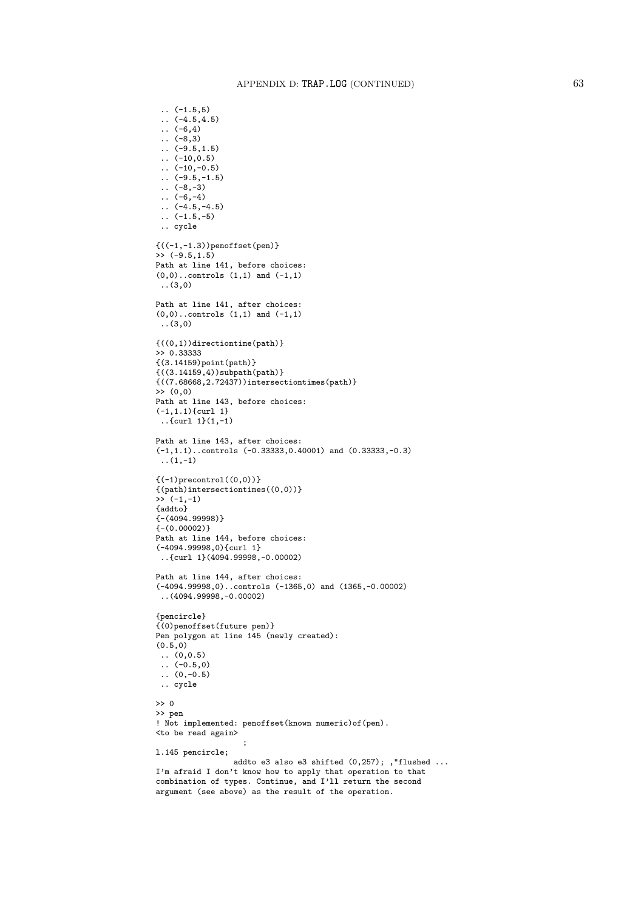```
\ldots (-1.5,5)
 \ldots (-4.5,4.5)
 \ldots (-6,4)
 \ldots (-8,3)
\ldots (-9.5,1.5)
 \ldots (-10,0.5)
 \ldots (-10,-0.5)
 \ldots (-9.5,-1.5)
 \ldots (-8,-3)
\ldots (-6,-4)
 \ldots (-4.5,-4.5)
 \ldots (-1.5,-5)
 .. cycle
{((-1,-1.3))\text{penoffset(pen)} }\rightarrow (-9.5,1.5)
Path at line 141, before choices:
(0,0)..controls (1,1) and (-1,1)..(3,0)
Path at line 141, after choices:
(0,0)..controls (1,1) and (-1,1)..(3,0)
{((0,1))directiontime(path)}
>> 0.33333
{(3.14159)point(path)}
{((3.14159,4))subpath(path)}
{((7.68668,2.72437))intersectiontimes(path)}
>> (0,0)
Path at line 143, before choices:
(-1,1.1)\{curl 1}
 \ldots{curl 1}(1,-1)
Path at line 143, after choices:
(-1,1.1)..controls (-0.33333,0.40001) and (0.33333,-0.3)
 \ldots (1,-1)
{(-1)precontrol((0,0))}{(path)intersectiontimes((0,0))}
\rightarrow (-1,-1)
{addto}
{-(4094.99998)}
(- (0.00002))Path at line 144, before choices:
(-4094.99998,0){curl 1}
..{curl 1}(4094.99998,-0.00002)
Path at line 144, after choices:
(-4094.99998,0)..controls (-1365,0) and (1365,-0.00002)
..(4094.99998,-0.00002)
{pencircle}
{(0)penoffset(future pen)}
Pen polygon at line 145 (newly created):
(0.5, 0)\ldots (0,0.5)
\ldots (-0.5,0)
\ldots (0,-0.5)
 .. cycle
>> 0
>> pen
! Not implemented: penoffset(known numeric)of(pen).
<to be read again>
                     ;
l.145 pencircle;
                 addto e3 also e3 shifted (0,257); ,"flushed ...
I'm afraid I don't know how to apply that operation to that
combination of types. Continue, and I'll return the second
argument (see above) as the result of the operation.
```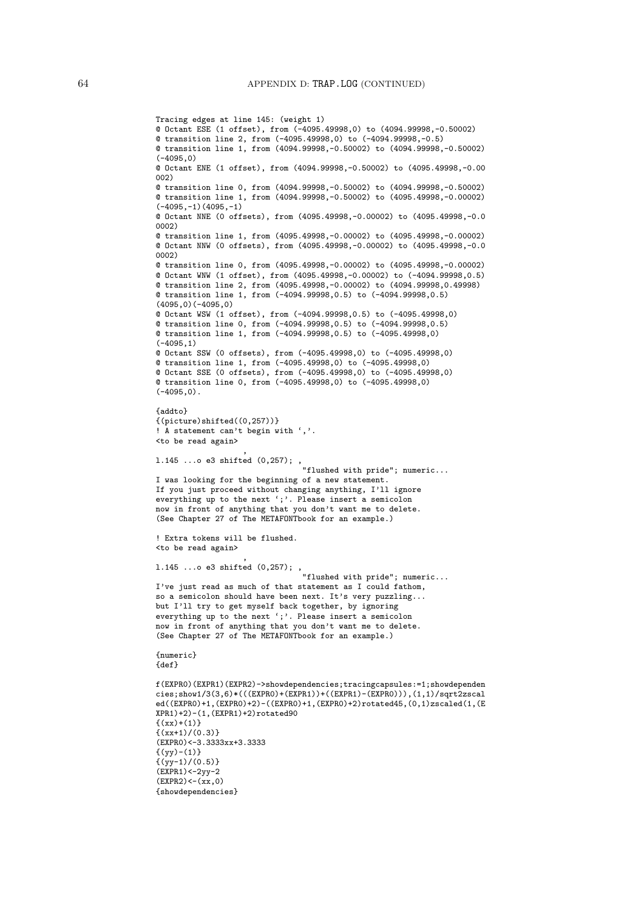```
Tracing edges at line 145: (weight 1)
@ Octant ESE (1 offset), from (-4095.49998,0) to (4094.99998,-0.50002)
@ transition line 2, from (-4095.49998,0) to (-4094.99998,-0.5)
@ transition line 1, from (4094.99998,-0.50002) to (4094.99998,-0.50002)
(-4095, 0)@ Octant ENE (1 offset), from (4094.99998,-0.50002) to (4095.49998,-0.00
002)
@ transition line 0, from (4094.99998,-0.50002) to (4094.99998,-0.50002)
@ transition line 1, from (4094.99998,-0.50002) to (4095.49998,-0.00002)
(-4095,-1)(4095,-1)@ Octant NNE (0 offsets), from (4095.49998,-0.00002) to (4095.49998,-0.0
0002)
@ transition line 1, from (4095.49998,-0.00002) to (4095.49998,-0.00002)
@ Octant NNW (0 offsets), from (4095.49998,-0.00002) to (4095.49998,-0.0
0002)
@ transition line 0, from (4095.49998,-0.00002) to (4095.49998,-0.00002)
@ Octant WNW (1 offset), from (4095.49998,-0.00002) to (-4094.99998,0.5)
@ transition line 2, from (4095.49998,-0.00002) to (4094.99998,0.49998)
@ transition line 1, from (-4094.99998,0.5) to (-4094.99998,0.5)
(4095,0)(-4095,0)
@ Octant WSW (1 offset), from (-4094.99998,0.5) to (-4095.49998,0)
@ transition line 0, from (-4094.99998,0.5) to (-4094.99998,0.5)
@ transition line 1, from (-4094.99998,0.5) to (-4095.49998,0)
(-4095,1)
@ Octant SSW (0 offsets), from (-4095.49998,0) to (-4095.49998,0)
@ transition line 1, from (-4095.49998,0) to (-4095.49998,0)
@ Octant SSE (0 offsets), from (-4095.49998,0) to (-4095.49998,0)
@ transition line 0, from (-4095.49998,0) to (-4095.49998,0)
(-4095, 0).
{addto}
{(picture) shifted((0, 257))}! A statement can't begin with ','.
<to be read again>
                   ,
l.145 ...o e3 shifted (0,257); ,
                                "flushed with pride"; numeric...
I was looking for the beginning of a new statement.
If you just proceed without changing anything, I'll ignore
everything up to the next ';'. Please insert a semicolon
now in front of anything that you don't want me to delete.
(See Chapter 27 of The METAFONTbook for an example.)
! Extra tokens will be flushed.
<to be read again>
                   ,
l.145 ...o e3 shifted (0,257); ,
                                "flushed with pride"; numeric...
I've just read as much of that statement as I could fathom,
so a semicolon should have been next. It's very puzzling...
but I'll try to get myself back together, by ignoring
everything up to the next ';'. Please insert a semicolon
now in front of anything that you don't want me to delete.
(See Chapter 27 of The METAFONTbook for an example.)
{numeric}
{def}
f(EXPR0)(EXPR1)(EXPR2)->showdependencies;tracingcapsules:=1;showdependen
cies;show1/3(3,6)*(((EXPR0)+(EXPR1)))+((EXPR1)-(EXPRO))),(1,1)/sqrt2zscaled((EXPR0)+1,(EXPR0)+2)-((EXPR0)+1,(EXPR0)+2)rotated45,(0,1)zscaled(1,(E
XPR1)+2)-(1,(EXPR1)+2)rotated90
{(xx)+(1)}{(xx+1)/(0.3)}(EXPR0)<-3.3333xx+3.3333
\{(vy)-(1)\}\{(yy-1)/(0.5)\}(EXPR1)<-2yy-2
(EXPR2) < - (xx,0){showdependencies}
```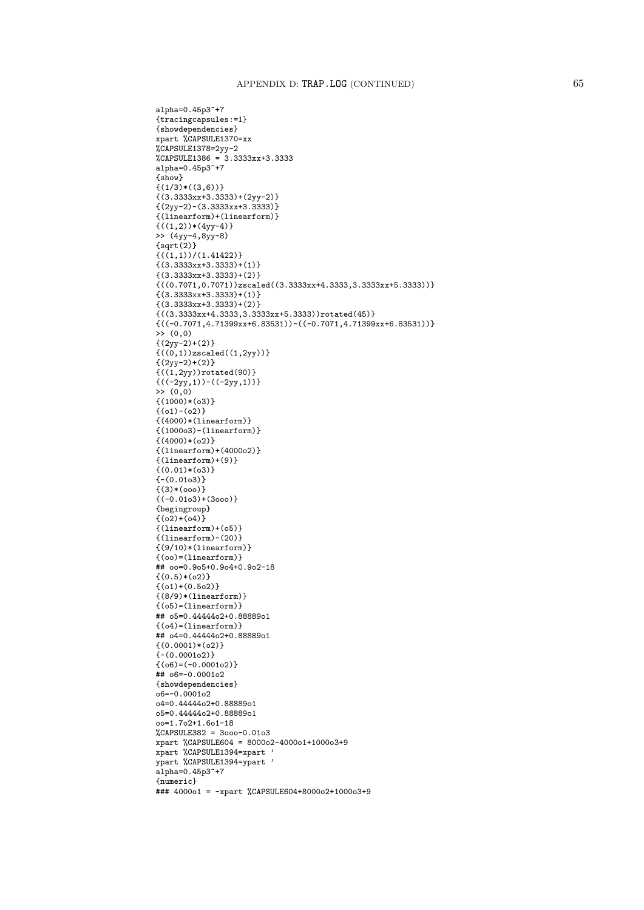alpha=0.45p3~+7 {tracingcapsules:=1} {showdependencies} xpart %CAPSULE1370=xx %CAPSULE1378=2yy-2 %CAPSULE1386 = 3.3333xx+3.3333 alpha=0.45p3~+7 {show}  ${(1/3)*(3,6))}$  ${(3.3333x + 3.3333) + (2yy-2)}$  ${(2yy-2)-(3.3333xx+3.3333)}$ {(linearform)+(linearform)}  $\{((1,2))*(4yy-4)\}$ >> (4yy-4,8yy-8)  $\{sqrt(2)\}$  $\{(1,1)\}/(1.41422)\}$ {(3.3333xx+3.3333)+(1)} {(3.3333xx+3.3333)+(2)}  ${((0.7071, 0.7071))zscaled((3.3333xx+4.3333,3.3333xx+5.3333))}$  ${(3.3333x x+3.3333)+(1)}$  $\{(3.3333x+3.3333)+(2)\}$ {((3.3333xx+4.3333,3.3333xx+5.3333))rotated(45)}  ${((-\text{0.7071},\text{4.71399xx}+\text{6.83531}))-((-\text{0.7071},\text{4.71399xx}+\text{6.83531}))}$ >> (0,0)  ${(2yy-2)+(2)}$  ${((0,1))}$ zscaled $((1,2yy))$ }  ${(2yy-2)+(2)}$  ${((1,2yy))}$ rotated(90)} {((-2yy,1))-((-2yy,1))} >> (0,0)  $\{(1000)*(03)\}$  ${(o1)-(o2)}$  ${(4000)*(linearform)}$ {(1000o3)-(linearform)}  ${(4000)*(o2)}$ {(linearform)+(4000o2)}  ${(linearform)+(9)}$  $\{(0.01)*(03)\}$  ${- (0.0103)}$  $\{(3)*(000)\}$  ${(-0.0103)+(3000)}$ {begingroup}  $\{(o2)+o(4)\}$ {(linearform)+(o5)} {(linearform)-(20)}  ${(9/10)*(linearform)}$ {(oo)=(linearform)} ## oo=0.9o5+0.9o4+0.9o2-18  $\{(0.5)*(o2)\}$  ${(o1)+(0.5o2)}$ {(8/9)\*(linearform)}  ${ (o5)= (linearform)}$ ## o5=0.44444o2+0.88889o1  $\{(o4)=(linearform)\}$ ## o4=0.44444o2+0.88889o1  ${(0.0001)*(o2)}$ {-(0.0001o2)}  $\{(66)=(-0.000102)\}$ ## o6=-0.0001o2 {showdependencies} o6=-0.0001o2 o4=0.44444o2+0.88889o1 o5=0.44444o2+0.88889o1 oo=1.7o2+1.6o1-18 %CAPSULE382 = 3ooo-0.01o3 xpart %CAPSULE604 = 8000o2-4000o1+1000o3+9 xpart %CAPSULE1394=xpart ' ypart %CAPSULE1394=ypart ' alpha=0.45p3~+7 {numeric} ### 4000o1 = -xpart %CAPSULE604+8000o2+1000o3+9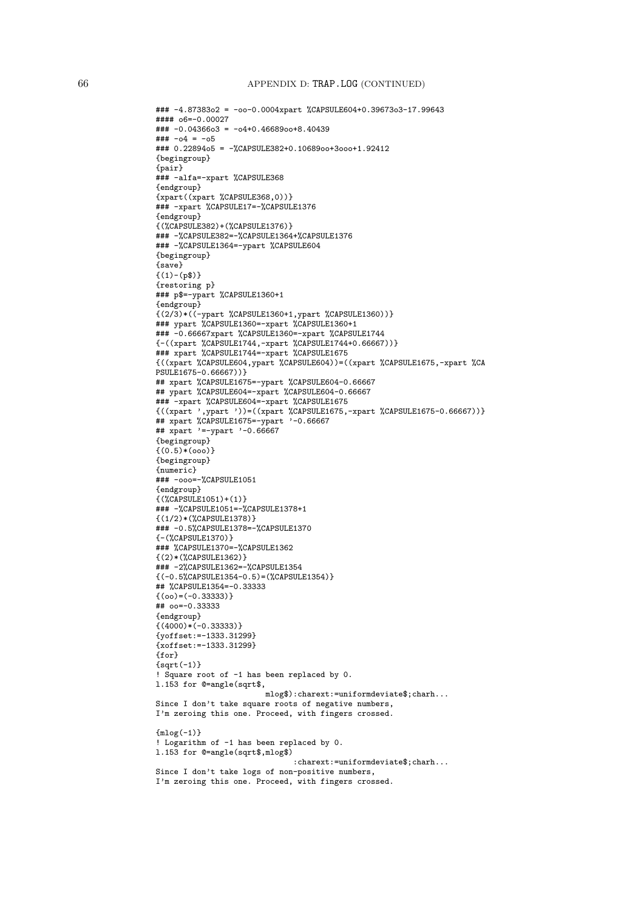```
### -4.87383o2 = -oo-0.0004xpart %CAPSULE604+0.39673o3-17.99643
\# \# \# \circ 6 = -0.00027### -0.04366o3 = -o4+0.46689oo+8.40439
\# \# \to -04 = -05### 0.22894o5 = -%CAPSULE382+0.10689oo+3ooo+1.92412
{begingroup}
{pair}
### -alfa=-xpart %CAPSULE368
{endgroup}
{xpart((xpart %CAPSULE368,0))}### -xpart %CAPSULE17=-%CAPSULE1376
{endgroup}
{(%CAPSULE382)+(%CAPSULE1376)}
### -%CAPSULE382=-%CAPSULE1364+%CAPSULE1376
### -%CAPSULE1364=-ypart %CAPSULE604
{begingroup}
{save}
\{(1)-(p\)
{restoring p}
### p$=-ypart %CAPSULE1360+1
{endgroup}
{(2/3)*((-ypart %CAPSULE1360+1,ypart %CAPSULE1360))}
### ypart %CAPSULE1360=-xpart %CAPSULE1360+1
### -0.66667xpart %CAPSULE1360=-xpart %CAPSULE1744
{-((xpart %CAPSULE1744,-xpart %CAPSULE1744+0.66667))}
### xpart %CAPSULE1744=-xpart %CAPSULE1675
{((xpart %CAPSULE604,ypart %CAPSULE604))=((xpart %CAPSULE1675,-xpart %CA
PSULE1675-0.66667))}
## xpart %CAPSULE1675=-ypart %CAPSULE604-0.66667
## ypart %CAPSULE604=-xpart %CAPSULE604-0.66667
### -xpart %CAPSULE604=-xpart %CAPSULE1675
{((xpart ',ypart '))=((xpart %CAPSULE1675,-xpart %CAPSULE1675-0.66667))}
## xpart %CAPSULE1675=-ypart '-0.66667
## xpart '=-ypart '-0.66667
{begingroup}
\{(0.5)*(0.00)\}{begingroup}
{numeric}
### -ooo=-%CAPSULE1051
{endgroup}
{(%CAPSULE1051)+(1)}
### -%CAPSULE1051=-%CAPSULE1378+1
{(1/2)*(%CAPSULE1378)}
### -0.5%CAPSULE1378=-%CAPSULE1370
{-(%CAPSULE1370)}
### %CAPSULE1370=-%CAPSULE1362
{(2)*(%CAPSULE1362)}
### -2%CAPSULE1362=-%CAPSULE1354
{(-0.5%CAPSULE1354-0.5)=(%CAPSULE1354)}
## %CAPSULE1354=-0.33333
\{(oo) = (-0.33333)\}## oo=-0.33333
{endgroup}
\{(4000)*(-0.33333)\}{yoffset:=-1333.31299}
{xoffset:=-1333.31299}
{for}
\{sqrt(-1)}\}! Square root of -1 has been replaced by 0.
l.153 for @=angle(sqrt$,
                        mlog$):charext:=uniformdeviate$;charh...
Since I don't take square roots of negative numbers,
I'm zeroing this one. Proceed, with fingers crossed.
{mlog(-1)}! Logarithm of -1 has been replaced by 0.
l.153 for @=angle(sqrt$,mlog$)
                              :charext:=uniformdeviate$;charh...
Since I don't take logs of non-positive numbers,
I'm zeroing this one. Proceed, with fingers crossed.
```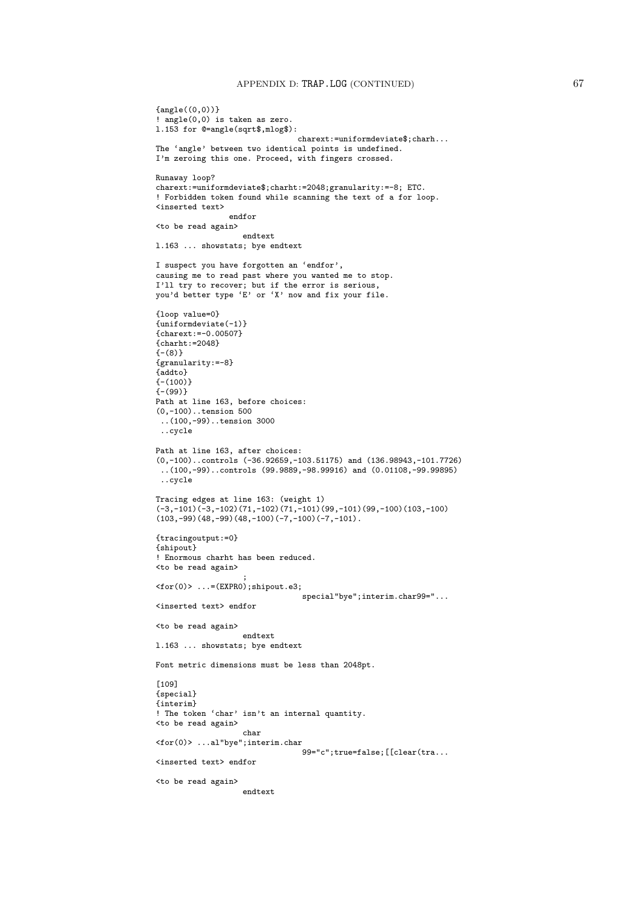```
{angle((0,0))}! angle(0,0) is taken as zero.
l.153 for @=angle(sqrt$,mlog$):
                               charext:=uniformdeviate$;charh...
The 'angle' between two identical points is undefined.
I'm zeroing this one. Proceed, with fingers crossed.
Runaway loop?
charext:=uniformdeviate$;charht:=2048;granularity:=-8; ETC.
! Forbidden token found while scanning the text of a for loop.
<inserted text>
                endfor
<to be read again>
                   endtext
l.163 ... showstats; bye endtext
I suspect you have forgotten an 'endfor',
causing me to read past where you wanted me to stop.
I'll try to recover; but if the error is serious,
you'd better type 'E' or 'X' now and fix your file.
{loop value=0}
{uniformdeviate(-1)}
{charext:=-0.00507}
{charht:=2048}
(- (8)){granularity:=-8}
{addto}
{-(100)}
{-(99)}
Path at line 163, before choices:
(0,-100)..tension 500
..(100,-99)..tension 3000
 ..cycle
Path at line 163, after choices:
(0,-100)..controls (-36.92659,-103.51175) and (136.98943,-101.7726)
..(100,-99)..controls (99.9889,-98.99916) and (0.01108,-99.99895)
 ..cycle
Tracing edges at line 163: (weight 1)
(-3,-101)(-3,-102)(71,-102)(71,-101)(99,-101)(99,-100)(103,-100)(103,-99)(48,-99)(48,-100)(-7,-100)(-7,-101).
{tracingoutput:=0}
{shipout}
! Enormous charht has been reduced.
<to be read again>
                   ;
<for(0)> ...=(EXPR0);shipout.e3;
                                special"bye";interim.char99="...
<inserted text> endfor
<to be read again>
                   endtext
l.163 ... showstats; bye endtext
Font metric dimensions must be less than 2048pt.
[109]
{special}
{interim}
! The token 'char' isn't an internal quantity.
<to be read again>
                   char
<for(0)> ...al"bye";interim.char
                                99="c";true=false;[[clear(tra...
<inserted text> endfor
<to be read again>
                   endtext
```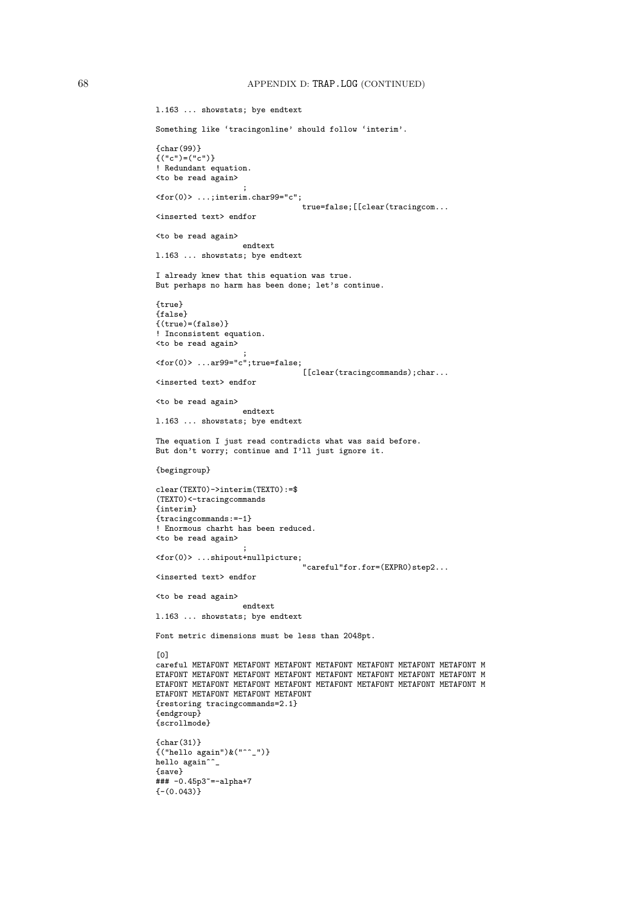```
l.163 ... showstats; bye endtext
Something like 'tracingonline' should follow 'interim'.
{char(99)}
\{('c")=(''c")\}! Redundant equation.
<to be read again>
                   ;
<for(0)> ...;interim.char99="c";
                                true=false;[[clear(tracingcom...
<inserted text> endfor
<to be read again>
                  endtext
l.163 ... showstats; bye endtext
I already knew that this equation was true.
But perhaps no harm has been done; let's continue.
{true}
{false}
{(true)=(false)}! Inconsistent equation.
<to be read again>
                   ;
<for(0)> ...ar99="c";true=false;
                                [[clear(tracingcommands);char...
<inserted text> endfor
<to be read again>
                   endtext
l.163 ... showstats; bye endtext
The equation I just read contradicts what was said before.
But don't worry; continue and I'll just ignore it.
{begingroup}
clear(TEXT0)->interim(TEXT0):=$
(TEXT0)<-tracingcommands
{interim}
{tracingcommands:=-1}
! Enormous charht has been reduced.
<to be read again>
                   ;
<for(0)> ...shipout+nullpicture;
                                 "careful"for.for=(EXPR0)step2...
<inserted text> endfor
<to be read again>
                   endtext
l.163 ... showstats; bye endtext
Font metric dimensions must be less than 2048pt.
[0]
careful METAFONT METAFONT METAFONT METAFONT METAFONT METAFONT METAFONT M
ETAFONT METAFONT METAFONT METAFONT METAFONT METAFONT METAFONT METAFONT M
ETAFONT METAFONT METAFONT METAFONT METAFONT METAFONT METAFONT METAFONT M
ETAFONT METAFONT METAFONT METAFONT
{restoring tracingcommands=2.1}
{endgroup}
{scrollmode}
{char}(31)\{("hello again")\& ("^"__")\}hello again^^_
{save}
### -0.45p3~=-alpha+7
{- (0.043)}
```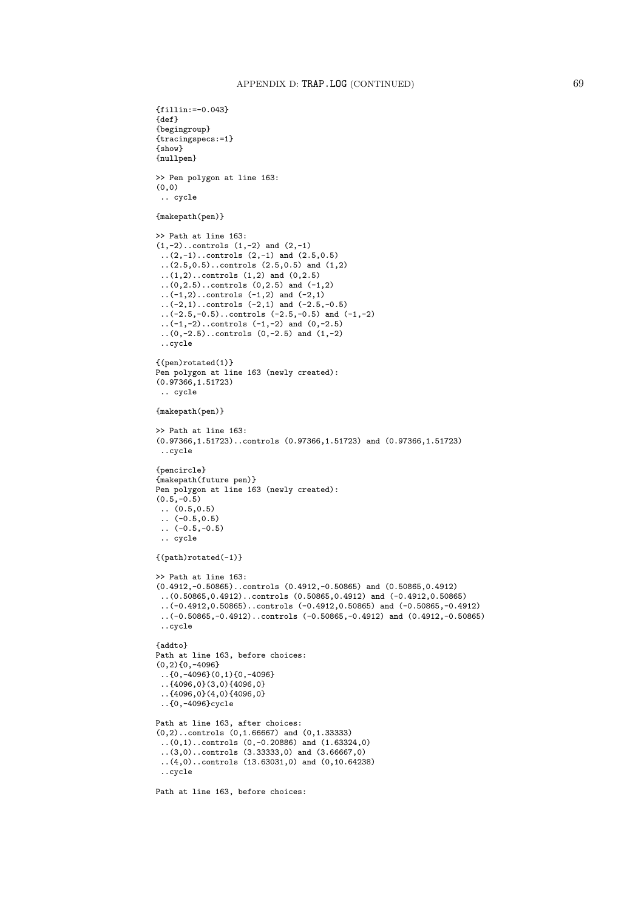```
{fillin:=-0.043}
{def}
{begingroup}
{tracingspecs:=1}
{show}
{nullpen}
>> Pen polygon at line 163:
(0,0)
 .. cycle
{makepath(pen)}
>> Path at line 163:
(1,-2)..controls (1,-2) and (2,-1)..(2,-1)..controls (2,-1) and (2.5,0.5)
 ..(2.5,0.5)..controls (2.5,0.5) and (1,2)
 ..(1,2)..controls (1,2) and (0,2.5)
 (0, 2.5)..controls (0, 2.5) and (-1, 2)\ldots(-1,2)..controls (-1,2) and (-2,1)
 ...(-2,1)..controls (-2,1) and (-2.5,-0.5)( -2.5, -0.5)..controls (-2.5, -0.5) and (-1, -2)..(-1,-2)..controls (-1,-2) and (0,-2.5)
 ..(0,-2.5)..controls (0,-2.5) and (1,-2)
 ..cycle
{(pen)rotated(1)}
Pen polygon at line 163 (newly created):
(0.97366,1.51723)
 .. cycle
{makepath(pen)}
>> Path at line 163:
(0.97366,1.51723)..controls (0.97366,1.51723) and (0.97366,1.51723)
 ..cycle
{pencircle}
{makepath(future pen)}
Pen polygon at line 163 (newly created):
(0.5,-0.5)\ldots (0.5,0.5)
\ldots (-0.5,0.5)
( -0.5, -0.5).. cycle
{(path)rotated(-1)}
>> Path at line 163:
(0.4912,-0.50865)..controls (0.4912,-0.50865) and (0.50865,0.4912)
..(0.50865,0.4912)..controls (0.50865,0.4912) and (-0.4912,0.50865)
 ..(-0.4912,0.50865)..controls (-0.4912,0.50865) and (-0.50865,-0.4912)
 ..(-0.50865,-0.4912)..controls (-0.50865,-0.4912) and (0.4912,-0.50865)
 ..cycle
{addto}
Path at line 163, before choices:
(0,2){0,-4096}
 ..{0,-4096}(0,1){0,-4096}
 ..{4096,0}(3,0){4096,0}
 ..{4096,0}(4,0){4096,0}
 ..{0,-4096}cycle
Path at line 163, after choices:
(0,2)..controls (0,1.66667) and (0,1.33333)
 ..(0,1)..controls (0,-0.20886) and (1.63324,0)
 (3,0)..controls (3.33333,0) and (3.66667,0)..(4,0)..controls (13.63031,0) and (0,10.64238)
 ..cycle
Path at line 163, before choices:
```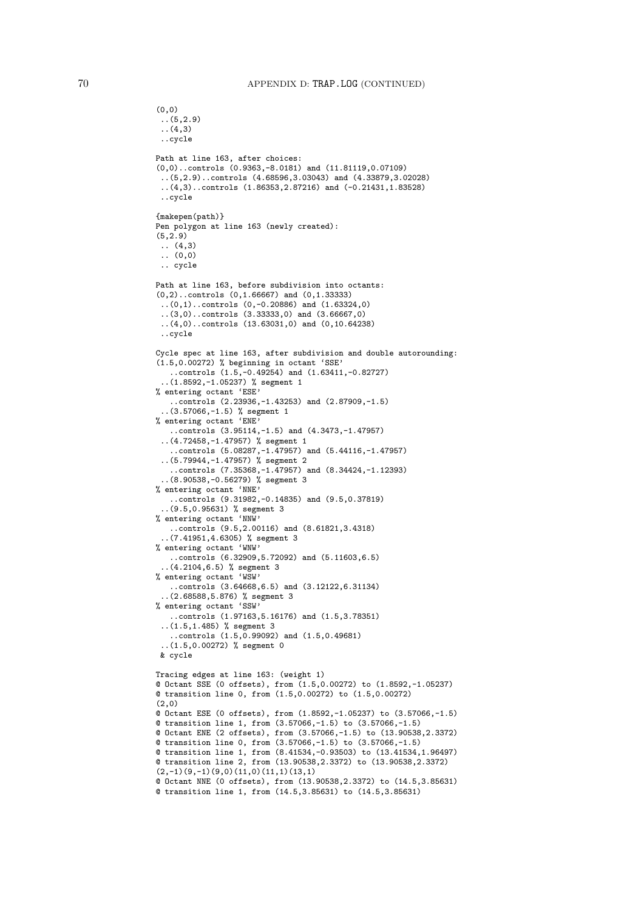```
(5,2.9)..(4,3)
 ..cycle
Path at line 163, after choices:
(0,0)..controls (0.9363,-8.0181) and (11.81119,0.07109)
 ..(5,2.9)..controls (4.68596,3.03043) and (4.33879,3.02028)
 ..(4,3)..controls (1.86353,2.87216) and (-0.21431,1.83528)
 ..cycle
{makepen(path)}
Pen polygon at line 163 (newly created):
(5, 2.9)\ldots (4,3)
 \ldots (0,0)
 .. cycle
Path at line 163, before subdivision into octants:
(0,2)..controls (0,1.66667) and (0,1.33333)
 ..(0,1)..controls (0,-0.20886) and (1.63324,0)
 ..(3,0)..controls (3.33333,0) and (3.66667,0)
 ..(4,0)..controls (13.63031,0) and (0,10.64238)
 ..cycle
Cycle spec at line 163, after subdivision and double autorounding:
(1.5,0.00272) % beginning in octant 'SSE'
   ..controls (1.5,-0.49254) and (1.63411,-0.82727)
  ..(1.8592,-1.05237) % segment 1
% entering octant 'ESE'
   ..controls (2.23936,-1.43253) and (2.87909,-1.5)
  ..(3.57066,-1.5) % segment 1
% entering octant 'ENE'
   ..controls (3.95114,-1.5) and (4.3473,-1.47957)
 ..(4.72458,-1.47957) % segment 1
   ..controls (5.08287,-1.47957) and (5.44116,-1.47957)
 ..(5.79944,-1.47957) % segment 2
   ..controls (7.35368,-1.47957) and (8.34424,-1.12393)
 ..(8.90538,-0.56279) % segment 3
% entering octant 'NNE'
   ..controls (9.31982,-0.14835) and (9.5,0.37819)
  ..(9.5,0.95631) % segment 3
% entering octant 'NNW'
   ..controls (9.5,2.00116) and (8.61821,3.4318)
 ..(7.41951,4.6305) % segment 3
% entering octant 'WNW'
   ..controls (6.32909,5.72092) and (5.11603,6.5)
 ..(4.2104,6.5) % segment 3
% entering octant 'WSW'
   ..controls (3.64668,6.5) and (3.12122,6.31134)
 ..(2.68588,5.876) % segment 3
% entering octant 'SSW'
   ..controls (1.97163,5.16176) and (1.5,3.78351)
 ..(1.5,1.485) % segment 3
   ..controls (1.5,0.99092) and (1.5,0.49681)
 ..(1.5,0.00272) % segment 0
 & cycle
Tracing edges at line 163: (weight 1)
@ Octant SSE (0 offsets), from (1.5,0.00272) to (1.8592,-1.05237)
@ transition line 0, from (1.5,0.00272) to (1.5,0.00272)
(2,0)
@ Octant ESE (0 offsets), from (1.8592,-1.05237) to (3.57066,-1.5)
@ transition line 1, from (3.57066,-1.5) to (3.57066,-1.5)
@ Octant ENE (2 offsets), from (3.57066,-1.5) to (13.90538,2.3372)
@ transition line 0, from (3.57066,-1.5) to (3.57066,-1.5)
@ transition line 1, from (8.41534,-0.93503) to (13.41534,1.96497)
@ transition line 2, from (13.90538,2.3372) to (13.90538,2.3372)
(2,-1)(9,-1)(9,0)(11,0)(11,1)(13,1)@ Octant NNE (0 offsets), from (13.90538,2.3372) to (14.5,3.85631)
@ transition line 1, from (14.5,3.85631) to (14.5,3.85631)
```
(0,0)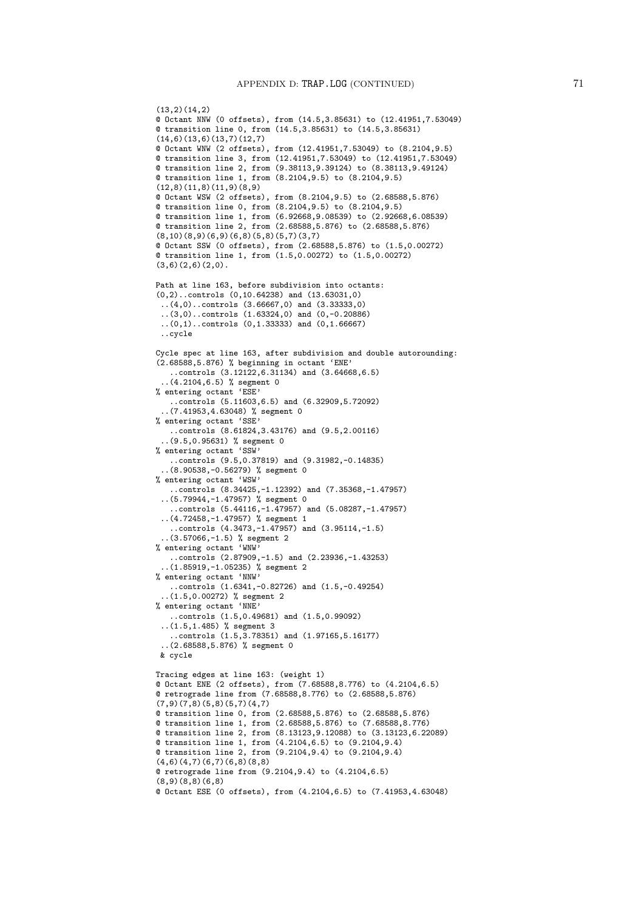```
(13,2)(14,2)@ Octant NNW (0 offsets), from (14.5,3.85631) to (12.41951,7.53049)
@ transition line 0, from (14.5,3.85631) to (14.5,3.85631)
(14,6)(13,6)(13,7)(12,7)@ Octant WNW (2 offsets), from (12.41951,7.53049) to (8.2104,9.5)
@ transition line 3, from (12.41951,7.53049) to (12.41951,7.53049)
@ transition line 2, from (9.38113,9.39124) to (8.38113,9.49124)
@ transition line 1, from (8.2104,9.5) to (8.2104,9.5)
(12,8)(11,8)(11,9)(8,9)@ Octant WSW (2 offsets), from (8.2104,9.5) to (2.68588,5.876)
@ transition line 0, from (8.2104,9.5) to (8.2104,9.5)
@ transition line 1, from (6.92668,9.08539) to (2.92668,6.08539)
@ transition line 2, from (2.68588,5.876) to (2.68588,5.876)
(8,10)(8,9)(6,9)(6,8)(5,8)(5,7)(3,7)
@ Octant SSW (0 offsets), from (2.68588,5.876) to (1.5,0.00272)
@ transition line 1, from (1.5,0.00272) to (1.5,0.00272)
(3,6)(2,6)(2,0).
Path at line 163, before subdivision into octants:
(0,2)..controls (0,10.64238) and (13.63031,0)
 ..(4,0)..controls (3.66667,0) and (3.33333,0)
 ..(3,0)..controls (1.63324,0) and (0,-0.20886)
 ..(0,1)..controls (0,1.33333) and (0,1.66667)
 ..cycle
Cycle spec at line 163, after subdivision and double autorounding:
(2.68588,5.876) % beginning in octant 'ENE'
   ..controls (3.12122,6.31134) and (3.64668,6.5)
  ..(4.2104,6.5) % segment 0
% entering octant 'ESE'
   ..controls (5.11603,6.5) and (6.32909,5.72092)
  ..(7.41953,4.63048) % segment 0
% entering octant 'SSE'
   ..controls (8.61824,3.43176) and (9.5,2.00116)
 ..(9.5,0.95631) % segment 0
% entering octant 'SSW'
   ..controls (9.5,0.37819) and (9.31982,-0.14835)
  ..(8.90538,-0.56279) % segment 0
% entering octant 'WSW'
   ..controls (8.34425,-1.12392) and (7.35368,-1.47957)
 ..(5.79944,-1.47957) % segment 0
    ..controls (5.44116,-1.47957) and (5.08287,-1.47957)
 ..(4.72458,-1.47957) % segment 1
   ..controls (4.3473,-1.47957) and (3.95114,-1.5)
 (3.57066,-1.5) % segment 2
% entering octant 'WNW'
   ..controls (2.87909,-1.5) and (2.23936,-1.43253)
 ..(1.85919,-1.05235) % segment 2
% entering octant 'NNW'
   ..controls (1.6341,-0.82726) and (1.5,-0.49254)
 ..(1.5,0.00272) % segment 2
% entering octant 'NNE'
   ..controls (1.5,0.49681) and (1.5,0.99092)
 ..(1.5,1.485) % segment 3
   ..controls (1.5,3.78351) and (1.97165,5.16177)
 ..(2.68588,5.876) % segment 0
 & cycle
Tracing edges at line 163: (weight 1)
@ Octant ENE (2 offsets), from (7.68588,8.776) to (4.2104,6.5)
@ retrograde line from (7.68588,8.776) to (2.68588,5.876)
(7,9)(7,8)(5,8)(5,7)(4,7)@ transition line 0, from (2.68588,5.876) to (2.68588,5.876)
@ transition line 1, from (2.68588,5.876) to (7.68588,8.776)
@ transition line 2, from (8.13123,9.12088) to (3.13123,6.22089)
@ transition line 1, from (4.2104,6.5) to (9.2104,9.4)
@ transition line 2, from (9.2104,9.4) to (9.2104,9.4)
(4,6)(4,7)(6,7)(6,8)(8,8)@ retrograde line from (9.2104,9.4) to (4.2104,6.5)
(8,9)(8,8)(6,8)
@ Octant ESE (0 offsets), from (4.2104,6.5) to (7.41953,4.63048)
```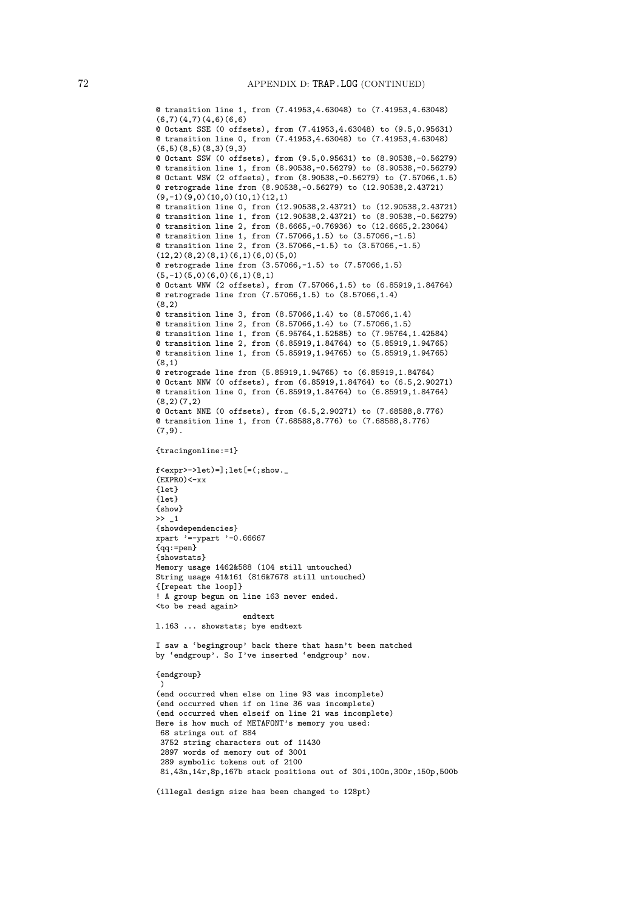```
@ transition line 1, from (7.41953,4.63048) to (7.41953,4.63048)
(6,7)(4,7)(4,6)(6,6)@ Octant SSE (0 offsets), from (7.41953,4.63048) to (9.5,0.95631)
@ transition line 0, from (7.41953,4.63048) to (7.41953,4.63048)
(6,5)(8,5)(8,3)(9,3)
@ Octant SSW (0 offsets), from (9.5,0.95631) to (8.90538,-0.56279)
@ transition line 1, from (8.90538,-0.56279) to (8.90538,-0.56279)
@ Octant WSW (2 offsets), from (8.90538,-0.56279) to (7.57066,1.5)
@ retrograde line from (8.90538,-0.56279) to (12.90538,2.43721)
(9,-1)(9,0)(10,0)(10,1)(12,1)@ transition line 0, from (12.90538,2.43721) to (12.90538,2.43721)
@ transition line 1, from (12.90538,2.43721) to (8.90538,-0.56279)
@ transition line 2, from (8.6665,-0.76936) to (12.6665,2.23064)
@ transition line 1, from (7.57066,1.5) to (3.57066,-1.5)
@ transition line 2, from (3.57066,-1.5) to (3.57066,-1.5)
(12,2)(8,2)(8,1)(6,1)(6,0)(5,0)@ retrograde line from (3.57066,-1.5) to (7.57066,1.5)
(5,-1)(5,0)(6,0)(6,1)(8,1)@ Octant WNW (2 offsets), from (7.57066,1.5) to (6.85919,1.84764)
@ retrograde line from (7.57066,1.5) to (8.57066,1.4)
(8,2)
@ transition line 3, from (8.57066,1.4) to (8.57066,1.4)
@ transition line 2, from (8.57066,1.4) to (7.57066,1.5)
@ transition line 1, from (6.95764,1.52585) to (7.95764,1.42584)
@ transition line 2, from (6.85919,1.84764) to (5.85919,1.94765)
@ transition line 1, from (5.85919,1.94765) to (5.85919,1.94765)
(8,1)
@ retrograde line from (5.85919,1.94765) to (6.85919,1.84764)
@ Octant NNW (0 offsets), from (6.85919,1.84764) to (6.5,2.90271)
@ transition line 0, from (6.85919,1.84764) to (6.85919,1.84764)
(8,2)(7,2)
@ Octant NNE (0 offsets), from (6.5,2.90271) to (7.68588,8.776)
@ transition line 1, from (7.68588,8.776) to (7.68588,8.776)
(7, 9).
{tracingonline:=1}
f <expr>->let)=];letF = (;show.
(EXPRO)<-xx\overline{\text{let}}\{let\}{show}
\gg 1
{showdependencies}
xpart '=-ypart '-0.66667
{qq:=pen}
{showstats}
Memory usage 1462&588 (104 still untouched)
String usage 41&161 (816&7678 still untouched)
{[repeat the loop]}
! A group begun on line 163 never ended.
<to be read again>
                   endtext
l.163 ... showstats; bye endtext
I saw a 'begingroup' back there that hasn't been matched
by 'endgroup'. So I've inserted 'endgroup' now.
{endgroup}
 \lambda(end occurred when else on line 93 was incomplete)
(end occurred when if on line 36 was incomplete)
(end occurred when elseif on line 21 was incomplete)
Here is how much of METAFONT's memory you used:
 68 strings out of 884
 3752 string characters out of 11430
 2897 words of memory out of 3001
 289 symbolic tokens out of 2100
 8i,43n,14r,8p,167b stack positions out of 30i,100n,300r,150p,500b
(illegal design size has been changed to 128pt)
```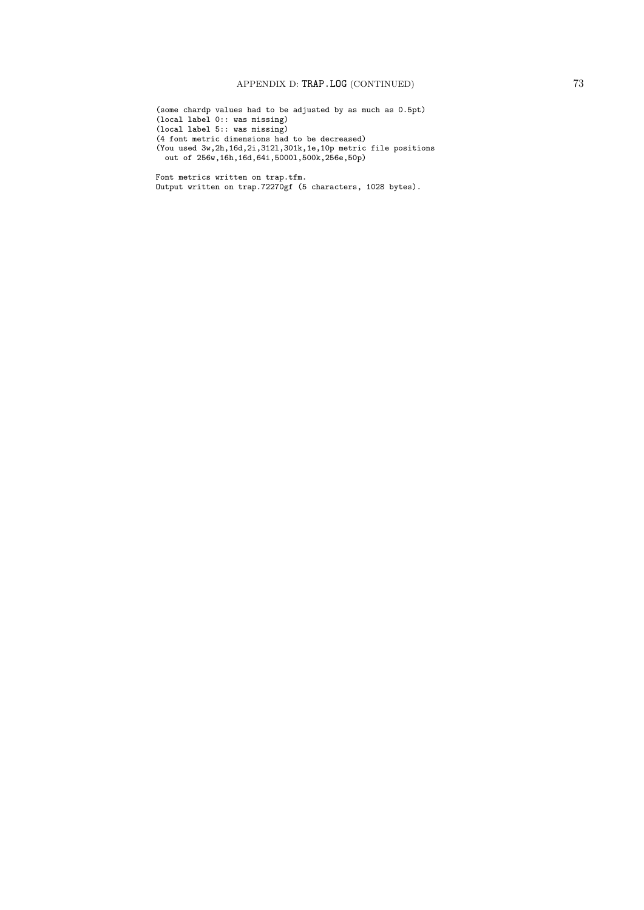(some chardp values had to be adjusted by as much as 0.5pt) (local label 0:: was missing) (local label 5:: was missing) (4 font metric dimensions had to be decreased) (You used 3w,2h,16d,2i,312l,301k,1e,10p metric file positions out of 256w,16h,16d,64i,5000l,500k,256e,50p)

Font metrics written on trap.tfm. Output written on trap.72270gf (5 characters, 1028 bytes).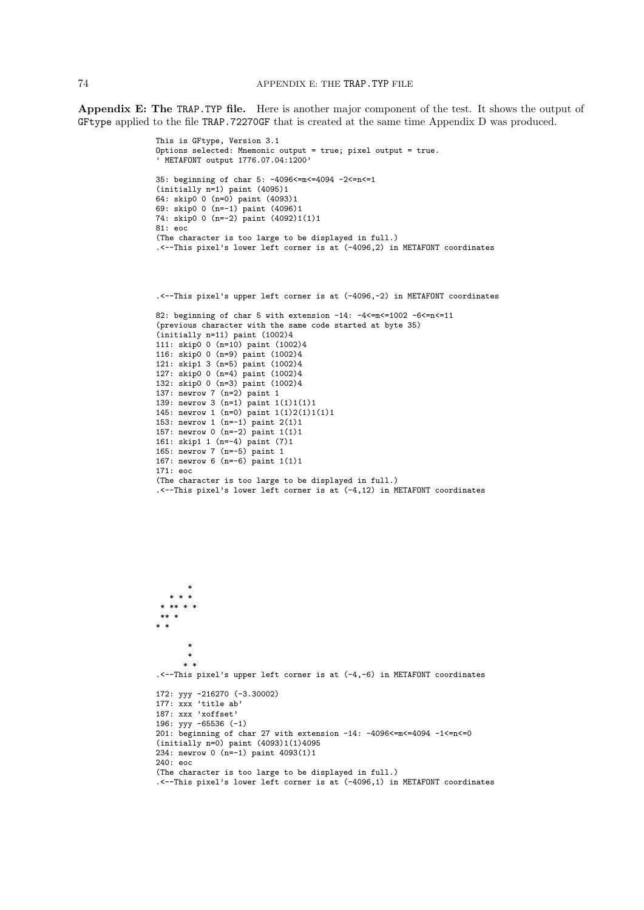Appendix E: The TRAP.TYP file. Here is another major component of the test. It shows the output of GFtype applied to the file TRAP.72270GF that is created at the same time Appendix D was produced.

```
This is GFtype, Version 3.1
Options selected: Mnemonic output = true; pixel output = true.
' METAFONT output 1776.07.04:1200'
35: beginning of char 5: -4096<=m<=4094 -2<=n<=1
(initially n=1) paint (4095)1
64: skip0 0 (n=0) paint (4093)1
69: skip0 0 (n=-1) paint (4096)1
74: skip0 0 (n=-2) paint (4092)1(1)1
81: eoc
(The character is too large to be displayed in full.)
.<--This pixel's lower left corner is at (-4096,2) in METAFONT coordinates
.<--This pixel's upper left corner is at (-4096,-2) in METAFONT coordinates
82: beginning of char 5 with extension -14: -4<=m<=1002 -6<=n<=11
(previous character with the same code started at byte 35)
(initially n=11) paint (1002)4
111: skip0 0 (n=10) paint (1002)4
116: skip0 0 (n=9) paint (1002)4
121: skip1 3 (n=5) paint (1002)4
127: skip0 0 (n=4) paint (1002)4
132: skip0 0 (n=3) paint (1002)4
137: newrow 7 (n=2) paint 1
139: newrow 3 (n=1) paint 1(1)1(1)1
145: newrow 1 (n=0) paint 1(1)2(1)1(1)1
153: newrow 1 (n=-1) paint 2(1)1
157: newrow 0 (n=-2) paint 1(1)1
161: skip1 1 (n=-4) paint (7)1
165: newrow 7 (n=-5) paint 1
167: newrow 6 (n=-6) paint 1(1)1
171: eoc
(The character is too large to be displayed in full.)
.<--This pixel's lower left corner is at (-4,12) in METAFONT coordinates
       *
   * * *
 * ** * *
 ** *
* *
       *
       *
      * *
.<--This pixel's upper left corner is at (-4,-6) in METAFONT coordinates
172: yyy -216270 (-3.30002)
177: xxx 'title ab'
187: xxx 'xoffset'
196: yyy -65536 (-1)
201: beginning of char 27 with extension -14: -4096<=m<=4094 -1<=n<=0
(intially n=0) paint (4093)1(1)4095234: newrow 0 (n=-1) paint 4093(1)1
240: eoc
```
(The character is too large to be displayed in full.) .<--This pixel's lower left corner is at (-4096,1) in METAFONT coordinates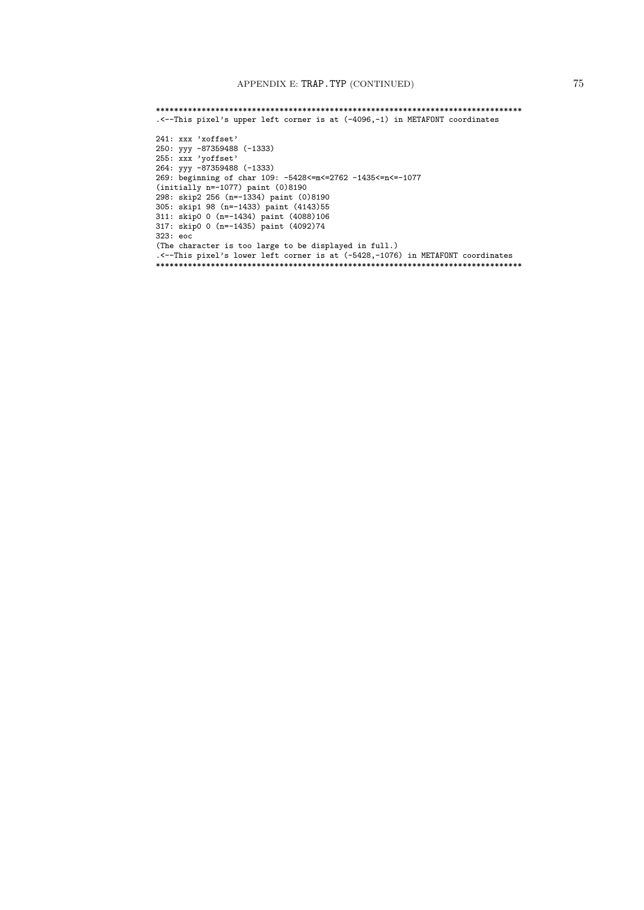\*\*\*\*\*\*\*\*\*\*\*\*\*\*\*\*\*\*\*\*\*\*\*\*\*\*\*\*\*\*\*\*\*\*\*\*\*\*\*\*\*\*\*\*\*\*\*\*\*\*\*\*\*\*\*\*\*\*\*\*\*\*\*\*\*\*\*\*\*\*\*\*\*\*\*\*\*\*\*\* .<--This pixel's upper left corner is at (-4096,-1) in METAFONT coordinates 241: xxx 'xoffset' 250: yyy -87359488 (-1333) 255: xxx 'yoffset' 264: yyy -87359488 (-1333) 269: beginning of char 109: -5428<=m<=2762 -1435<=n<=-1077 (initially n=-1077) paint (0)8190 298: skip2 256 (n=-1334) paint (0)8190 305: skip1 98 (n=-1433) paint (4143)55 311: skip0 0 (n=-1434) paint (4088)106 317: skip0 0 (n=-1435) paint (4092)74 323: eoc (The character is too large to be displayed in full.) .<--This pixel's lower left corner is at (-5428,-1076) in METAFONT coordinates \*\*\*\*\*\*\*\*\*\*\*\*\*\*\*\*\*\*\*\*\*\*\*\*\*\*\*\*\*\*\*\*\*\*\*\*\*\*\*\*\*\*\*\*\*\*\*\*\*\*\*\*\*\*\*\*\*\*\*\*\*\*\*\*\*\*\*\*\*\*\*\*\*\*\*\*\*\*\*\*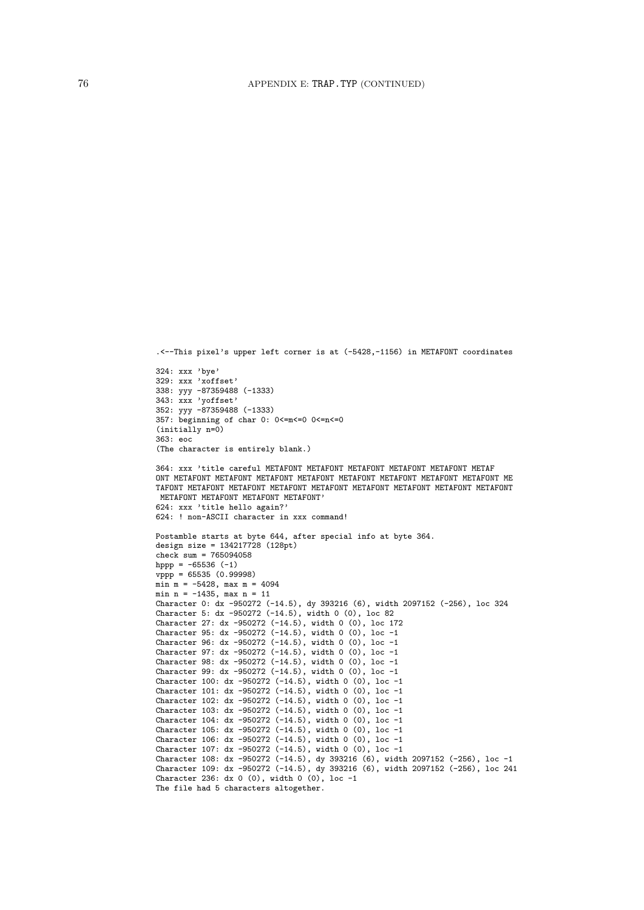```
352: yyy -87359488 (-1333)
357: beginning of char 0: 0<=m<=0 0<=n<=0
(initially n=0)
363: eoc
(The character is entirely blank.)
364: xxx 'title careful METAFONT METAFONT METAFONT METAFONT METAFONT METAF
ONT METAFONT METAFONT METAFONT METAFONT METAFONT METAFONT METAFONT METAFONT ME
TAFONT METAFONT METAFONT METAFONT METAFONT METAFONT METAFONT METAFONT METAFONT
METAFONT METAFONT METAFONT METAFONT'
624: xxx 'title hello again?'
624: ! non-ASCII character in xxx command!
Postamble starts at byte 644, after special info at byte 364.
design size = 134217728 (128pt)
check sum = 765094058hppp = -65536 (-1)vppp = 65535 (0.99998)min m = -5428, max m = 4094min n = -1435, max n = 11
Character 0: dx -950272 (-14.5), dy 393216 (6), width 2097152 (-256), loc 324
Character 5: dx -950272 (-14.5), width 0 (0), loc 82
Character 27: dx -950272 (-14.5), width 0 (0), loc 172
Character 95: dx -950272 (-14.5), width 0 (0), loc -1
Character 96: dx -950272 (-14.5), width 0 (0), loc -1
Character 97: dx -950272 (-14.5), width 0 (0), loc -1
Character 98: dx -950272 (-14.5), width 0 (0), loc -1
Character 99: dx -950272 (-14.5), width 0 (0), loc -1
Character 100: dx -950272 (-14.5), width 0 (0), loc -1
Character 101: dx -950272 (-14.5), width 0 (0), loc -1
Character 102: dx -950272 (-14.5), width 0 (0), loc -1
Character 103: dx -950272 (-14.5), width 0 (0), loc -1
Character 104: dx -950272 (-14.5), width 0 (0), loc -1
Character 105: dx -950272 (-14.5), width 0 (0), loc -1
Character 106: dx -950272 (-14.5), width 0 (0), loc -1
Character 107: dx -950272 (-14.5), width 0 (0), loc -1
Character 108: dx -950272 (-14.5), dy 393216 (6), width 2097152 (-256), loc -1
Character 109: dx -950272 (-14.5), dy 393216 (6), width 2097152 (-256), loc 241
Character 236: dx 0 (0), width 0 (0), loc -1
The file had 5 characters altogether.
```
.<--This pixel's upper left corner is at (-5428,-1156) in METAFONT coordinates

324: xxx 'bye' 329: xxx 'xoffset' 338: yyy -87359488 (-1333) 343: xxx 'yoffset'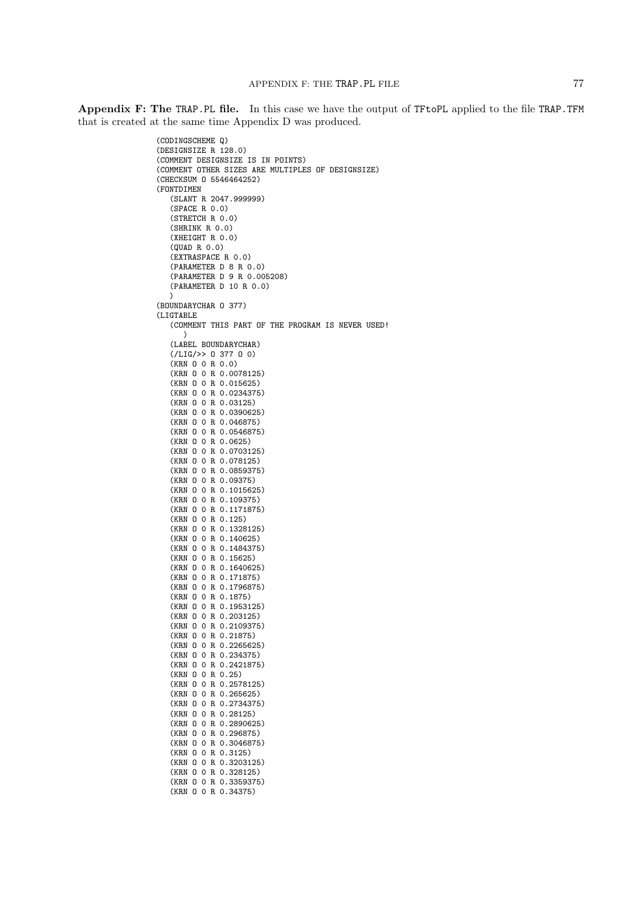Appendix F: The TRAP.PL file. In this case we have the output of TFtoPL applied to the file TRAP.TFM that is created at the same time Appendix D was produced.

```
(CODINGSCHEME Q)
(DESIGNSIZE R 128.0)
(COMMENT DESIGNSIZE IS IN POINTS)
(COMMENT OTHER SIZES ARE MULTIPLES OF DESIGNSIZE)
(CHECKSUM O 5546464252)
(FONTDIMEN
   (SLANT R 2047.999999)
   (SPACE R 0.0)
   (STRETCH R 0.0)
   (SHRINK R 0.0)
   (XHEIGHT R 0.0)
   (QUAD R 0.0)
   (EXTRASPACE R 0.0)
   (PARAMETER D 8 R 0.0)
   (PARAMETER D 9 R 0.005208)
   (PARAMETER D 10 R 0.0)
   )
(BOUNDARYCHAR O 377)
(LIGTABLE
   (COMMENT THIS PART OF THE PROGRAM IS NEVER USED!
      )
   (LABEL BOUNDARYCHAR)
   (/LIG/>> O 377 O 0)
   (KRN O 0 R 0.0)
   (KRN O 0 R 0.0078125)
   (KRN O 0 R 0.015625)
   (KRN O 0 R 0.0234375)
   (KRN O 0 R 0.03125)
   (KRN O 0 R 0.0390625)
   (KRN O 0 R 0.046875)
   (KRN O 0 R 0.0546875)
   (KRN O 0 R 0.0625)
   (KRN O 0 R 0.0703125)
   (KRN O 0 R 0.078125)
   (KRN O 0 R 0.0859375)
   (KRN O 0 R 0.09375)
   (KRN O 0 R 0.1015625)
   (KRN O 0 R 0.109375)
   (KRN O 0 R 0.1171875)
   (KRN O 0 R 0.125)
   (KRN O 0 R 0.1328125)
   (KRN O 0 R 0.140625)
   (KRN O 0 R 0.1484375)
   (KRN O 0 R 0.15625)
   (KRN O 0 R 0.1640625)
   (KRN O 0 R 0.171875)
   (KRN O 0 R 0.1796875)
   (KRN O 0 R 0.1875)
   (KRN O 0 R 0.1953125)
   (KRN O 0 R 0.203125)
   (KRN O 0 R 0.2109375)
   (KRN O 0 R 0.21875)
   (KRN O 0 R 0.2265625)
   (KRN O 0 R 0.234375)
   (KRN O 0 R 0.2421875)
   (KRN O 0 R 0.25)
   (KRN O 0 R 0.2578125)
   (KRN O 0 R 0.265625)
   (KRN O 0 R 0.2734375)
   (KRN O 0 R 0.28125)
   (KRN O 0 R 0.2890625)
   (KRN O 0 R 0.296875)
   (KRN O 0 R 0.3046875)
   (KRN O 0 R 0.3125)
   (KRN O 0 R 0.3203125)
   (KRN O 0 R 0.328125)
   (KRN O 0 R 0.3359375)
   (KRN O 0 R 0.34375)
```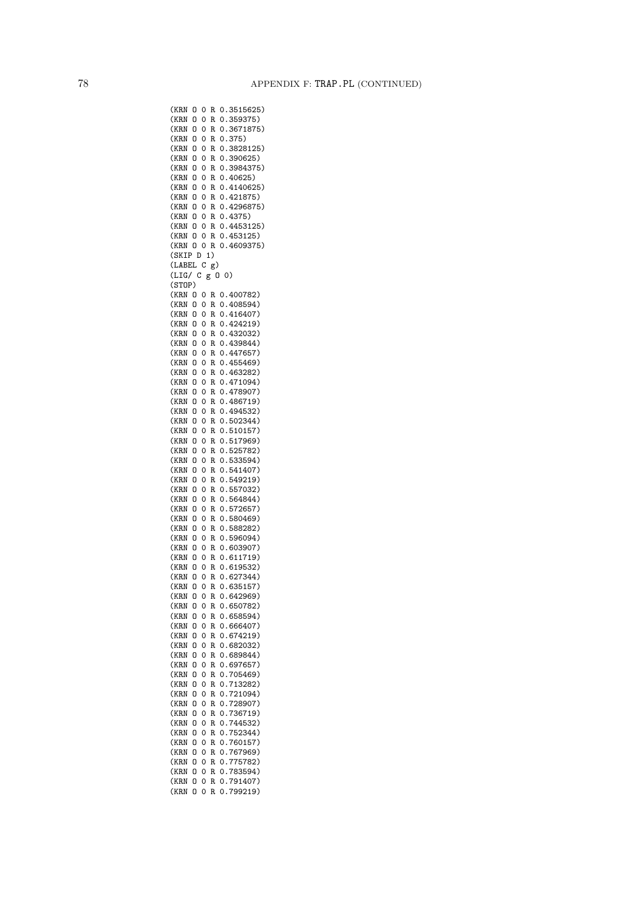(KRN O 0 R 0.3515625) (KRN O 0 R 0.359375) (KRN O 0 R 0.3671875) (KRN O 0 R 0.375) (KRN O 0 R 0.3828125) (KRN O 0 R 0.390625) (KRN O 0 R 0.3984375) (KRN O 0 R 0.40625) (KRN O 0 R 0.4140625) (KRN O 0 R 0.421875) (KRN O 0 R 0.4296875) (KRN O 0 R 0.4375) (KRN O 0 R 0.4453125) (KRN O 0 R 0.453125) (KRN O 0 R 0.4609375) (SKIP D 1) (LABEL C g) (LIG/ C g O 0) (STOP) (KRN O 0 R 0.400782) (KRN O 0 R 0.408594) (KRN O 0 R 0.416407) (KRN O 0 R 0.424219) (KRN O 0 R 0.432032) (KRN O 0 R 0.439844) (KRN O 0 R 0.447657) (KRN O 0 R 0.455469) (KRN O 0 R 0.463282) (KRN O 0 R 0.471094) (KRN O 0 R 0.478907) (KRN O 0 R 0.486719) (KRN O 0 R 0.494532) (KRN O 0 R 0.502344) (KRN O 0 R 0.510157) (KRN O 0 R 0.517969) (KRN O 0 R 0.525782) (KRN O 0 R 0.533594) (KRN O 0 R 0.541407) (KRN O 0 R 0.549219) (KRN O 0 R 0.557032) (KRN O 0 R 0.564844) (KRN O 0 R 0.572657) (KRN O 0 R 0.580469) (KRN O 0 R 0.588282) (KRN O 0 R 0.596094) (KRN O 0 R 0.603907) (KRN O 0 R 0.611719) (KRN O 0 R 0.619532) (KRN O 0 R 0.627344) (KRN O 0 R 0.635157) (KRN O 0 R 0.642969) (KRN O 0 R 0.650782) (KRN O 0 R 0.658594) (KRN O 0 R 0.666407) (KRN O 0 R 0.674219) (KRN O 0 R 0.682032) (KRN O 0 R 0.689844) (KRN O 0 R 0.697657) (KRN O 0 R 0.705469) (KRN O 0 R 0.713282) (KRN O 0 R 0.721094) (KRN O 0 R 0.728907) (KRN O 0 R 0.736719) (KRN O 0 R 0.744532) (KRN O 0 R 0.752344) (KRN O 0 R 0.760157) (KRN O 0 R 0.767969) (KRN O 0 R 0.775782) (KRN O 0 R 0.783594) (KRN O 0 R 0.791407) (KRN O 0 R 0.799219)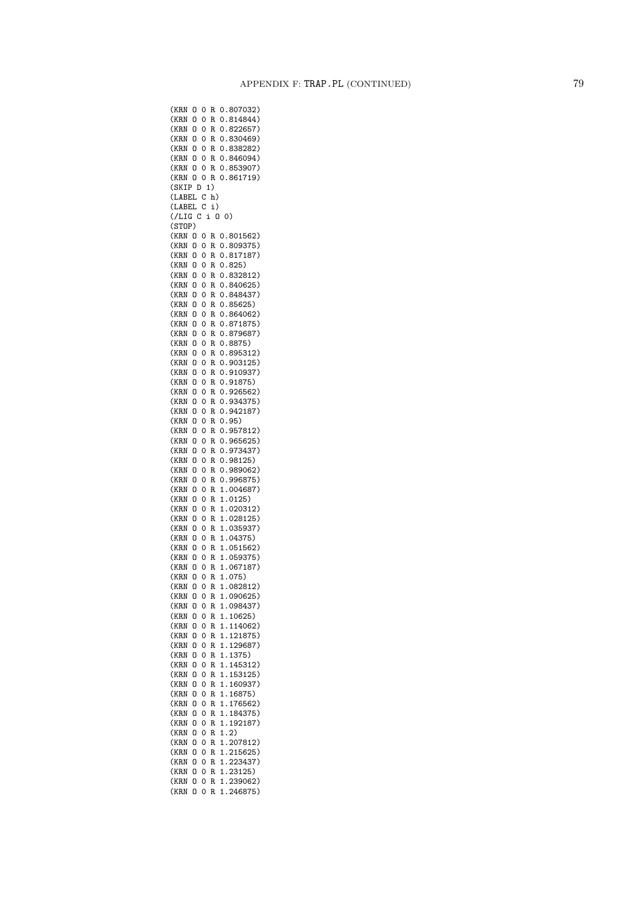(KRN O 0 R 0.807032) (KRN O 0 R 0.814844) (KRN O 0 R 0.822657) (KRN O 0 R 0.830469) (KRN O 0 R 0.838282) (KRN O 0 R 0.846094) (KRN O 0 R 0.853907) (KRN O 0 R 0.861719) (SKIP D 1) (LABEL C h) (LABEL C i) (/LIG C i O 0) (STOP) (KRN O 0 R 0.801562) (KRN O 0 R 0.809375) (KRN O 0 R 0.817187) (KRN O 0 R 0.825) (KRN O 0 R 0.832812) (KRN O 0 R 0.840625) (KRN O 0 R 0.848437) (KRN O 0 R 0.85625) (KRN O 0 R 0.864062) (KRN O 0 R 0.871875) (KRN O 0 R 0.879687) (KRN O 0 R 0.8875) (KRN O 0 R 0.895312) (KRN O 0 R 0.903125) (KRN O 0 R 0.910937) (KRN O 0 R 0.91875) (KRN O 0 R 0.926562) (KRN O 0 R 0.934375) (KRN O 0 R 0.942187) (KRN O 0 R 0.95) (KRN O 0 R 0.957812) (KRN O 0 R 0.965625) (KRN O 0 R 0.973437) (KRN O 0 R 0.98125) (KRN O 0 R 0.989062) (KRN O 0 R 0.996875) (KRN O 0 R 1.004687) (KRN O 0 R 1.0125) (KRN O 0 R 1.020312) (KRN O 0 R 1.028125) (KRN O 0 R 1.035937) (KRN O 0 R 1.04375) (KRN O 0 R 1.051562) (KRN O 0 R 1.059375) (KRN O 0 R 1.067187) (KRN O 0 R 1.075) (KRN O 0 R 1.082812) (KRN O 0 R 1.090625) (KRN O 0 R 1.098437) (KRN O 0 R 1.10625) (KRN O 0 R 1.114062) (KRN O 0 R 1.121875) (KRN O 0 R 1.129687) (KRN O 0 R 1.1375) (KRN O 0 R 1.145312) (KRN O 0 R 1.153125) (KRN O 0 R 1.160937) (KRN O 0 R 1.16875) (KRN O 0 R 1.176562) (KRN O 0 R 1.184375) (KRN O 0 R 1.192187) (KRN O 0 R 1.2) (KRN O 0 R 1.207812) (KRN O 0 R 1.215625) (KRN O 0 R 1.223437) (KRN O 0 R 1.23125) (KRN O 0 R 1.239062) (KRN O 0 R 1.246875)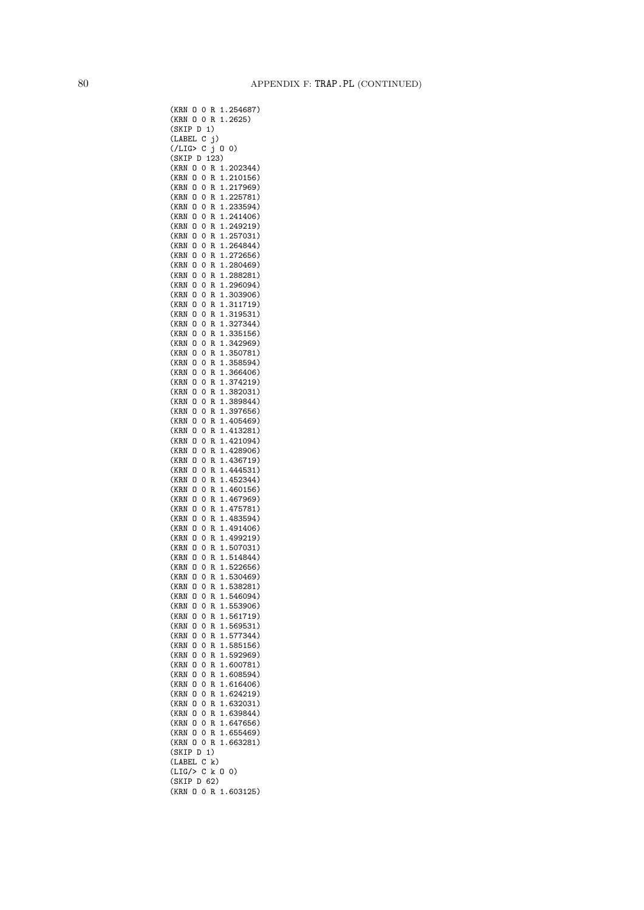(KRN O 0 R 1.254687) (KRN O 0 R 1.2625) (SKIP D 1) (LABEL C j)  $($ /LIG> C  $\check{j}$  0 0) (SKIP D 123) (KRN O 0 R 1.202344) (KRN O 0 R 1.210156) (KRN O 0 R 1.217969) (KRN O 0 R 1.225781) (KRN O 0 R 1.233594) (KRN O 0 R 1.241406) (KRN O 0 R 1.249219) (KRN O 0 R 1.257031) (KRN O 0 R 1.264844) (KRN O 0 R 1.272656) (KRN O 0 R 1.280469) (KRN O 0 R 1.288281) (KRN O 0 R 1.296094) (KRN O 0 R 1.303906) (KRN O 0 R 1.311719) (KRN O 0 R 1.319531) (KRN O 0 R 1.327344) (KRN O 0 R 1.335156) (KRN O 0 R 1.342969) (KRN O 0 R 1.350781) (KRN O 0 R 1.358594) (KRN O 0 R 1.366406) (KRN O 0 R 1.374219) (KRN O 0 R 1.382031) (KRN O 0 R 1.389844) (KRN O 0 R 1.397656) (KRN O 0 R 1.405469) (KRN O 0 R 1.413281) (KRN O 0 R 1.421094) (KRN O 0 R 1.428906) (KRN O 0 R 1.436719) (KRN O 0 R 1.444531) (KRN O 0 R 1.452344) (KRN O 0 R 1.460156) (KRN O 0 R 1.467969) (KRN O 0 R 1.475781) (KRN O 0 R 1.483594) (KRN O 0 R 1.491406) (KRN O 0 R 1.499219) (KRN O 0 R 1.507031) (KRN O 0 R 1.514844) (KRN O 0 R 1.522656) (KRN O 0 R 1.530469) (KRN O 0 R 1.538281) (KRN O 0 R 1.546094) (KRN O 0 R 1.553906) (KRN O 0 R 1.561719) (KRN O 0 R 1.569531) (KRN O 0 R 1.577344) (KRN O 0 R 1.585156) (KRN O 0 R 1.592969) (KRN O 0 R 1.600781) (KRN O 0 R 1.608594) (KRN O 0 R 1.616406) (KRN O 0 R 1.624219) (KRN O 0 R 1.632031) (KRN O 0 R 1.639844) (KRN O 0 R 1.647656) (KRN O 0 R 1.655469) (KRN O 0 R 1.663281) (SKIP D 1) (LABEL C k)  $(LIG/> C k 0 0)$ (SKIP D 62) (KRN O 0 R 1.603125)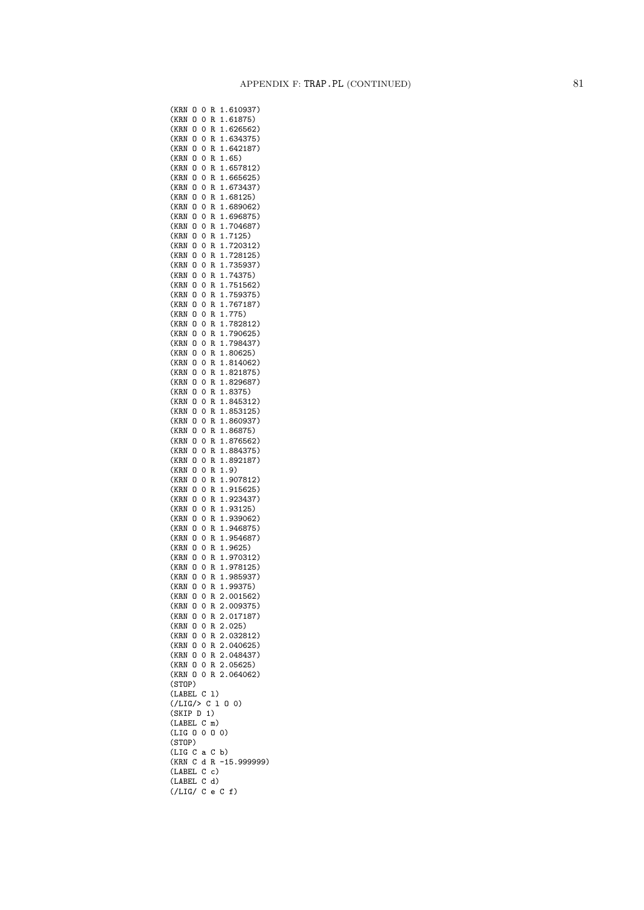(KRN O 0 R 1.610937) (KRN O 0 R 1.61875) (KRN O 0 R 1.626562) (KRN O 0 R 1.634375) (KRN O 0 R 1.642187) (KRN O 0 R 1.65) (KRN O 0 R 1.657812) (KRN O 0 R 1.665625) (KRN O 0 R 1.673437) (KRN O 0 R 1.68125) (KRN O 0 R 1.689062) (KRN O 0 R 1.696875) (KRN O 0 R 1.704687) (KRN O 0 R 1.7125) (KRN O 0 R 1.720312) (KRN O 0 R 1.728125) (KRN O 0 R 1.735937) (KRN O 0 R 1.74375) (KRN O 0 R 1.751562) (KRN O 0 R 1.759375) (KRN O 0 R 1.767187) (KRN O 0 R 1.775) (KRN O 0 R 1.782812) (KRN O 0 R 1.790625) (KRN O 0 R 1.798437) (KRN O 0 R 1.80625) (KRN O 0 R 1.814062) (KRN O 0 R 1.821875) (KRN O 0 R 1.829687) (KRN O 0 R 1.8375) (KRN O 0 R 1.845312) (KRN O 0 R 1.853125) (KRN O 0 R 1.860937) (KRN O 0 R 1.86875) (KRN O 0 R 1.876562) (KRN O 0 R 1.884375) (KRN O 0 R 1.892187) (KRN O 0 R 1.9) (KRN O 0 R 1.907812) (KRN O 0 R 1.915625) (KRN O 0 R 1.923437) (KRN O 0 R 1.93125) (KRN O 0 R 1.939062) (KRN O 0 R 1.946875) (KRN O 0 R 1.954687) (KRN O 0 R 1.9625) (KRN O 0 R 1.970312) (KRN O 0 R 1.978125) (KRN O 0 R 1.985937) (KRN O 0 R 1.99375) (KRN O 0 R 2.001562) (KRN O 0 R 2.009375) (KRN O 0 R 2.017187) (KRN O 0 R 2.025) (KRN O 0 R 2.032812) (KRN O 0 R 2.040625) (KRN O 0 R 2.048437) (KRN O 0 R 2.05625) (KRN O 0 R 2.064062) (STOP) (LABEL C l)  $($ /LIG/> C 1 0 0) (SKIP D 1) (LABEL C m) (LIG O 0 O 0) (STOP) (LIG C a C b) (KRN C d R -15.999999) (LABEL C c) (LABEL C d) (/LIG/ C e C f)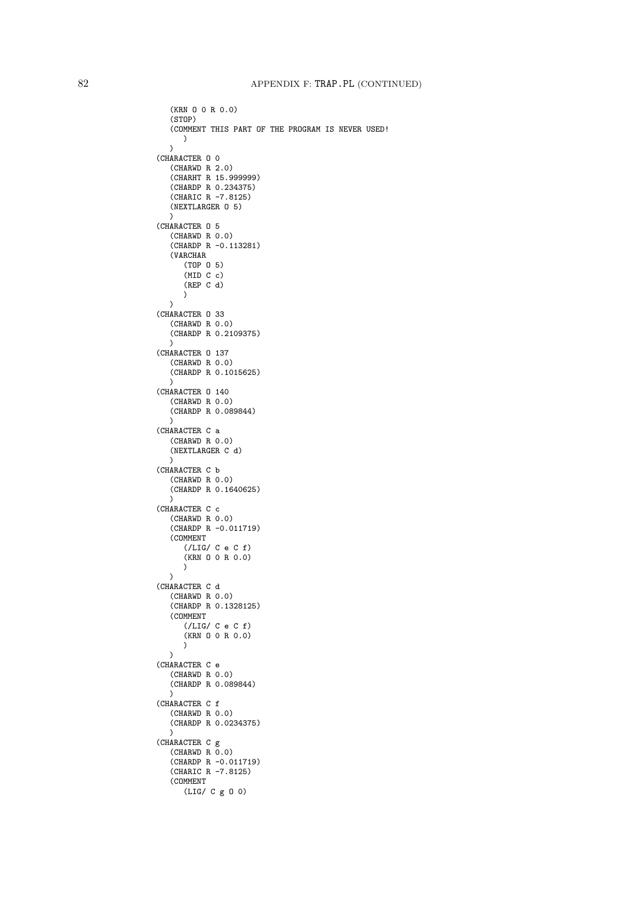```
(KRN O 0 R 0.0)
   (STOP)
   (COMMENT THIS PART OF THE PROGRAM IS NEVER USED!
     )
   )(CHARACTER O 0
   (CHARWD R 2.0)
   (CHARHT R 15.999999)
   (CHARDP R 0.234375)
   (CHARIC R -7.8125)
   (NEXTLARGER O 5)
   \lambda(CHARACTER O 5
   (CHARWD R 0.0)
   (CHARDP R -0.113281)
   (VARCHAR
      (TOP O 5)
      (MID C c)
      (REP C d)
     )
  \lambda(CHARACTER O 33
   (CHARWD R 0.0)
   (CHARDP R 0.2109375)
   \lambda(CHARACTER O 137
   (CHARWD R 0.0)
   (CHARDP R 0.1015625)
   \lambda(CHARACTER O 140
   (CHARWD R 0.0)
   (CHARDP R 0.089844)
   \lambda(CHARACTER C a
   (CHARWD R 0.0)
   (NEXTLARGER C d)
   \lambda(CHARACTER C b
   (CHARWD R 0.0)
   (CHARDP R 0.1640625)
   \lambda(CHARACTER C c
   (CHARWD R 0.0)
   (CHARDP R -0.011719)
   (COMMENT
      (/LIG/ C e C f)
      (KRN O 0 R 0.0)
     )
   \lambda(CHARACTER C d
   (CHARWD R 0.0)
   (CHARDP R 0.1328125)
   (COMMENT
      (/LIG/ C e C f)
      (KRN O 0 R 0.0)
     )
   )(CHARACTER C e
   (CHARWD R 0.0)
   (CHARDP R 0.089844)
   \lambda(CHARACTER C f
   (CHARWD R 0.0)
   (CHARDP R 0.0234375)
   \lambda(CHARACTER C g
   (CHARWD R 0.0)(CHARDP R -0.011719)
   (CHARIC R -7.8125)
   (COMMENT
      (LIG/ C g O 0)
```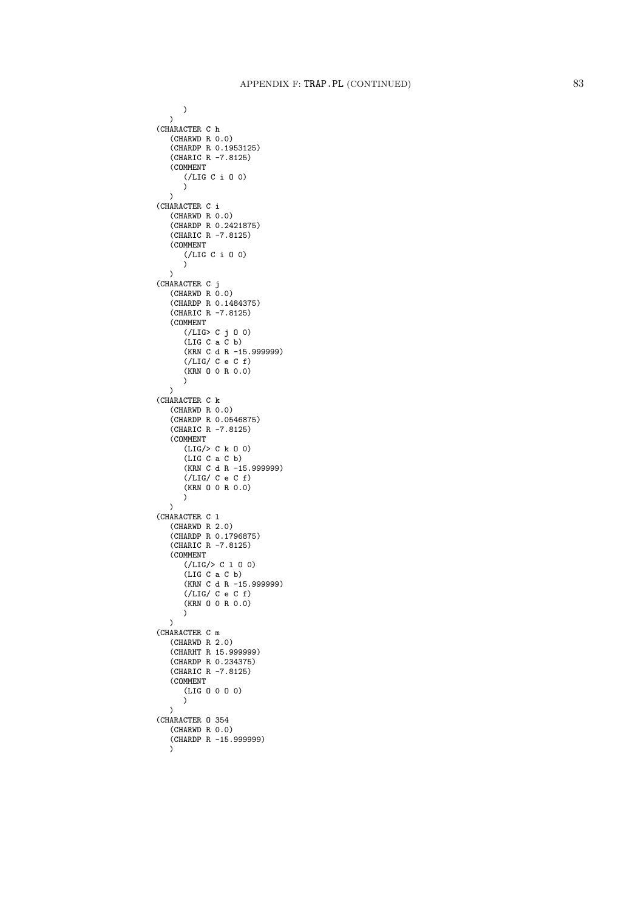```
)
  \lambda(CHARACTER C h
   (CHARWD R 0.0)
   (CHARDP R 0.1953125)
   (CHARIC R -7.8125)
   (COMMENT
      (/LIG C i 0 0)
      )
  \lambda(CHARACTER C i
   (CHARWD R 0.0)
   (CHARDP R 0.2421875)
   (CHARIC R -7.8125)
   (COMMENT
      (/LIG C i O 0) \sum\lambda(CHARACTER C j
   (CHARMD R 0.0)(CHARDP R 0.1484375)
   (CHARIC R -7.8125)
   (COMMENT
      (/LIG> C j O 0)
      (LIG C a C b)
      (KRN C d R -15.999999)
      (/LIG/ C e C f)
      (KRN O 0 R 0.0) \lambda\lambda(CHARACTER C k
   (CHARWD R 0.0)
   (CHARDP R 0.0546875)
   (CHARIC R -7.8125)
   (COMMENT
      (LIG/> C k O 0)
      (LIG C a C b)
      (KRN C d R -15.999999)
      (/LIG/ C e C f)
      (KRN O 0 R 0.0) )
  \lambda(CHARACTER C l
   (CHARWD R 2.0)
   (CHARDP R 0.1796875)
   (CHARIC R -7.8125)
   (COMMENT
      (/LIG/> C 1 0 0)
      (LIG C a C b)
      (KRN C d R -15.999999)
      (/LIG/ C e C f)
      (KRN O 0 R 0.0) )
  \lambda(CHARACTER C m
   (CHARWD R 2.0)
   (CHARHT R 15.999999)
   (CHARDP R 0.234375)
   (CHARIC R -7.8125)
   (COMMENT
      (LIG O 0 O 0) )
   \lambda(CHARACTER O 354
   (CHARWD R 0.0)
   (CHARDP R -15.999999) \overline{)}
```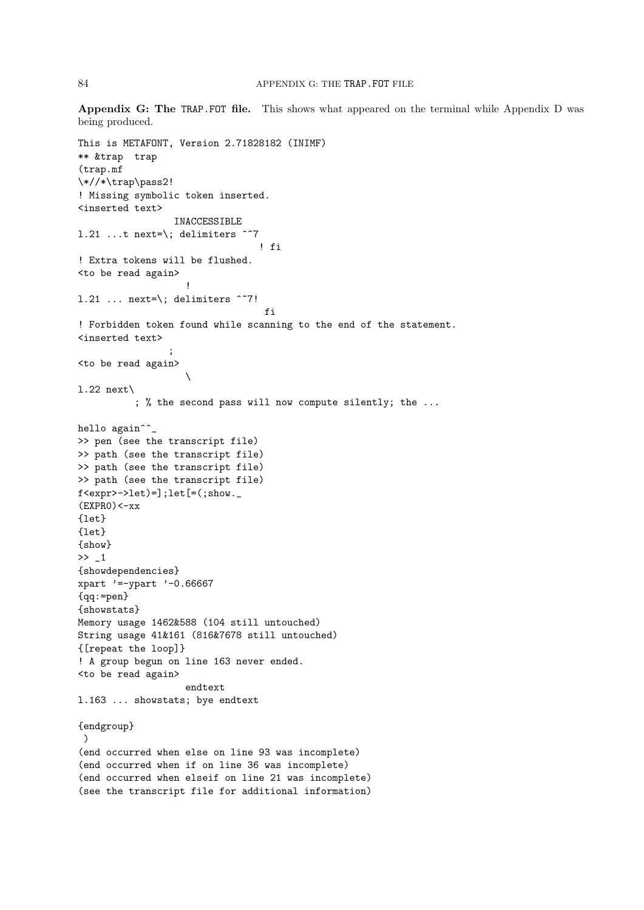Appendix G: The TRAP.FOT file. This shows what appeared on the terminal while Appendix D was being produced.

```
This is METAFONT, Version 2.71828182 (INIMF)
** &trap trap
(trap.mf
\*//*\trap\pass2!
! Missing symbolic token inserted.
<inserted text>
                 INACCESSIBLE
1.21 ...t next=\; delimiters \tilde{ } ~7
                                 ! fi
! Extra tokens will be flushed.
<to be read again>
                    !
1.21 ... next=\\; delimiters \degree7!
                                  fi
! Forbidden token found while scanning to the end of the statement.
<inserted text>
                 ;
<to be read again>
                    \
l.22 next\
          ; % the second pass will now compute silently; the ...
hello again<sup>^^</sup>_
>> pen (see the transcript file)
>> path (see the transcript file)
>> path (see the transcript file)
>> path (see the transcript file)
f <expr>->let)=];let[=(;show._
(EXPRO)<-xx{let}
\{let\}{show}
>> _1
{showdependencies}
xpart '=-ypart '-0.66667
{qq:=pen}
{showstats}
Memory usage 1462&588 (104 still untouched)
String usage 41&161 (816&7678 still untouched)
{[repeat the loop]}
! A group begun on line 163 never ended.
<to be read again>
                   endtext
l.163 ... showstats; bye endtext
{endgroup}
 )
(end occurred when else on line 93 was incomplete)
(end occurred when if on line 36 was incomplete)
(end occurred when elseif on line 21 was incomplete)
(see the transcript file for additional information)
```